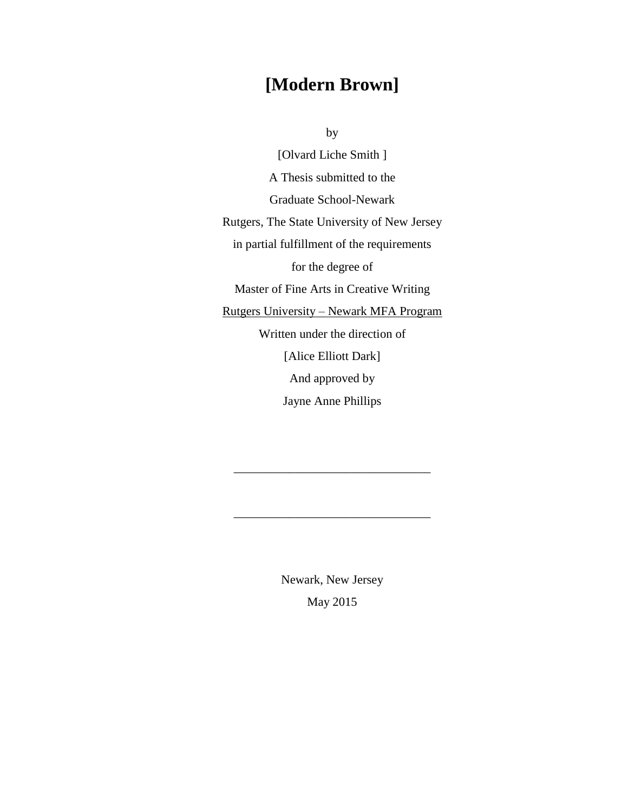# **[Modern Brown]**

by

[Olvard Liche Smith ] A Thesis submitted to the Graduate School-Newark Rutgers, The State University of New Jersey in partial fulfillment of the requirements for the degree of Master of Fine Arts in Creative Writing Rutgers University – Newark MFA Program Written under the direction of [Alice Elliott Dark] And approved by Jayne Anne Phillips

> Newark, New Jersey May 2015

\_\_\_\_\_\_\_\_\_\_\_\_\_\_\_\_\_\_\_\_\_\_\_\_\_\_\_\_\_\_\_\_

\_\_\_\_\_\_\_\_\_\_\_\_\_\_\_\_\_\_\_\_\_\_\_\_\_\_\_\_\_\_\_\_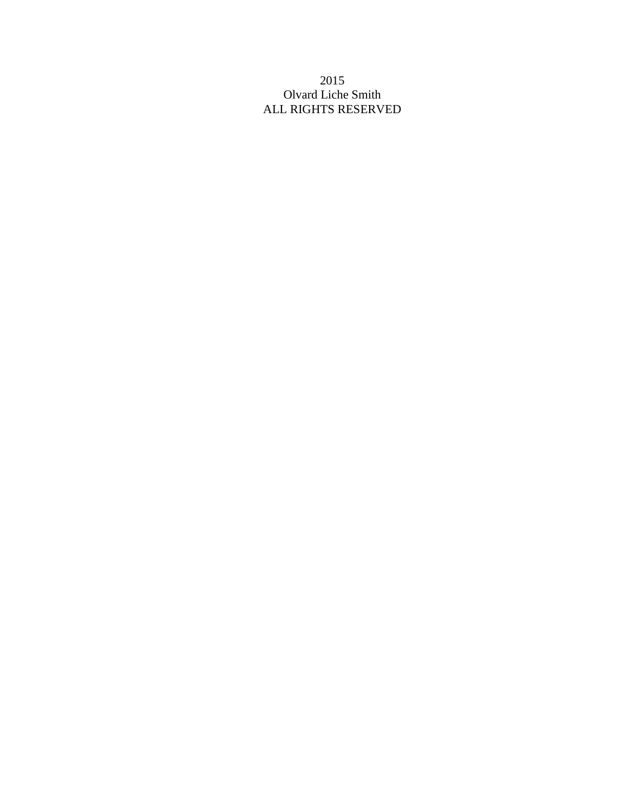### 2015 Olvard Liche Smith ALL RIGHTS RESERVED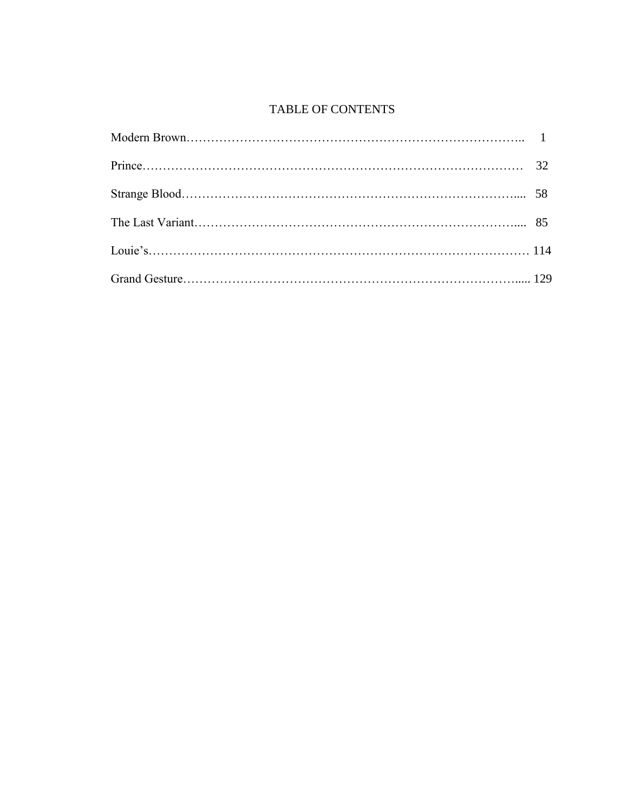## TABLE OF CONTENTS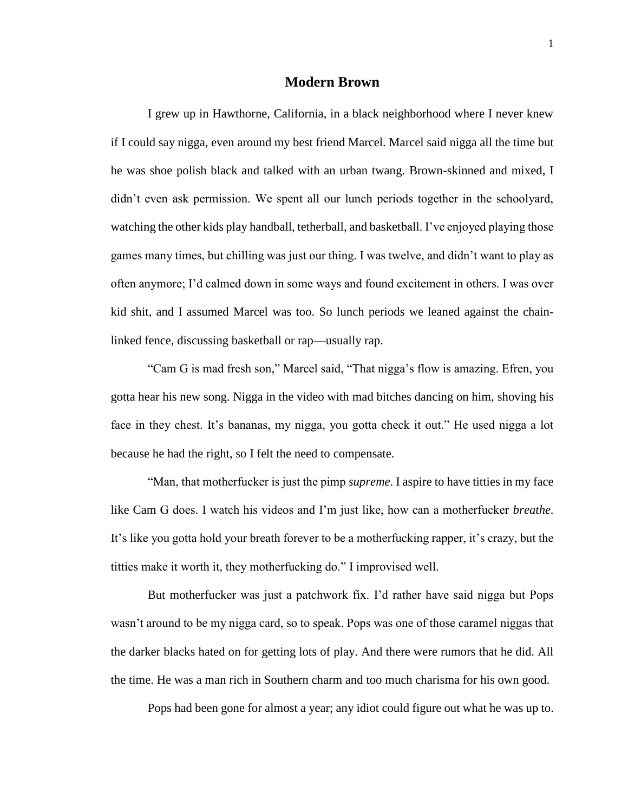### **Modern Brown**

I grew up in Hawthorne, California, in a black neighborhood where I never knew if I could say nigga, even around my best friend Marcel. Marcel said nigga all the time but he was shoe polish black and talked with an urban twang. Brown-skinned and mixed, I didn't even ask permission. We spent all our lunch periods together in the schoolyard, watching the other kids play handball, tetherball, and basketball. I've enjoyed playing those games many times, but chilling was just our thing. I was twelve, and didn't want to play as often anymore; I'd calmed down in some ways and found excitement in others. I was over kid shit, and I assumed Marcel was too. So lunch periods we leaned against the chainlinked fence, discussing basketball or rap—usually rap.

"Cam G is mad fresh son," Marcel said, "That nigga's flow is amazing. Efren, you gotta hear his new song. Nigga in the video with mad bitches dancing on him, shoving his face in they chest. It's bananas, my nigga, you gotta check it out." He used nigga a lot because he had the right, so I felt the need to compensate.

"Man, that motherfucker is just the pimp *supreme*. I aspire to have titties in my face like Cam G does. I watch his videos and I'm just like, how can a motherfucker *breathe.*  It's like you gotta hold your breath forever to be a motherfucking rapper, it's crazy, but the titties make it worth it, they motherfucking do." I improvised well.

But motherfucker was just a patchwork fix. I'd rather have said nigga but Pops wasn't around to be my nigga card, so to speak. Pops was one of those caramel niggas that the darker blacks hated on for getting lots of play. And there were rumors that he did. All the time. He was a man rich in Southern charm and too much charisma for his own good.

Pops had been gone for almost a year; any idiot could figure out what he was up to.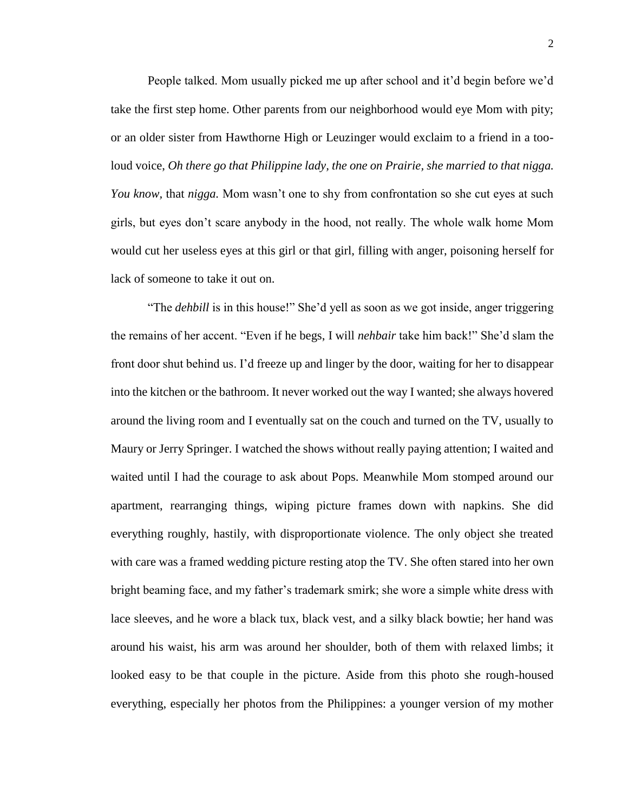People talked. Mom usually picked me up after school and it'd begin before we'd take the first step home. Other parents from our neighborhood would eye Mom with pity; or an older sister from Hawthorne High or Leuzinger would exclaim to a friend in a tooloud voice, *Oh there go that Philippine lady, the one on Prairie, she married to that nigga. You know,* that *nigga.* Mom wasn't one to shy from confrontation so she cut eyes at such girls, but eyes don't scare anybody in the hood, not really. The whole walk home Mom would cut her useless eyes at this girl or that girl, filling with anger, poisoning herself for lack of someone to take it out on.

"The *dehbill* is in this house!" She'd yell as soon as we got inside, anger triggering the remains of her accent. "Even if he begs, I will *nehbair* take him back!" She'd slam the front door shut behind us. I'd freeze up and linger by the door, waiting for her to disappear into the kitchen or the bathroom. It never worked out the way I wanted; she always hovered around the living room and I eventually sat on the couch and turned on the TV, usually to Maury or Jerry Springer. I watched the shows without really paying attention; I waited and waited until I had the courage to ask about Pops. Meanwhile Mom stomped around our apartment, rearranging things, wiping picture frames down with napkins. She did everything roughly, hastily, with disproportionate violence. The only object she treated with care was a framed wedding picture resting atop the TV. She often stared into her own bright beaming face, and my father's trademark smirk; she wore a simple white dress with lace sleeves, and he wore a black tux, black vest, and a silky black bowtie; her hand was around his waist, his arm was around her shoulder, both of them with relaxed limbs; it looked easy to be that couple in the picture. Aside from this photo she rough-housed everything, especially her photos from the Philippines: a younger version of my mother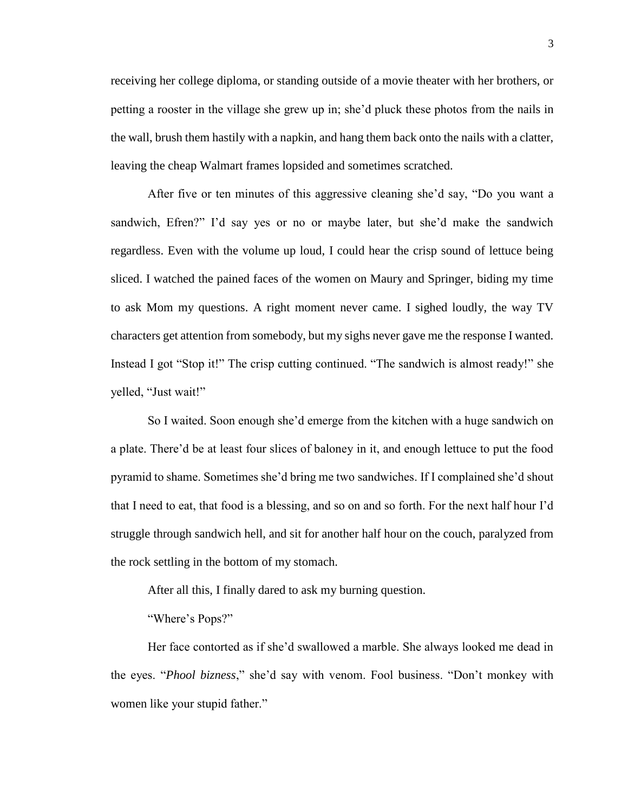receiving her college diploma, or standing outside of a movie theater with her brothers, or petting a rooster in the village she grew up in; she'd pluck these photos from the nails in the wall, brush them hastily with a napkin, and hang them back onto the nails with a clatter, leaving the cheap Walmart frames lopsided and sometimes scratched.

After five or ten minutes of this aggressive cleaning she'd say, "Do you want a sandwich, Efren?" I'd say yes or no or maybe later, but she'd make the sandwich regardless. Even with the volume up loud, I could hear the crisp sound of lettuce being sliced. I watched the pained faces of the women on Maury and Springer, biding my time to ask Mom my questions. A right moment never came. I sighed loudly, the way TV characters get attention from somebody, but my sighs never gave me the response I wanted. Instead I got "Stop it!" The crisp cutting continued. "The sandwich is almost ready!" she yelled, "Just wait!"

So I waited. Soon enough she'd emerge from the kitchen with a huge sandwich on a plate. There'd be at least four slices of baloney in it, and enough lettuce to put the food pyramid to shame. Sometimes she'd bring me two sandwiches. If I complained she'd shout that I need to eat, that food is a blessing, and so on and so forth. For the next half hour I'd struggle through sandwich hell, and sit for another half hour on the couch, paralyzed from the rock settling in the bottom of my stomach.

After all this, I finally dared to ask my burning question.

"Where's Pops?"

Her face contorted as if she'd swallowed a marble. She always looked me dead in the eyes. "*Phool bizness*," she'd say with venom. Fool business. "Don't monkey with women like your stupid father."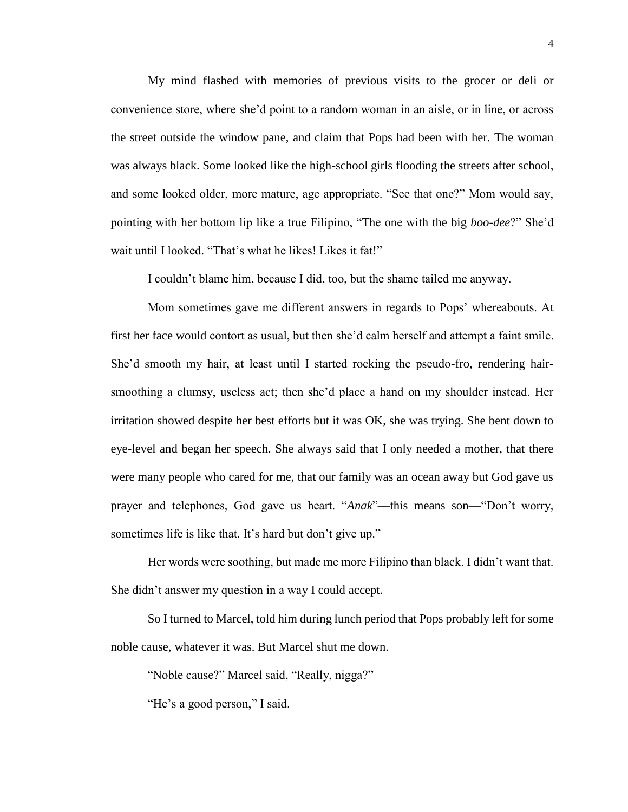My mind flashed with memories of previous visits to the grocer or deli or convenience store, where she'd point to a random woman in an aisle, or in line, or across the street outside the window pane, and claim that Pops had been with her. The woman was always black. Some looked like the high-school girls flooding the streets after school, and some looked older, more mature, age appropriate. "See that one?" Mom would say, pointing with her bottom lip like a true Filipino, "The one with the big *boo*-*dee*?" She'd wait until I looked. "That's what he likes! Likes it fat!"

I couldn't blame him, because I did, too, but the shame tailed me anyway.

Mom sometimes gave me different answers in regards to Pops' whereabouts. At first her face would contort as usual, but then she'd calm herself and attempt a faint smile. She'd smooth my hair, at least until I started rocking the pseudo-fro, rendering hairsmoothing a clumsy, useless act; then she'd place a hand on my shoulder instead. Her irritation showed despite her best efforts but it was OK, she was trying. She bent down to eye-level and began her speech. She always said that I only needed a mother, that there were many people who cared for me, that our family was an ocean away but God gave us prayer and telephones, God gave us heart. "*Anak*"—this means son—"Don't worry, sometimes life is like that. It's hard but don't give up."

Her words were soothing, but made me more Filipino than black. I didn't want that. She didn't answer my question in a way I could accept.

So I turned to Marcel, told him during lunch period that Pops probably left for some noble cause, whatever it was. But Marcel shut me down.

"Noble cause?" Marcel said, "Really, nigga?"

"He's a good person," I said.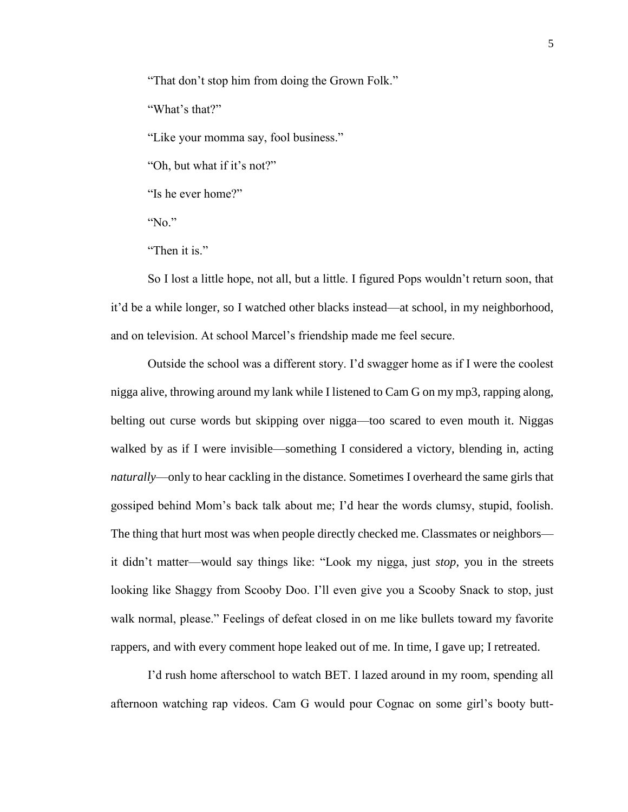"That don't stop him from doing the Grown Folk."

"What's that?"

"Like your momma say, fool business."

"Oh, but what if it's not?"

"Is he ever home?"

" $No$ "

"Then it is."

So I lost a little hope, not all, but a little. I figured Pops wouldn't return soon, that it'd be a while longer, so I watched other blacks instead—at school, in my neighborhood, and on television. At school Marcel's friendship made me feel secure.

Outside the school was a different story. I'd swagger home as if I were the coolest nigga alive, throwing around my lank while I listened to Cam G on my mp3, rapping along, belting out curse words but skipping over nigga—too scared to even mouth it. Niggas walked by as if I were invisible—something I considered a victory, blending in, acting *naturally*—only to hear cackling in the distance. Sometimes I overheard the same girls that gossiped behind Mom's back talk about me; I'd hear the words clumsy, stupid, foolish. The thing that hurt most was when people directly checked me. Classmates or neighbors it didn't matter—would say things like: "Look my nigga, just *stop*, you in the streets looking like Shaggy from Scooby Doo. I'll even give you a Scooby Snack to stop, just walk normal, please." Feelings of defeat closed in on me like bullets toward my favorite rappers, and with every comment hope leaked out of me. In time, I gave up; I retreated.

I'd rush home afterschool to watch BET. I lazed around in my room, spending all afternoon watching rap videos. Cam G would pour Cognac on some girl's booty butt-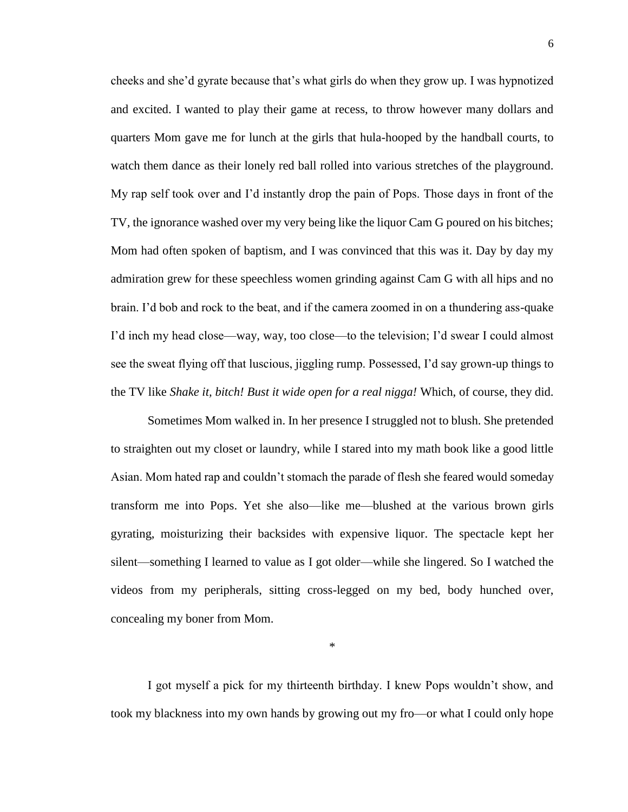cheeks and she'd gyrate because that's what girls do when they grow up. I was hypnotized and excited. I wanted to play their game at recess, to throw however many dollars and quarters Mom gave me for lunch at the girls that hula-hooped by the handball courts, to watch them dance as their lonely red ball rolled into various stretches of the playground. My rap self took over and I'd instantly drop the pain of Pops. Those days in front of the TV, the ignorance washed over my very being like the liquor Cam G poured on his bitches; Mom had often spoken of baptism, and I was convinced that this was it. Day by day my admiration grew for these speechless women grinding against Cam G with all hips and no brain. I'd bob and rock to the beat, and if the camera zoomed in on a thundering ass-quake I'd inch my head close—way, way, too close—to the television; I'd swear I could almost see the sweat flying off that luscious, jiggling rump. Possessed, I'd say grown-up things to the TV like *Shake it, bitch! Bust it wide open for a real nigga!* Which, of course, they did.

Sometimes Mom walked in. In her presence I struggled not to blush. She pretended to straighten out my closet or laundry, while I stared into my math book like a good little Asian. Mom hated rap and couldn't stomach the parade of flesh she feared would someday transform me into Pops. Yet she also—like me—blushed at the various brown girls gyrating, moisturizing their backsides with expensive liquor. The spectacle kept her silent—something I learned to value as I got older—while she lingered. So I watched the videos from my peripherals, sitting cross-legged on my bed, body hunched over, concealing my boner from Mom.

\*

I got myself a pick for my thirteenth birthday. I knew Pops wouldn't show, and took my blackness into my own hands by growing out my fro—or what I could only hope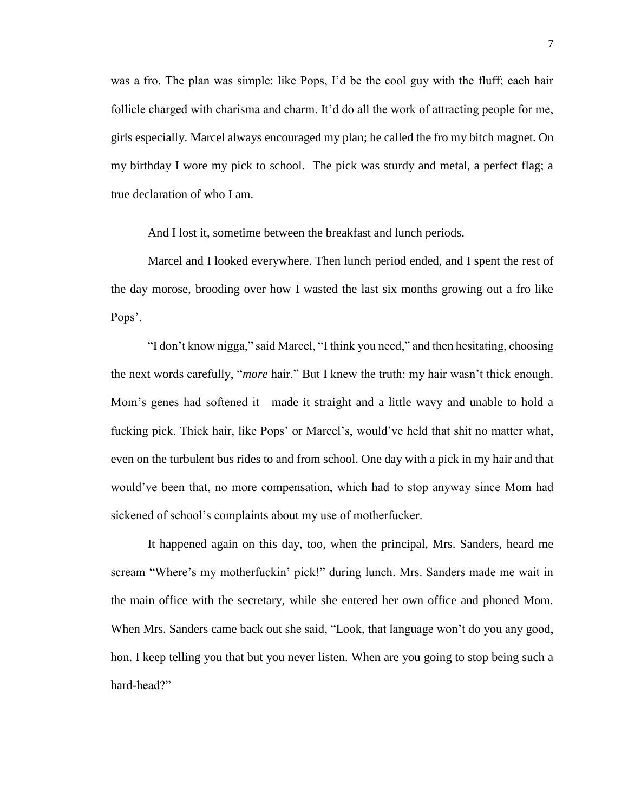was a fro. The plan was simple: like Pops, I'd be the cool guy with the fluff; each hair follicle charged with charisma and charm. It'd do all the work of attracting people for me, girls especially. Marcel always encouraged my plan; he called the fro my bitch magnet. On my birthday I wore my pick to school. The pick was sturdy and metal, a perfect flag; a true declaration of who I am.

And I lost it, sometime between the breakfast and lunch periods.

Marcel and I looked everywhere. Then lunch period ended, and I spent the rest of the day morose, brooding over how I wasted the last six months growing out a fro like Pops'.

"I don't know nigga," said Marcel, "I think you need," and then hesitating, choosing the next words carefully, "*more* hair." But I knew the truth: my hair wasn't thick enough. Mom's genes had softened it—made it straight and a little wavy and unable to hold a fucking pick. Thick hair, like Pops' or Marcel's, would've held that shit no matter what, even on the turbulent bus rides to and from school. One day with a pick in my hair and that would've been that, no more compensation, which had to stop anyway since Mom had sickened of school's complaints about my use of motherfucker.

It happened again on this day, too, when the principal, Mrs. Sanders, heard me scream "Where's my motherfuckin' pick!" during lunch. Mrs. Sanders made me wait in the main office with the secretary, while she entered her own office and phoned Mom. When Mrs. Sanders came back out she said, "Look, that language won't do you any good, hon. I keep telling you that but you never listen. When are you going to stop being such a hard-head?"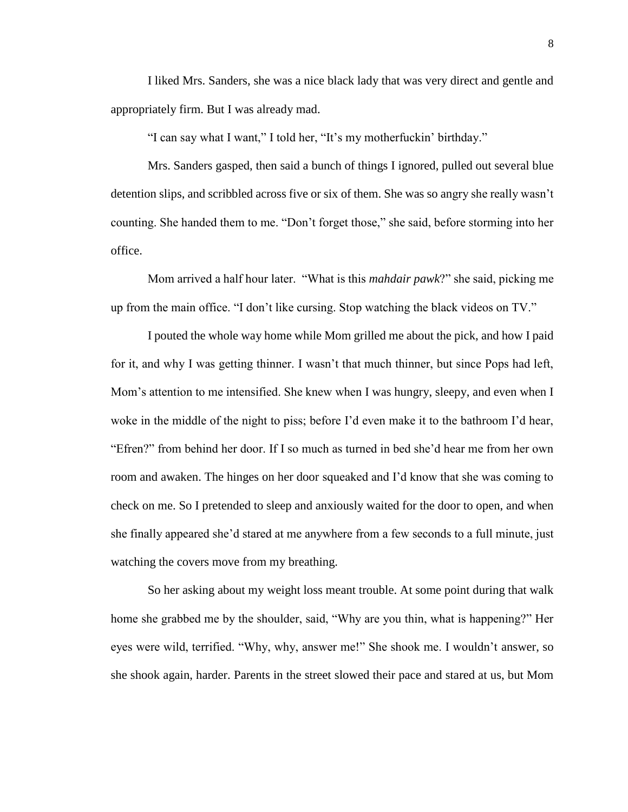I liked Mrs. Sanders, she was a nice black lady that was very direct and gentle and appropriately firm. But I was already mad.

"I can say what I want," I told her, "It's my motherfuckin' birthday."

Mrs. Sanders gasped, then said a bunch of things I ignored, pulled out several blue detention slips, and scribbled across five or six of them. She was so angry she really wasn't counting. She handed them to me. "Don't forget those," she said, before storming into her office.

Mom arrived a half hour later. "What is this *mahdair pawk*?" she said, picking me up from the main office. "I don't like cursing. Stop watching the black videos on TV."

I pouted the whole way home while Mom grilled me about the pick, and how I paid for it, and why I was getting thinner. I wasn't that much thinner, but since Pops had left, Mom's attention to me intensified. She knew when I was hungry, sleepy, and even when I woke in the middle of the night to piss; before I'd even make it to the bathroom I'd hear, "Efren?" from behind her door. If I so much as turned in bed she'd hear me from her own room and awaken. The hinges on her door squeaked and I'd know that she was coming to check on me. So I pretended to sleep and anxiously waited for the door to open, and when she finally appeared she'd stared at me anywhere from a few seconds to a full minute, just watching the covers move from my breathing.

So her asking about my weight loss meant trouble. At some point during that walk home she grabbed me by the shoulder, said, "Why are you thin, what is happening?" Her eyes were wild, terrified. "Why, why, answer me!" She shook me. I wouldn't answer, so she shook again, harder. Parents in the street slowed their pace and stared at us, but Mom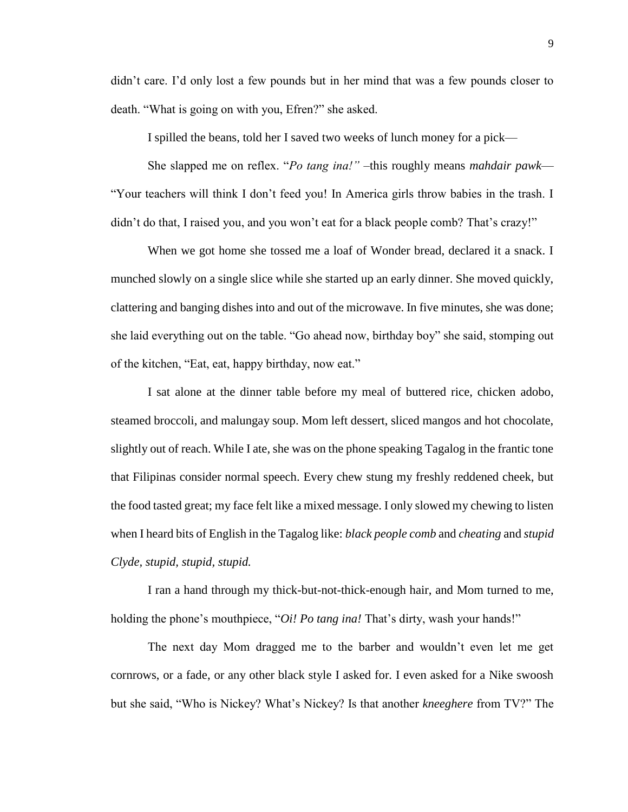didn't care. I'd only lost a few pounds but in her mind that was a few pounds closer to death. "What is going on with you, Efren?" she asked.

I spilled the beans, told her I saved two weeks of lunch money for a pick—

She slapped me on reflex. "*Po tang ina!"* –this roughly means *mahdair pawk*— "Your teachers will think I don't feed you! In America girls throw babies in the trash. I didn't do that, I raised you, and you won't eat for a black people comb? That's crazy!"

When we got home she tossed me a loaf of Wonder bread, declared it a snack. I munched slowly on a single slice while she started up an early dinner. She moved quickly, clattering and banging dishes into and out of the microwave. In five minutes, she was done; she laid everything out on the table. "Go ahead now, birthday boy" she said, stomping out of the kitchen, "Eat, eat, happy birthday, now eat."

I sat alone at the dinner table before my meal of buttered rice, chicken adobo, steamed broccoli, and malungay soup. Mom left dessert, sliced mangos and hot chocolate, slightly out of reach. While I ate, she was on the phone speaking Tagalog in the frantic tone that Filipinas consider normal speech. Every chew stung my freshly reddened cheek, but the food tasted great; my face felt like a mixed message. I only slowed my chewing to listen when I heard bits of English in the Tagalog like: *black people comb* and *cheating* and *stupid Clyde, stupid, stupid, stupid.*

I ran a hand through my thick-but-not-thick-enough hair, and Mom turned to me, holding the phone's mouthpiece, "*Oi! Po tang ina!* That's dirty, wash your hands!"

The next day Mom dragged me to the barber and wouldn't even let me get cornrows, or a fade, or any other black style I asked for. I even asked for a Nike swoosh but she said, "Who is Nickey? What's Nickey? Is that another *kneeghere* from TV?" The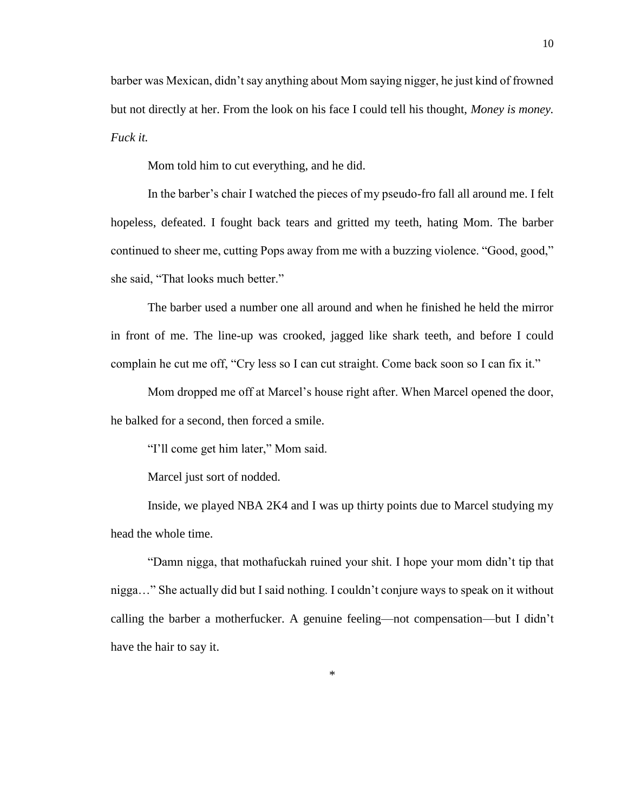barber was Mexican, didn't say anything about Mom saying nigger, he just kind of frowned but not directly at her. From the look on his face I could tell his thought, *Money is money. Fuck it.* 

Mom told him to cut everything, and he did.

In the barber's chair I watched the pieces of my pseudo-fro fall all around me. I felt hopeless, defeated. I fought back tears and gritted my teeth, hating Mom. The barber continued to sheer me, cutting Pops away from me with a buzzing violence. "Good, good," she said, "That looks much better."

The barber used a number one all around and when he finished he held the mirror in front of me. The line-up was crooked, jagged like shark teeth, and before I could complain he cut me off, "Cry less so I can cut straight. Come back soon so I can fix it."

Mom dropped me off at Marcel's house right after. When Marcel opened the door, he balked for a second, then forced a smile.

"I'll come get him later," Mom said.

Marcel just sort of nodded.

Inside, we played NBA 2K4 and I was up thirty points due to Marcel studying my head the whole time.

"Damn nigga, that mothafuckah ruined your shit. I hope your mom didn't tip that nigga…" She actually did but I said nothing. I couldn't conjure ways to speak on it without calling the barber a motherfucker. A genuine feeling—not compensation—but I didn't have the hair to say it.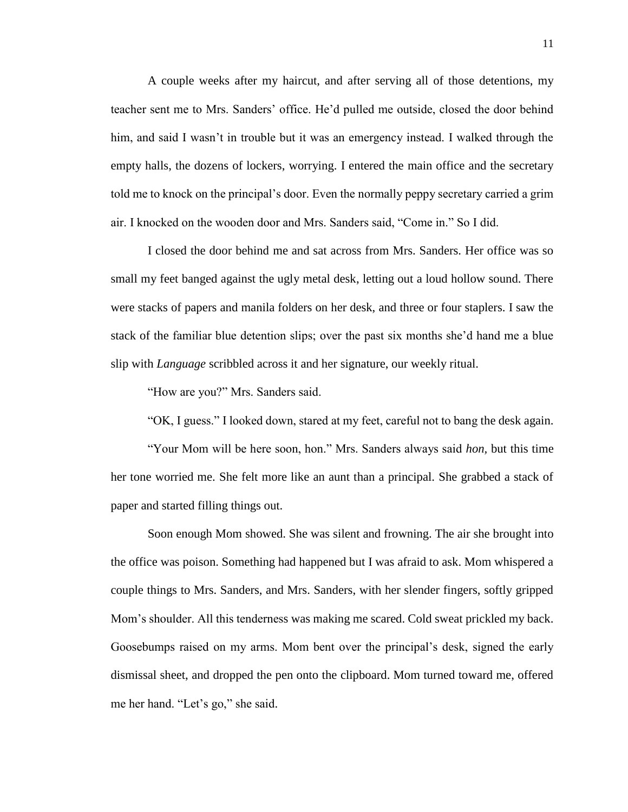A couple weeks after my haircut, and after serving all of those detentions, my teacher sent me to Mrs. Sanders' office. He'd pulled me outside, closed the door behind him, and said I wasn't in trouble but it was an emergency instead. I walked through the empty halls, the dozens of lockers, worrying. I entered the main office and the secretary told me to knock on the principal's door. Even the normally peppy secretary carried a grim air. I knocked on the wooden door and Mrs. Sanders said, "Come in." So I did.

I closed the door behind me and sat across from Mrs. Sanders. Her office was so small my feet banged against the ugly metal desk, letting out a loud hollow sound. There were stacks of papers and manila folders on her desk, and three or four staplers. I saw the stack of the familiar blue detention slips; over the past six months she'd hand me a blue slip with *Language* scribbled across it and her signature, our weekly ritual.

"How are you?" Mrs. Sanders said.

"OK, I guess." I looked down, stared at my feet, careful not to bang the desk again.

"Your Mom will be here soon, hon." Mrs. Sanders always said *hon,* but this time her tone worried me. She felt more like an aunt than a principal. She grabbed a stack of paper and started filling things out.

Soon enough Mom showed. She was silent and frowning. The air she brought into the office was poison. Something had happened but I was afraid to ask. Mom whispered a couple things to Mrs. Sanders, and Mrs. Sanders, with her slender fingers, softly gripped Mom's shoulder. All this tenderness was making me scared. Cold sweat prickled my back. Goosebumps raised on my arms. Mom bent over the principal's desk, signed the early dismissal sheet, and dropped the pen onto the clipboard. Mom turned toward me, offered me her hand. "Let's go," she said.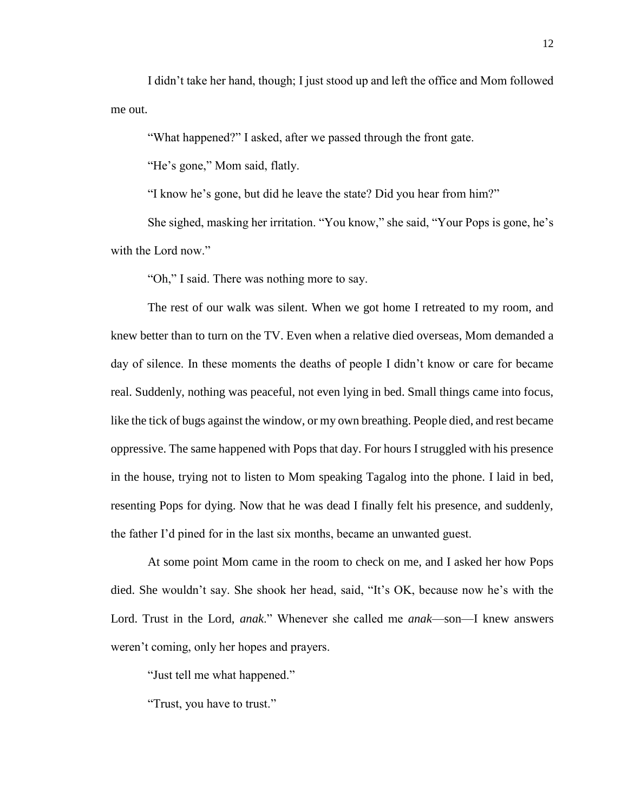I didn't take her hand, though; I just stood up and left the office and Mom followed me out.

"What happened?" I asked, after we passed through the front gate.

"He's gone," Mom said, flatly.

"I know he's gone, but did he leave the state? Did you hear from him?"

She sighed, masking her irritation. "You know," she said, "Your Pops is gone, he's with the Lord now."

"Oh," I said. There was nothing more to say.

The rest of our walk was silent. When we got home I retreated to my room, and knew better than to turn on the TV. Even when a relative died overseas, Mom demanded a day of silence. In these moments the deaths of people I didn't know or care for became real. Suddenly, nothing was peaceful, not even lying in bed. Small things came into focus, like the tick of bugs against the window, or my own breathing. People died, and rest became oppressive. The same happened with Pops that day. For hours I struggled with his presence in the house, trying not to listen to Mom speaking Tagalog into the phone. I laid in bed, resenting Pops for dying. Now that he was dead I finally felt his presence, and suddenly, the father I'd pined for in the last six months, became an unwanted guest.

At some point Mom came in the room to check on me, and I asked her how Pops died. She wouldn't say. She shook her head, said, "It's OK, because now he's with the Lord. Trust in the Lord, *anak*." Whenever she called me *anak*—son—I knew answers weren't coming, only her hopes and prayers.

"Just tell me what happened."

"Trust, you have to trust."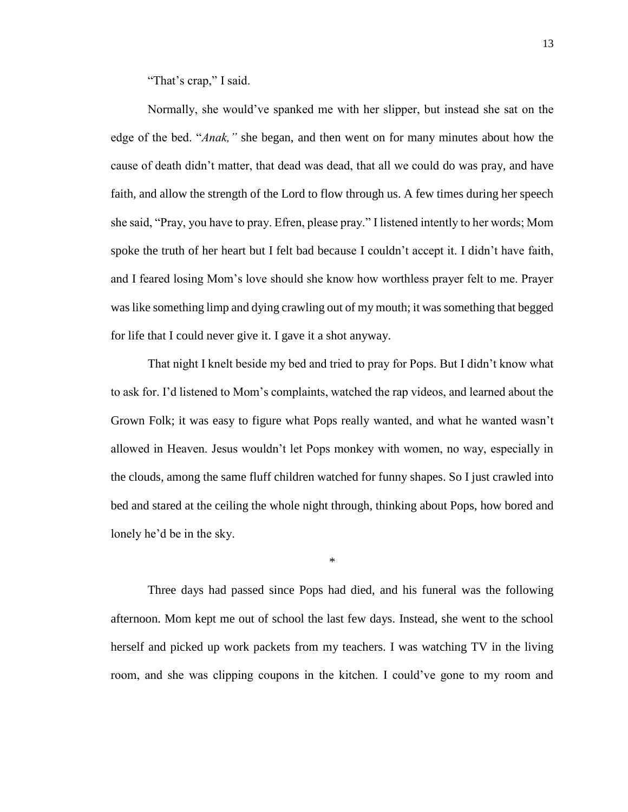"That's crap," I said.

Normally, she would've spanked me with her slipper, but instead she sat on the edge of the bed. "*Anak,"* she began, and then went on for many minutes about how the cause of death didn't matter, that dead was dead, that all we could do was pray, and have faith, and allow the strength of the Lord to flow through us. A few times during her speech she said, "Pray, you have to pray. Efren, please pray." I listened intently to her words; Mom spoke the truth of her heart but I felt bad because I couldn't accept it. I didn't have faith, and I feared losing Mom's love should she know how worthless prayer felt to me. Prayer was like something limp and dying crawling out of my mouth; it was something that begged for life that I could never give it. I gave it a shot anyway.

That night I knelt beside my bed and tried to pray for Pops. But I didn't know what to ask for. I'd listened to Mom's complaints, watched the rap videos, and learned about the Grown Folk; it was easy to figure what Pops really wanted, and what he wanted wasn't allowed in Heaven. Jesus wouldn't let Pops monkey with women, no way, especially in the clouds, among the same fluff children watched for funny shapes. So I just crawled into bed and stared at the ceiling the whole night through, thinking about Pops, how bored and lonely he'd be in the sky.

\*

Three days had passed since Pops had died, and his funeral was the following afternoon. Mom kept me out of school the last few days. Instead, she went to the school herself and picked up work packets from my teachers. I was watching TV in the living room, and she was clipping coupons in the kitchen. I could've gone to my room and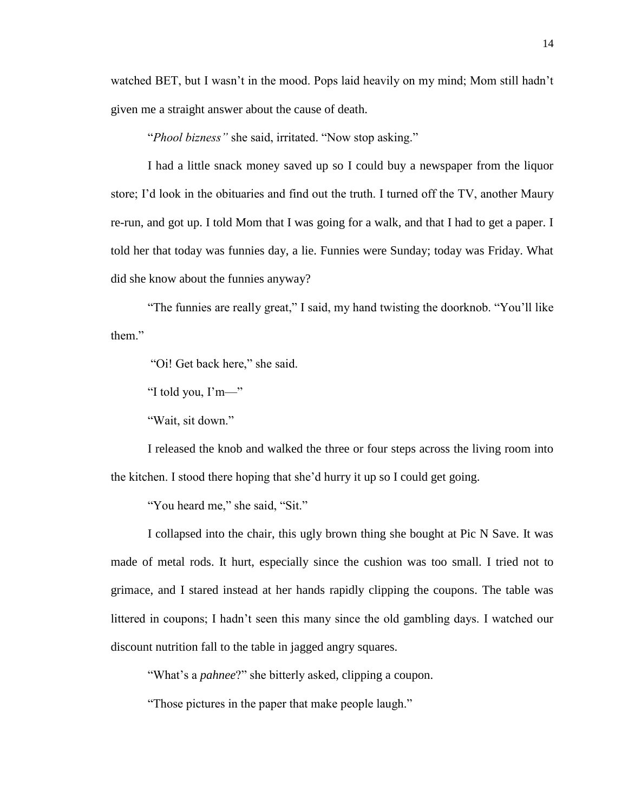watched BET, but I wasn't in the mood. Pops laid heavily on my mind; Mom still hadn't given me a straight answer about the cause of death.

"*Phool bizness"* she said, irritated. "Now stop asking."

I had a little snack money saved up so I could buy a newspaper from the liquor store; I'd look in the obituaries and find out the truth. I turned off the TV, another Maury re-run, and got up. I told Mom that I was going for a walk, and that I had to get a paper. I told her that today was funnies day, a lie. Funnies were Sunday; today was Friday. What did she know about the funnies anyway?

"The funnies are really great," I said, my hand twisting the doorknob. "You'll like them."

"Oi! Get back here," she said.

"I told you, I'm—"

"Wait, sit down."

I released the knob and walked the three or four steps across the living room into the kitchen. I stood there hoping that she'd hurry it up so I could get going.

"You heard me," she said, "Sit."

I collapsed into the chair, this ugly brown thing she bought at Pic N Save. It was made of metal rods. It hurt, especially since the cushion was too small. I tried not to grimace, and I stared instead at her hands rapidly clipping the coupons. The table was littered in coupons; I hadn't seen this many since the old gambling days. I watched our discount nutrition fall to the table in jagged angry squares.

"What's a *pahnee*?" she bitterly asked, clipping a coupon.

"Those pictures in the paper that make people laugh."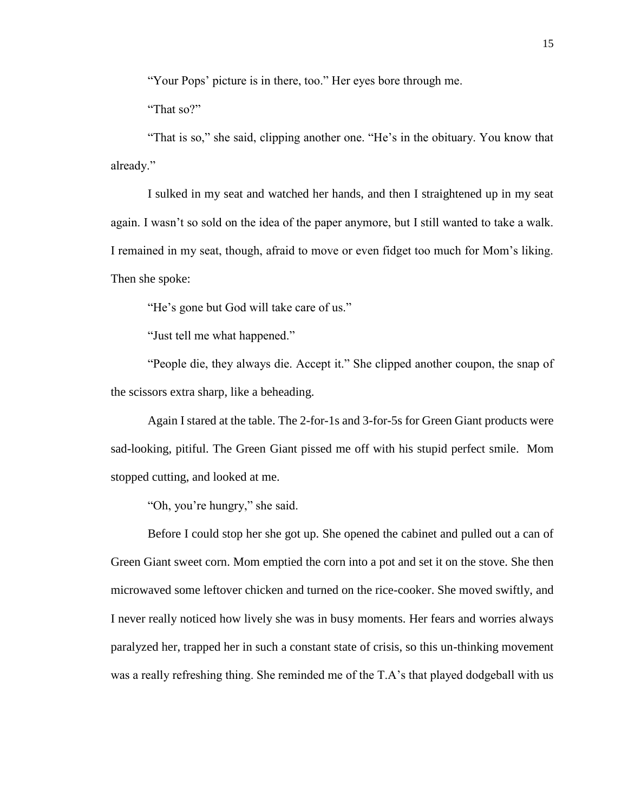"Your Pops' picture is in there, too." Her eyes bore through me.

"That so?"

"That is so," she said, clipping another one. "He's in the obituary. You know that already."

I sulked in my seat and watched her hands, and then I straightened up in my seat again. I wasn't so sold on the idea of the paper anymore, but I still wanted to take a walk. I remained in my seat, though, afraid to move or even fidget too much for Mom's liking. Then she spoke:

"He's gone but God will take care of us."

"Just tell me what happened."

"People die, they always die. Accept it." She clipped another coupon, the snap of the scissors extra sharp, like a beheading.

Again I stared at the table. The 2-for-1s and 3-for-5s for Green Giant products were sad-looking, pitiful. The Green Giant pissed me off with his stupid perfect smile. Mom stopped cutting, and looked at me.

"Oh, you're hungry," she said.

Before I could stop her she got up. She opened the cabinet and pulled out a can of Green Giant sweet corn. Mom emptied the corn into a pot and set it on the stove. She then microwaved some leftover chicken and turned on the rice-cooker. She moved swiftly, and I never really noticed how lively she was in busy moments. Her fears and worries always paralyzed her, trapped her in such a constant state of crisis, so this un-thinking movement was a really refreshing thing. She reminded me of the T.A's that played dodgeball with us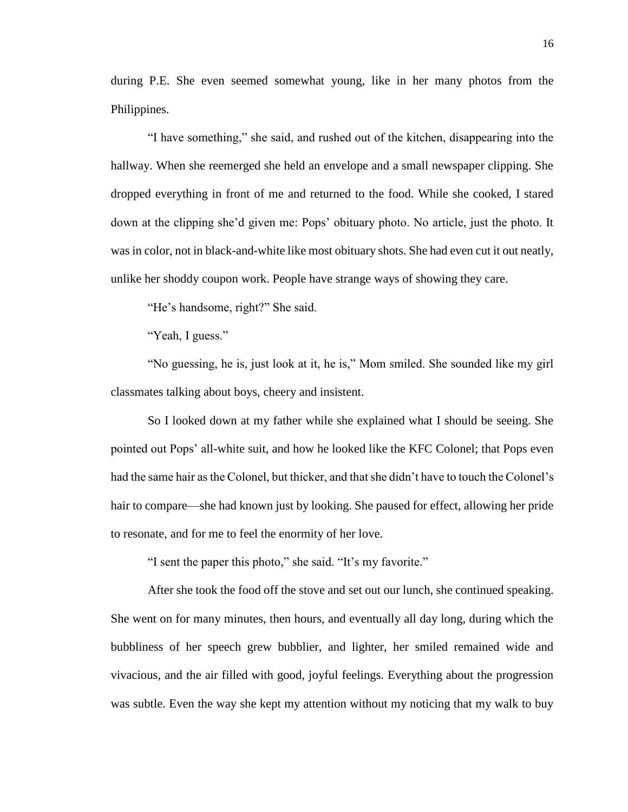during P.E. She even seemed somewhat young, like in her many photos from the Philippines.

"I have something," she said, and rushed out of the kitchen, disappearing into the hallway. When she reemerged she held an envelope and a small newspaper clipping. She dropped everything in front of me and returned to the food. While she cooked, I stared down at the clipping she'd given me: Pops' obituary photo. No article, just the photo. It was in color, not in black-and-white like most obituary shots. She had even cut it out neatly, unlike her shoddy coupon work. People have strange ways of showing they care.

"He's handsome, right?" She said.

"Yeah, I guess."

"No guessing, he is, just look at it, he is," Mom smiled. She sounded like my girl classmates talking about boys, cheery and insistent.

So I looked down at my father while she explained what I should be seeing. She pointed out Pops' all-white suit, and how he looked like the KFC Colonel; that Pops even had the same hair as the Colonel, but thicker, and that she didn't have to touch the Colonel's hair to compare—she had known just by looking. She paused for effect, allowing her pride to resonate, and for me to feel the enormity of her love.

"I sent the paper this photo," she said. "It's my favorite."

After she took the food off the stove and set out our lunch, she continued speaking. She went on for many minutes, then hours, and eventually all day long, during which the bubbliness of her speech grew bubblier, and lighter, her smiled remained wide and vivacious, and the air filled with good, joyful feelings. Everything about the progression was subtle. Even the way she kept my attention without my noticing that my walk to buy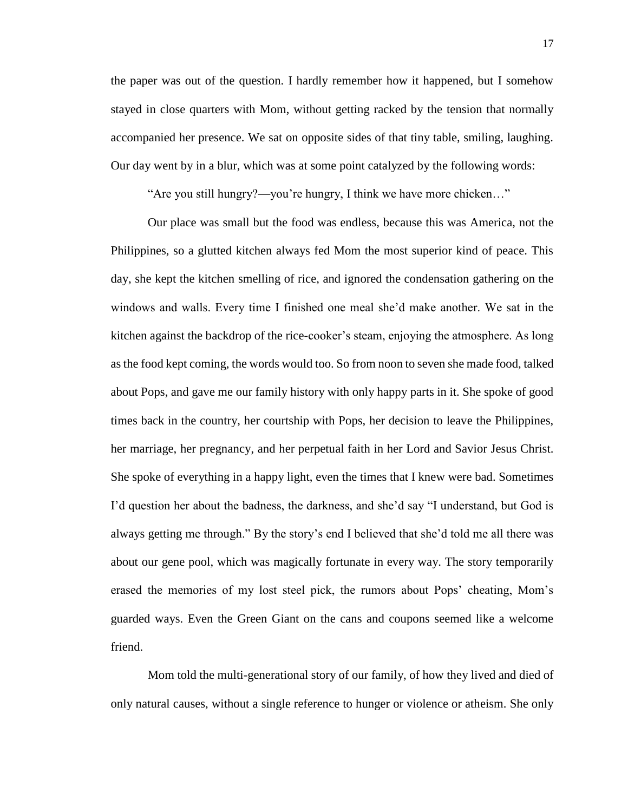the paper was out of the question. I hardly remember how it happened, but I somehow stayed in close quarters with Mom, without getting racked by the tension that normally accompanied her presence. We sat on opposite sides of that tiny table, smiling, laughing. Our day went by in a blur, which was at some point catalyzed by the following words:

"Are you still hungry?—you're hungry, I think we have more chicken…"

Our place was small but the food was endless, because this was America, not the Philippines, so a glutted kitchen always fed Mom the most superior kind of peace. This day, she kept the kitchen smelling of rice, and ignored the condensation gathering on the windows and walls. Every time I finished one meal she'd make another. We sat in the kitchen against the backdrop of the rice-cooker's steam, enjoying the atmosphere. As long as the food kept coming, the words would too. So from noon to seven she made food, talked about Pops, and gave me our family history with only happy parts in it. She spoke of good times back in the country, her courtship with Pops, her decision to leave the Philippines, her marriage, her pregnancy, and her perpetual faith in her Lord and Savior Jesus Christ. She spoke of everything in a happy light, even the times that I knew were bad. Sometimes I'd question her about the badness, the darkness, and she'd say "I understand, but God is always getting me through." By the story's end I believed that she'd told me all there was about our gene pool, which was magically fortunate in every way. The story temporarily erased the memories of my lost steel pick, the rumors about Pops' cheating, Mom's guarded ways. Even the Green Giant on the cans and coupons seemed like a welcome friend.

Mom told the multi-generational story of our family, of how they lived and died of only natural causes, without a single reference to hunger or violence or atheism. She only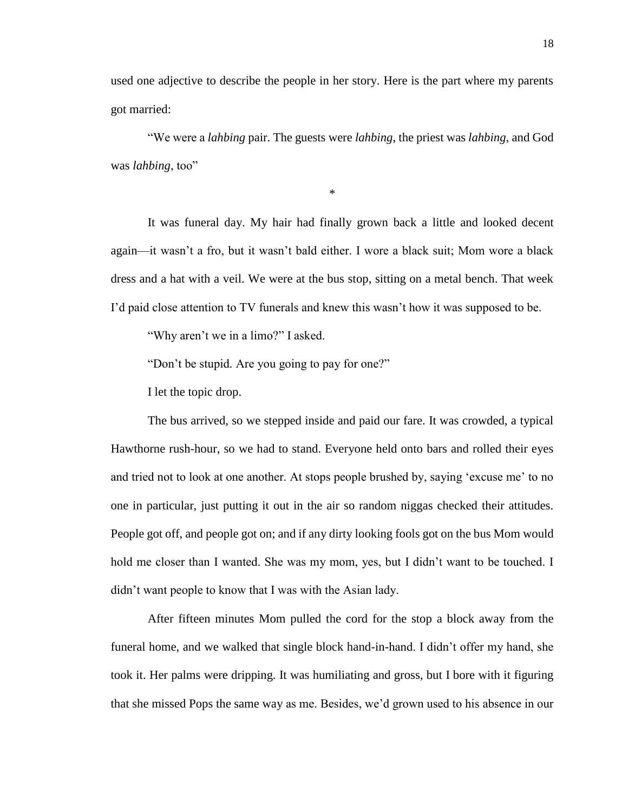used one adjective to describe the people in her story. Here is the part where my parents got married:

"We were a *lahbing* pair. The guests were *lahbing*, the priest was *lahbing*, and God was *lahbing*, too"

\*

It was funeral day. My hair had finally grown back a little and looked decent again—it wasn't a fro, but it wasn't bald either. I wore a black suit; Mom wore a black dress and a hat with a veil. We were at the bus stop, sitting on a metal bench. That week I'd paid close attention to TV funerals and knew this wasn't how it was supposed to be.

"Why aren't we in a limo?" I asked.

"Don't be stupid*.* Are you going to pay for one?"

I let the topic drop.

The bus arrived, so we stepped inside and paid our fare. It was crowded, a typical Hawthorne rush-hour, so we had to stand. Everyone held onto bars and rolled their eyes and tried not to look at one another. At stops people brushed by, saying 'excuse me' to no one in particular, just putting it out in the air so random niggas checked their attitudes. People got off, and people got on; and if any dirty looking fools got on the bus Mom would hold me closer than I wanted. She was my mom, yes, but I didn't want to be touched. I didn't want people to know that I was with the Asian lady.

After fifteen minutes Mom pulled the cord for the stop a block away from the funeral home, and we walked that single block hand-in-hand. I didn't offer my hand, she took it. Her palms were dripping. It was humiliating and gross, but I bore with it figuring that she missed Pops the same way as me. Besides, we'd grown used to his absence in our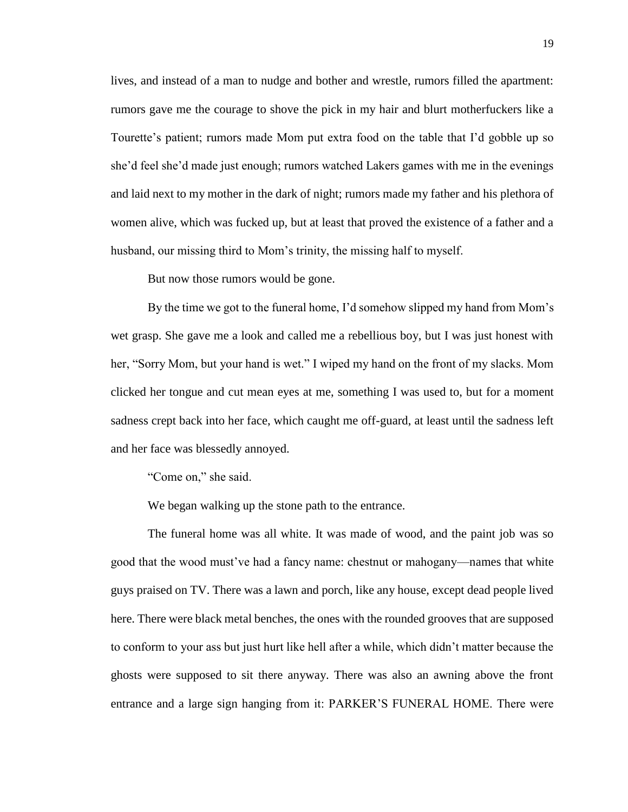lives, and instead of a man to nudge and bother and wrestle, rumors filled the apartment: rumors gave me the courage to shove the pick in my hair and blurt motherfuckers like a Tourette's patient; rumors made Mom put extra food on the table that I'd gobble up so she'd feel she'd made just enough; rumors watched Lakers games with me in the evenings and laid next to my mother in the dark of night; rumors made my father and his plethora of women alive, which was fucked up, but at least that proved the existence of a father and a husband, our missing third to Mom's trinity, the missing half to myself.

But now those rumors would be gone.

By the time we got to the funeral home, I'd somehow slipped my hand from Mom's wet grasp. She gave me a look and called me a rebellious boy, but I was just honest with her, "Sorry Mom, but your hand is wet." I wiped my hand on the front of my slacks. Mom clicked her tongue and cut mean eyes at me, something I was used to, but for a moment sadness crept back into her face, which caught me off-guard, at least until the sadness left and her face was blessedly annoyed.

"Come on," she said.

We began walking up the stone path to the entrance.

The funeral home was all white. It was made of wood, and the paint job was so good that the wood must've had a fancy name: chestnut or mahogany—names that white guys praised on TV. There was a lawn and porch, like any house, except dead people lived here. There were black metal benches, the ones with the rounded grooves that are supposed to conform to your ass but just hurt like hell after a while, which didn't matter because the ghosts were supposed to sit there anyway. There was also an awning above the front entrance and a large sign hanging from it: PARKER'S FUNERAL HOME. There were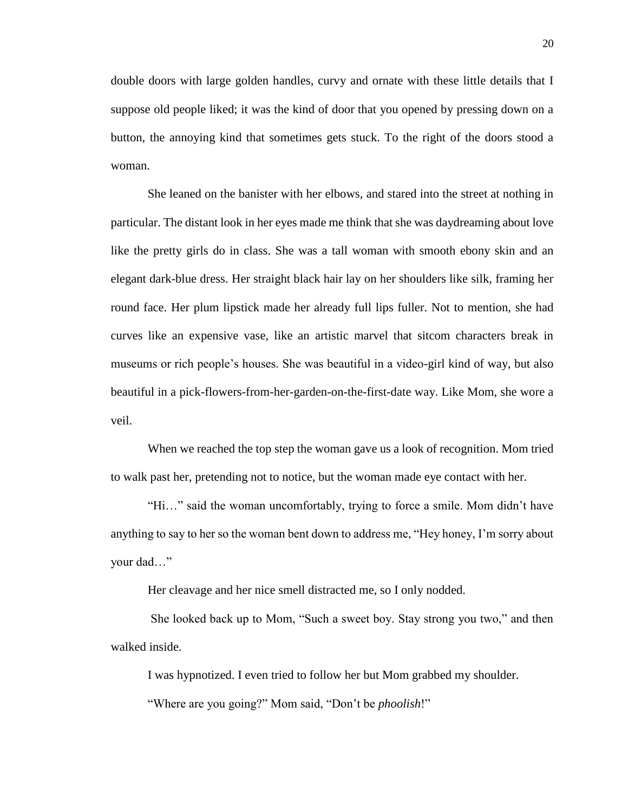double doors with large golden handles, curvy and ornate with these little details that I suppose old people liked; it was the kind of door that you opened by pressing down on a button, the annoying kind that sometimes gets stuck. To the right of the doors stood a woman.

She leaned on the banister with her elbows, and stared into the street at nothing in particular. The distant look in her eyes made me think that she was daydreaming about love like the pretty girls do in class. She was a tall woman with smooth ebony skin and an elegant dark-blue dress. Her straight black hair lay on her shoulders like silk, framing her round face. Her plum lipstick made her already full lips fuller. Not to mention, she had curves like an expensive vase, like an artistic marvel that sitcom characters break in museums or rich people's houses. She was beautiful in a video-girl kind of way, but also beautiful in a pick-flowers-from-her-garden-on-the-first-date way. Like Mom, she wore a veil.

When we reached the top step the woman gave us a look of recognition. Mom tried to walk past her, pretending not to notice, but the woman made eye contact with her.

"Hi…" said the woman uncomfortably, trying to force a smile. Mom didn't have anything to say to her so the woman bent down to address me, "Hey honey, I'm sorry about your dad…"

Her cleavage and her nice smell distracted me, so I only nodded.

She looked back up to Mom, "Such a sweet boy. Stay strong you two," and then walked inside.

I was hypnotized. I even tried to follow her but Mom grabbed my shoulder.

"Where are you going?" Mom said, "Don't be *phoolish*!"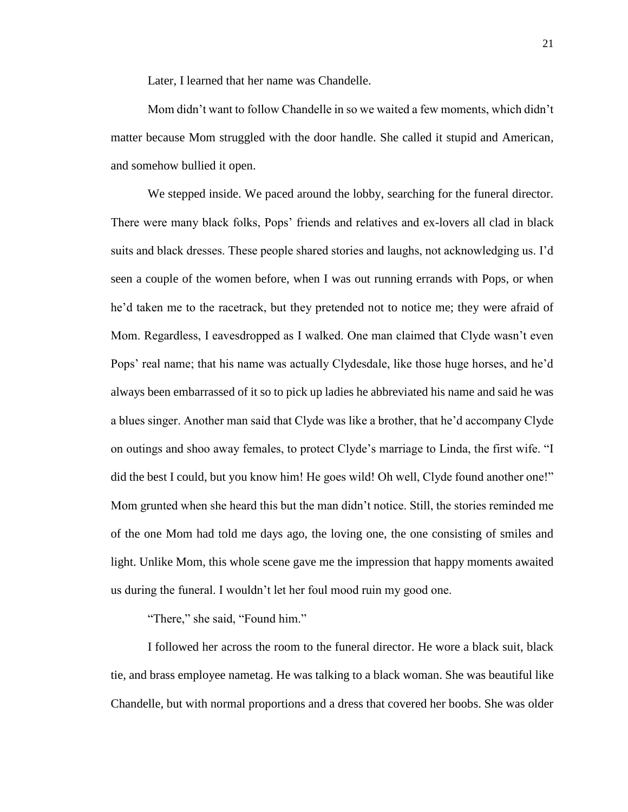Later, I learned that her name was Chandelle.

Mom didn't want to follow Chandelle in so we waited a few moments, which didn't matter because Mom struggled with the door handle. She called it stupid and American*,*  and somehow bullied it open.

We stepped inside. We paced around the lobby, searching for the funeral director. There were many black folks, Pops' friends and relatives and ex-lovers all clad in black suits and black dresses. These people shared stories and laughs, not acknowledging us. I'd seen a couple of the women before, when I was out running errands with Pops, or when he'd taken me to the racetrack, but they pretended not to notice me; they were afraid of Mom. Regardless, I eavesdropped as I walked. One man claimed that Clyde wasn't even Pops' real name; that his name was actually Clydesdale, like those huge horses, and he'd always been embarrassed of it so to pick up ladies he abbreviated his name and said he was a blues singer. Another man said that Clyde was like a brother, that he'd accompany Clyde on outings and shoo away females, to protect Clyde's marriage to Linda, the first wife. "I did the best I could, but you know him! He goes wild! Oh well, Clyde found another one!" Mom grunted when she heard this but the man didn't notice. Still, the stories reminded me of the one Mom had told me days ago, the loving one, the one consisting of smiles and light. Unlike Mom, this whole scene gave me the impression that happy moments awaited us during the funeral. I wouldn't let her foul mood ruin my good one.

"There," she said, "Found him."

I followed her across the room to the funeral director. He wore a black suit, black tie, and brass employee nametag. He was talking to a black woman. She was beautiful like Chandelle, but with normal proportions and a dress that covered her boobs. She was older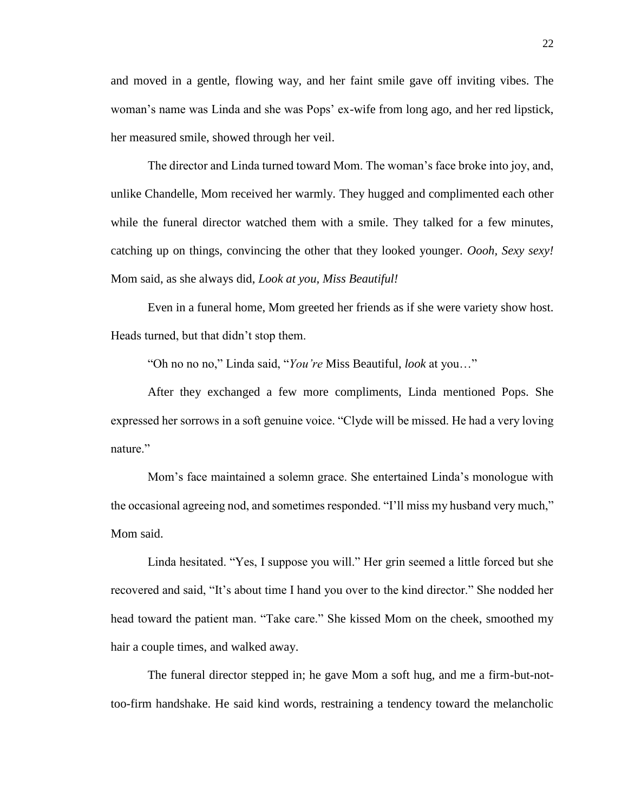and moved in a gentle, flowing way, and her faint smile gave off inviting vibes. The woman's name was Linda and she was Pops' ex-wife from long ago, and her red lipstick, her measured smile, showed through her veil.

The director and Linda turned toward Mom. The woman's face broke into joy, and, unlike Chandelle, Mom received her warmly. They hugged and complimented each other while the funeral director watched them with a smile. They talked for a few minutes, catching up on things, convincing the other that they looked younger. *Oooh, Sexy sexy!*  Mom said, as she always did, *Look at you, Miss Beautiful!*

Even in a funeral home, Mom greeted her friends as if she were variety show host. Heads turned, but that didn't stop them.

"Oh no no no," Linda said, "*You're* Miss Beautiful, *look* at you…"

After they exchanged a few more compliments, Linda mentioned Pops. She expressed her sorrows in a soft genuine voice. "Clyde will be missed. He had a very loving nature<sup>"</sup>

Mom's face maintained a solemn grace. She entertained Linda's monologue with the occasional agreeing nod, and sometimes responded. "I'll miss my husband very much," Mom said.

Linda hesitated. "Yes, I suppose you will." Her grin seemed a little forced but she recovered and said, "It's about time I hand you over to the kind director." She nodded her head toward the patient man. "Take care." She kissed Mom on the cheek, smoothed my hair a couple times, and walked away.

The funeral director stepped in; he gave Mom a soft hug, and me a firm-but-nottoo-firm handshake. He said kind words, restraining a tendency toward the melancholic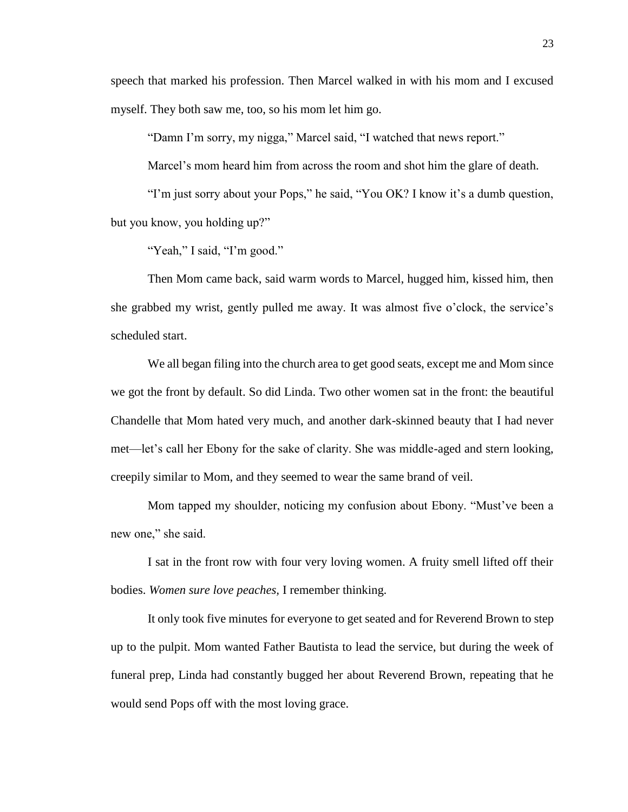speech that marked his profession. Then Marcel walked in with his mom and I excused myself. They both saw me, too, so his mom let him go.

"Damn I'm sorry, my nigga," Marcel said, "I watched that news report."

Marcel's mom heard him from across the room and shot him the glare of death.

"I'm just sorry about your Pops," he said, "You OK? I know it's a dumb question, but you know, you holding up?"

"Yeah," I said, "I'm good."

Then Mom came back, said warm words to Marcel, hugged him, kissed him, then she grabbed my wrist, gently pulled me away. It was almost five o'clock, the service's scheduled start.

We all began filing into the church area to get good seats, except me and Mom since we got the front by default. So did Linda. Two other women sat in the front: the beautiful Chandelle that Mom hated very much, and another dark-skinned beauty that I had never met—let's call her Ebony for the sake of clarity. She was middle-aged and stern looking, creepily similar to Mom, and they seemed to wear the same brand of veil.

Mom tapped my shoulder, noticing my confusion about Ebony. "Must've been a new one," she said.

I sat in the front row with four very loving women. A fruity smell lifted off their bodies. *Women sure love peaches,* I remember thinking.

It only took five minutes for everyone to get seated and for Reverend Brown to step up to the pulpit. Mom wanted Father Bautista to lead the service, but during the week of funeral prep, Linda had constantly bugged her about Reverend Brown, repeating that he would send Pops off with the most loving grace.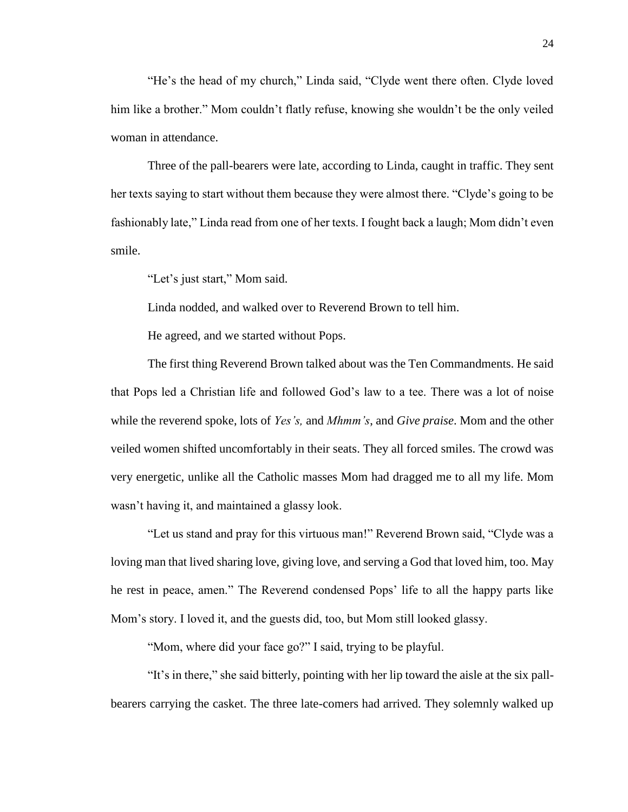"He's the head of my church," Linda said, "Clyde went there often. Clyde loved him like a brother." Mom couldn't flatly refuse, knowing she wouldn't be the only veiled woman in attendance.

Three of the pall-bearers were late, according to Linda, caught in traffic. They sent her texts saying to start without them because they were almost there. "Clyde's going to be fashionably late," Linda read from one of her texts. I fought back a laugh; Mom didn't even smile.

"Let's just start," Mom said.

Linda nodded, and walked over to Reverend Brown to tell him.

He agreed, and we started without Pops.

The first thing Reverend Brown talked about was the Ten Commandments. He said that Pops led a Christian life and followed God's law to a tee. There was a lot of noise while the reverend spoke, lots of *Yes's,* and *Mhmm's*, and *Give praise*. Mom and the other veiled women shifted uncomfortably in their seats. They all forced smiles. The crowd was very energetic, unlike all the Catholic masses Mom had dragged me to all my life. Mom wasn't having it, and maintained a glassy look.

"Let us stand and pray for this virtuous man!" Reverend Brown said, "Clyde was a loving man that lived sharing love, giving love, and serving a God that loved him, too. May he rest in peace, amen." The Reverend condensed Pops' life to all the happy parts like Mom's story. I loved it, and the guests did, too, but Mom still looked glassy.

"Mom, where did your face go?" I said, trying to be playful.

"It's in there," she said bitterly, pointing with her lip toward the aisle at the six pallbearers carrying the casket. The three late-comers had arrived. They solemnly walked up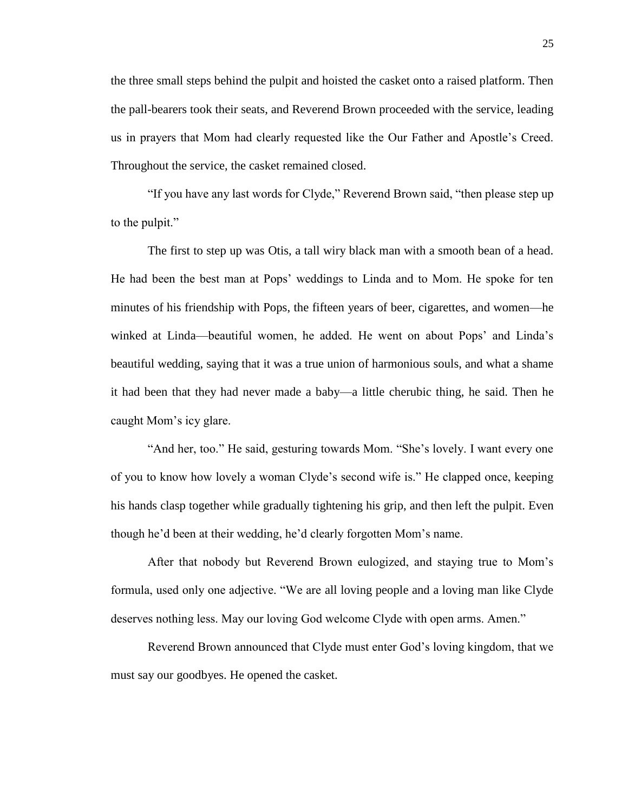the three small steps behind the pulpit and hoisted the casket onto a raised platform. Then the pall-bearers took their seats, and Reverend Brown proceeded with the service, leading us in prayers that Mom had clearly requested like the Our Father and Apostle's Creed. Throughout the service, the casket remained closed.

"If you have any last words for Clyde," Reverend Brown said, "then please step up to the pulpit."

The first to step up was Otis, a tall wiry black man with a smooth bean of a head. He had been the best man at Pops' weddings to Linda and to Mom. He spoke for ten minutes of his friendship with Pops, the fifteen years of beer, cigarettes, and women—he winked at Linda—beautiful women, he added. He went on about Pops' and Linda's beautiful wedding, saying that it was a true union of harmonious souls, and what a shame it had been that they had never made a baby—a little cherubic thing, he said. Then he caught Mom's icy glare.

"And her, too." He said, gesturing towards Mom. "She's lovely. I want every one of you to know how lovely a woman Clyde's second wife is." He clapped once, keeping his hands clasp together while gradually tightening his grip, and then left the pulpit. Even though he'd been at their wedding, he'd clearly forgotten Mom's name.

After that nobody but Reverend Brown eulogized, and staying true to Mom's formula, used only one adjective. "We are all loving people and a loving man like Clyde deserves nothing less. May our loving God welcome Clyde with open arms. Amen."

Reverend Brown announced that Clyde must enter God's loving kingdom, that we must say our goodbyes. He opened the casket.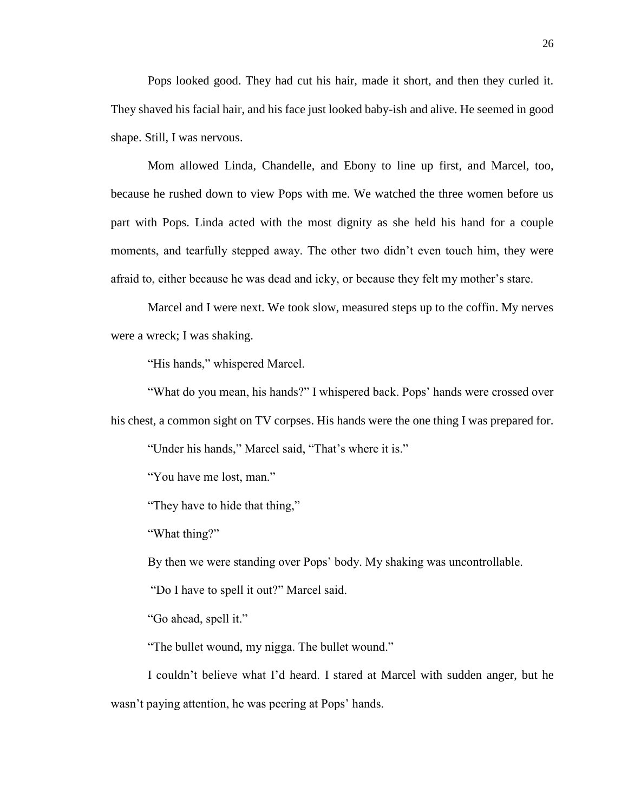Pops looked good. They had cut his hair, made it short, and then they curled it. They shaved his facial hair, and his face just looked baby-ish and alive. He seemed in good shape. Still, I was nervous.

Mom allowed Linda, Chandelle, and Ebony to line up first, and Marcel, too, because he rushed down to view Pops with me. We watched the three women before us part with Pops. Linda acted with the most dignity as she held his hand for a couple moments, and tearfully stepped away. The other two didn't even touch him, they were afraid to, either because he was dead and icky, or because they felt my mother's stare.

Marcel and I were next. We took slow, measured steps up to the coffin. My nerves were a wreck; I was shaking.

"His hands," whispered Marcel.

"What do you mean, his hands?" I whispered back. Pops' hands were crossed over his chest, a common sight on TV corpses. His hands were the one thing I was prepared for.

"Under his hands," Marcel said, "That's where it is."

"You have me lost, man."

"They have to hide that thing,"

"What thing?"

By then we were standing over Pops' body. My shaking was uncontrollable.

"Do I have to spell it out?" Marcel said.

"Go ahead, spell it."

"The bullet wound, my nigga. The bullet wound."

I couldn't believe what I'd heard. I stared at Marcel with sudden anger, but he wasn't paying attention, he was peering at Pops' hands.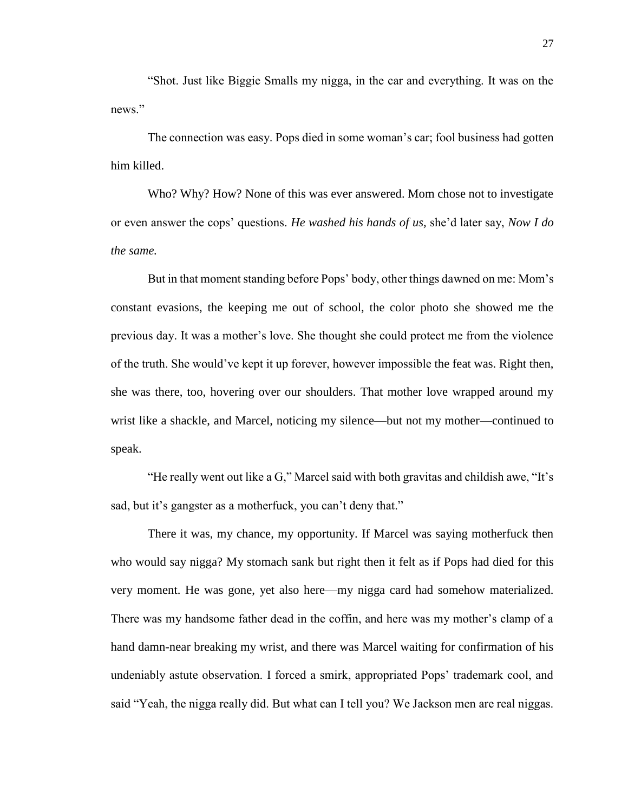"Shot. Just like Biggie Smalls my nigga, in the car and everything. It was on the news."

The connection was easy. Pops died in some woman's car; fool business had gotten him killed.

Who? Why? How? None of this was ever answered. Mom chose not to investigate or even answer the cops' questions. *He washed his hands of us,* she'd later say, *Now I do the same.* 

But in that moment standing before Pops' body, other things dawned on me: Mom's constant evasions, the keeping me out of school, the color photo she showed me the previous day. It was a mother's love. She thought she could protect me from the violence of the truth. She would've kept it up forever, however impossible the feat was. Right then, she was there, too, hovering over our shoulders. That mother love wrapped around my wrist like a shackle, and Marcel, noticing my silence—but not my mother—continued to speak.

"He really went out like a G," Marcel said with both gravitas and childish awe, "It's sad, but it's gangster as a motherfuck, you can't deny that."

There it was, my chance, my opportunity. If Marcel was saying motherfuck then who would say nigga? My stomach sank but right then it felt as if Pops had died for this very moment. He was gone, yet also here—my nigga card had somehow materialized. There was my handsome father dead in the coffin, and here was my mother's clamp of a hand damn-near breaking my wrist, and there was Marcel waiting for confirmation of his undeniably astute observation. I forced a smirk, appropriated Pops' trademark cool, and said "Yeah, the nigga really did. But what can I tell you? We Jackson men are real niggas.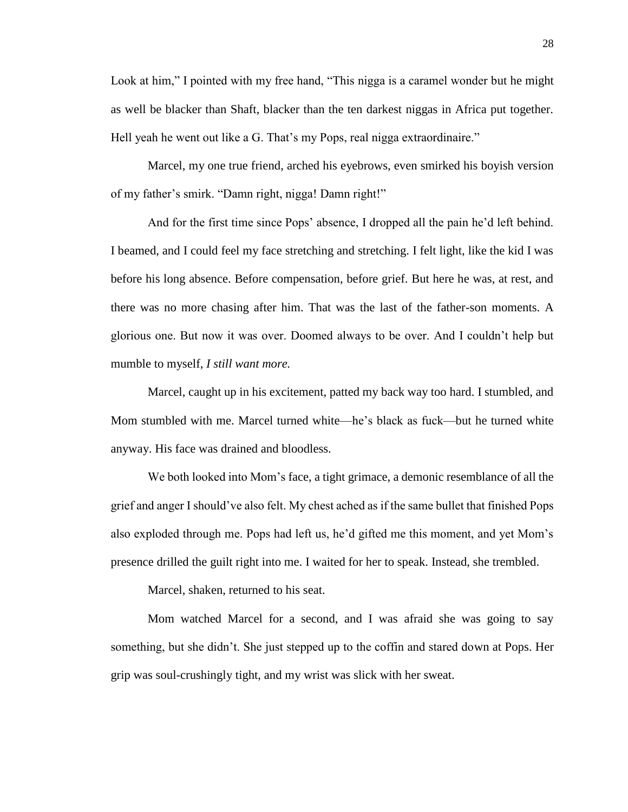Look at him," I pointed with my free hand, "This nigga is a caramel wonder but he might as well be blacker than Shaft, blacker than the ten darkest niggas in Africa put together. Hell yeah he went out like a G. That's my Pops, real nigga extraordinaire."

Marcel, my one true friend, arched his eyebrows, even smirked his boyish version of my father's smirk. "Damn right, nigga! Damn right!"

And for the first time since Pops' absence, I dropped all the pain he'd left behind. I beamed, and I could feel my face stretching and stretching. I felt light, like the kid I was before his long absence. Before compensation, before grief. But here he was, at rest, and there was no more chasing after him. That was the last of the father-son moments. A glorious one. But now it was over. Doomed always to be over. And I couldn't help but mumble to myself, *I still want more.*

Marcel, caught up in his excitement, patted my back way too hard. I stumbled, and Mom stumbled with me. Marcel turned white—he's black as fuck—but he turned white anyway. His face was drained and bloodless.

We both looked into Mom's face, a tight grimace, a demonic resemblance of all the grief and anger I should've also felt. My chest ached as if the same bullet that finished Pops also exploded through me. Pops had left us, he'd gifted me this moment, and yet Mom's presence drilled the guilt right into me. I waited for her to speak. Instead, she trembled.

Marcel, shaken, returned to his seat.

Mom watched Marcel for a second, and I was afraid she was going to say something, but she didn't. She just stepped up to the coffin and stared down at Pops. Her grip was soul-crushingly tight, and my wrist was slick with her sweat.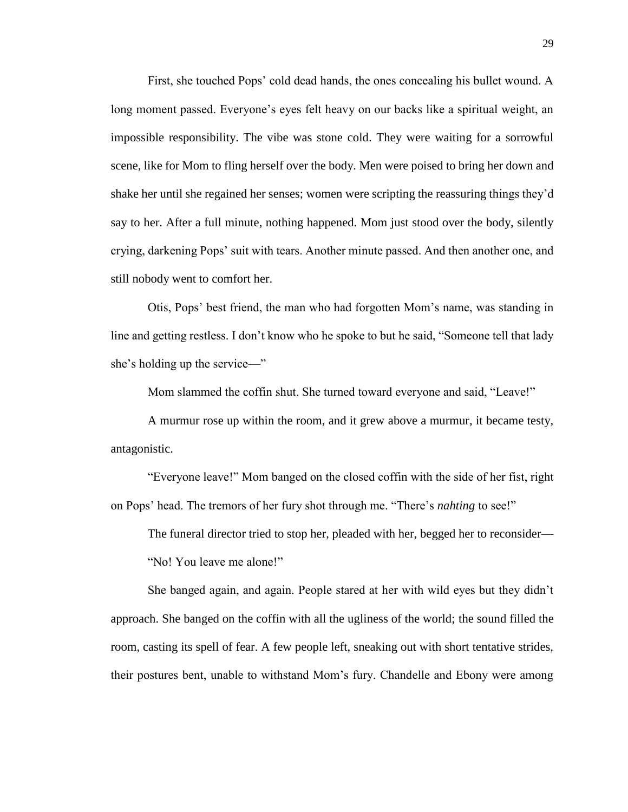First, she touched Pops' cold dead hands, the ones concealing his bullet wound. A long moment passed. Everyone's eyes felt heavy on our backs like a spiritual weight, an impossible responsibility. The vibe was stone cold. They were waiting for a sorrowful scene, like for Mom to fling herself over the body. Men were poised to bring her down and shake her until she regained her senses; women were scripting the reassuring things they'd say to her. After a full minute, nothing happened. Mom just stood over the body, silently crying, darkening Pops' suit with tears. Another minute passed. And then another one, and still nobody went to comfort her.

Otis, Pops' best friend, the man who had forgotten Mom's name, was standing in line and getting restless. I don't know who he spoke to but he said, "Someone tell that lady she's holding up the service—"

Mom slammed the coffin shut. She turned toward everyone and said, "Leave!"

A murmur rose up within the room, and it grew above a murmur, it became testy, antagonistic.

"Everyone leave!" Mom banged on the closed coffin with the side of her fist, right on Pops' head. The tremors of her fury shot through me. "There's *nahting* to see!"

The funeral director tried to stop her, pleaded with her, begged her to reconsider— "No! You leave me alone!"

She banged again, and again. People stared at her with wild eyes but they didn't approach. She banged on the coffin with all the ugliness of the world; the sound filled the room, casting its spell of fear. A few people left, sneaking out with short tentative strides, their postures bent, unable to withstand Mom's fury. Chandelle and Ebony were among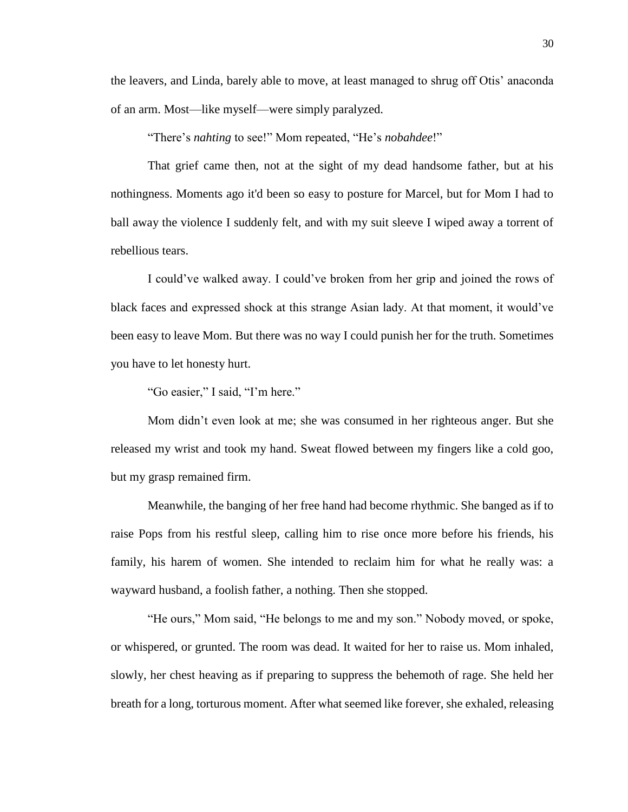the leavers, and Linda, barely able to move, at least managed to shrug off Otis' anaconda of an arm. Most—like myself—were simply paralyzed.

"There's *nahting* to see!" Mom repeated, "He's *nobahdee*!"

That grief came then, not at the sight of my dead handsome father, but at his nothingness. Moments ago it'd been so easy to posture for Marcel, but for Mom I had to ball away the violence I suddenly felt, and with my suit sleeve I wiped away a torrent of rebellious tears.

I could've walked away. I could've broken from her grip and joined the rows of black faces and expressed shock at this strange Asian lady. At that moment, it would've been easy to leave Mom. But there was no way I could punish her for the truth. Sometimes you have to let honesty hurt.

"Go easier," I said, "I'm here."

Mom didn't even look at me; she was consumed in her righteous anger. But she released my wrist and took my hand. Sweat flowed between my fingers like a cold goo, but my grasp remained firm.

Meanwhile, the banging of her free hand had become rhythmic. She banged as if to raise Pops from his restful sleep, calling him to rise once more before his friends, his family, his harem of women. She intended to reclaim him for what he really was: a wayward husband, a foolish father, a nothing. Then she stopped.

"He ours," Mom said, "He belongs to me and my son." Nobody moved, or spoke, or whispered, or grunted. The room was dead. It waited for her to raise us. Mom inhaled, slowly, her chest heaving as if preparing to suppress the behemoth of rage. She held her breath for a long, torturous moment. After what seemed like forever, she exhaled, releasing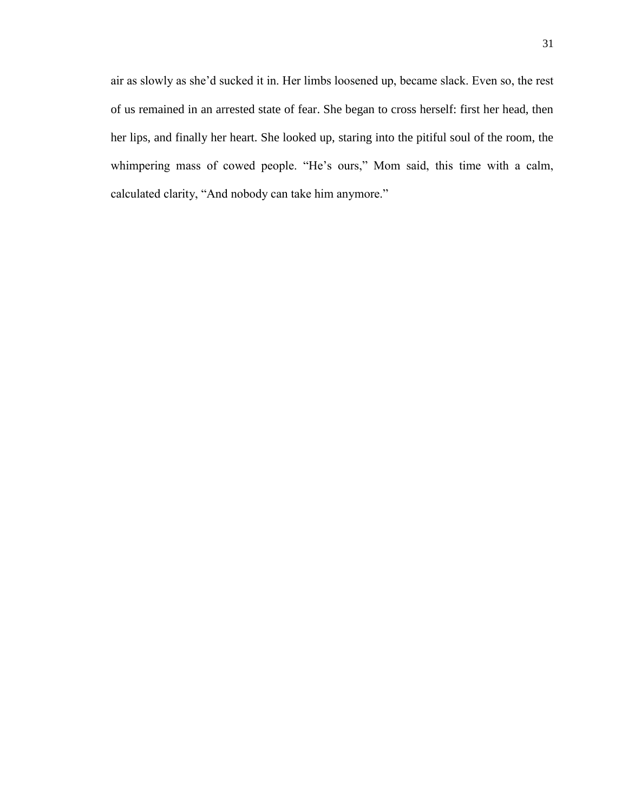air as slowly as she'd sucked it in. Her limbs loosened up, became slack. Even so, the rest of us remained in an arrested state of fear. She began to cross herself: first her head, then her lips, and finally her heart. She looked up, staring into the pitiful soul of the room, the whimpering mass of cowed people. "He's ours," Mom said, this time with a calm, calculated clarity, "And nobody can take him anymore."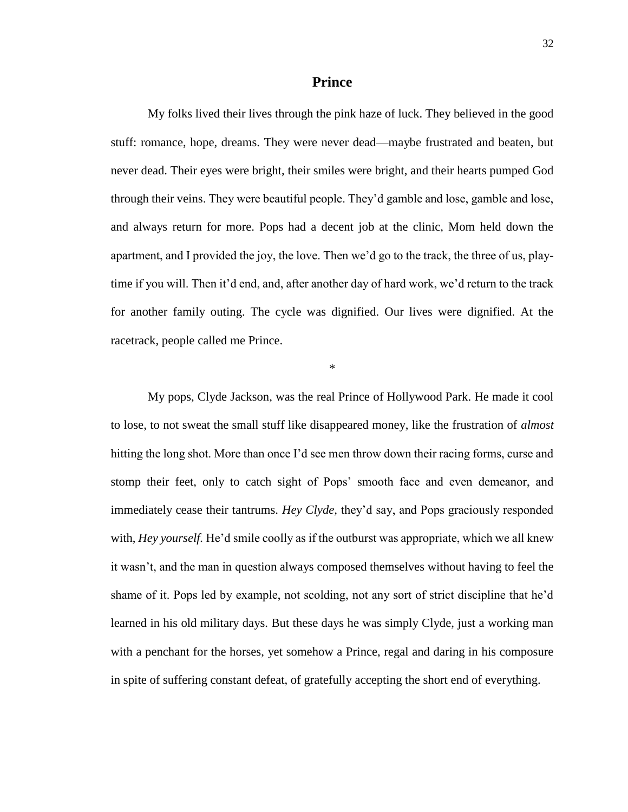#### **Prince**

My folks lived their lives through the pink haze of luck. They believed in the good stuff: romance, hope, dreams. They were never dead—maybe frustrated and beaten, but never dead. Their eyes were bright, their smiles were bright, and their hearts pumped God through their veins. They were beautiful people. They'd gamble and lose, gamble and lose, and always return for more. Pops had a decent job at the clinic, Mom held down the apartment, and I provided the joy, the love. Then we'd go to the track, the three of us, playtime if you will. Then it'd end, and, after another day of hard work, we'd return to the track for another family outing. The cycle was dignified. Our lives were dignified. At the racetrack, people called me Prince.

\*

My pops, Clyde Jackson, was the real Prince of Hollywood Park. He made it cool to lose, to not sweat the small stuff like disappeared money, like the frustration of *almost*  hitting the long shot. More than once I'd see men throw down their racing forms, curse and stomp their feet, only to catch sight of Pops' smooth face and even demeanor, and immediately cease their tantrums. *Hey Clyde,* they'd say, and Pops graciously responded with, *Hey yourself.* He'd smile coolly as if the outburst was appropriate, which we all knew it wasn't, and the man in question always composed themselves without having to feel the shame of it. Pops led by example, not scolding, not any sort of strict discipline that he'd learned in his old military days. But these days he was simply Clyde, just a working man with a penchant for the horses, yet somehow a Prince, regal and daring in his composure in spite of suffering constant defeat, of gratefully accepting the short end of everything.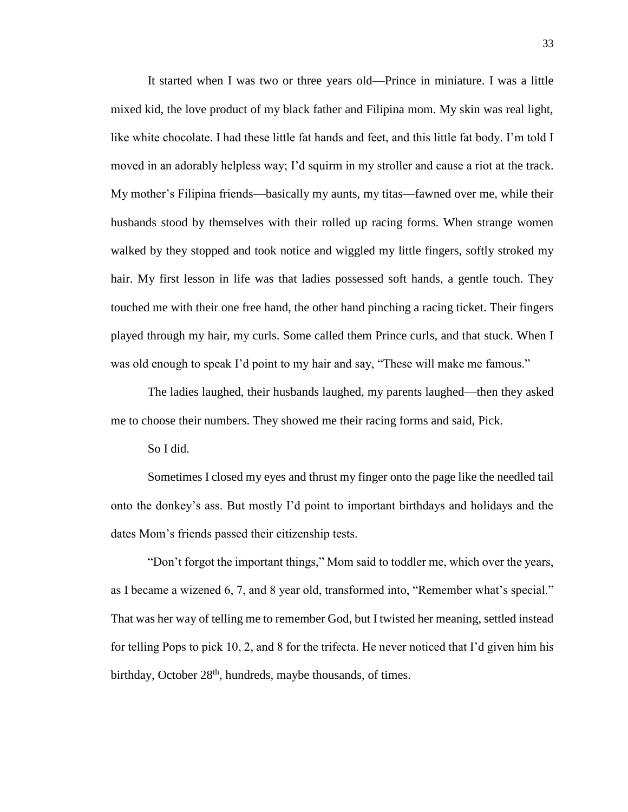It started when I was two or three years old—Prince in miniature. I was a little mixed kid, the love product of my black father and Filipina mom. My skin was real light, like white chocolate. I had these little fat hands and feet, and this little fat body. I'm told I moved in an adorably helpless way; I'd squirm in my stroller and cause a riot at the track. My mother's Filipina friends—basically my aunts, my titas—fawned over me, while their husbands stood by themselves with their rolled up racing forms. When strange women walked by they stopped and took notice and wiggled my little fingers, softly stroked my hair. My first lesson in life was that ladies possessed soft hands, a gentle touch. They touched me with their one free hand, the other hand pinching a racing ticket. Their fingers played through my hair, my curls. Some called them Prince curls, and that stuck. When I was old enough to speak I'd point to my hair and say, "These will make me famous."

The ladies laughed, their husbands laughed, my parents laughed—then they asked me to choose their numbers. They showed me their racing forms and said, Pick.

So I did.

Sometimes I closed my eyes and thrust my finger onto the page like the needled tail onto the donkey's ass. But mostly I'd point to important birthdays and holidays and the dates Mom's friends passed their citizenship tests.

"Don't forgot the important things," Mom said to toddler me, which over the years, as I became a wizened 6, 7, and 8 year old, transformed into, "Remember what's special." That was her way of telling me to remember God, but I twisted her meaning, settled instead for telling Pops to pick 10, 2, and 8 for the trifecta. He never noticed that I'd given him his birthday, October  $28<sup>th</sup>$ , hundreds, maybe thousands, of times.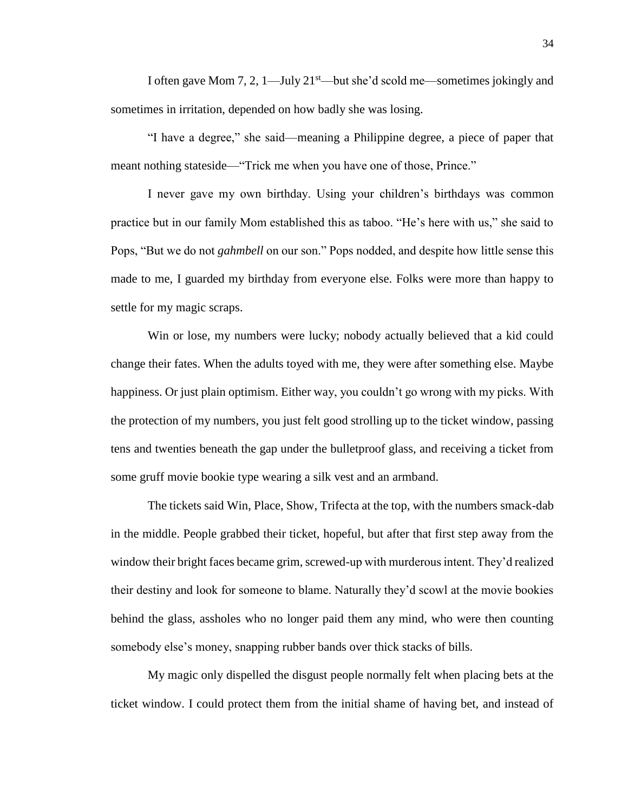I often gave Mom 7, 2,  $1$ —July  $21<sup>st</sup>$ —but she'd scold me—sometimes jokingly and sometimes in irritation, depended on how badly she was losing.

"I have a degree," she said—meaning a Philippine degree, a piece of paper that meant nothing stateside—"Trick me when you have one of those, Prince."

I never gave my own birthday. Using your children's birthdays was common practice but in our family Mom established this as taboo. "He's here with us," she said to Pops, "But we do not *gahmbell* on our son." Pops nodded, and despite how little sense this made to me, I guarded my birthday from everyone else. Folks were more than happy to settle for my magic scraps.

Win or lose, my numbers were lucky; nobody actually believed that a kid could change their fates. When the adults toyed with me, they were after something else. Maybe happiness. Or just plain optimism. Either way, you couldn't go wrong with my picks. With the protection of my numbers, you just felt good strolling up to the ticket window, passing tens and twenties beneath the gap under the bulletproof glass, and receiving a ticket from some gruff movie bookie type wearing a silk vest and an armband.

The tickets said Win, Place, Show, Trifecta at the top, with the numbers smack-dab in the middle. People grabbed their ticket, hopeful, but after that first step away from the window their bright faces became grim, screwed-up with murderous intent. They'd realized their destiny and look for someone to blame. Naturally they'd scowl at the movie bookies behind the glass, assholes who no longer paid them any mind, who were then counting somebody else's money, snapping rubber bands over thick stacks of bills.

My magic only dispelled the disgust people normally felt when placing bets at the ticket window. I could protect them from the initial shame of having bet, and instead of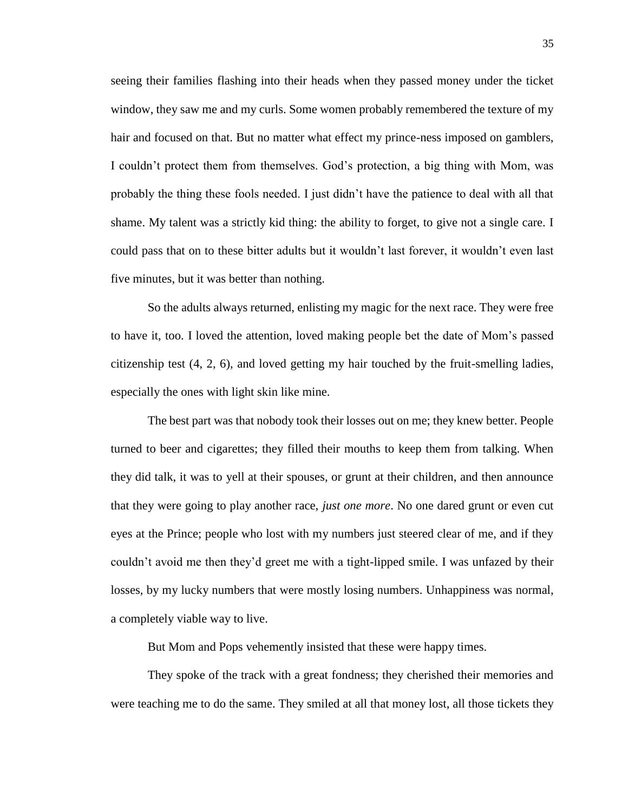seeing their families flashing into their heads when they passed money under the ticket window, they saw me and my curls. Some women probably remembered the texture of my hair and focused on that. But no matter what effect my prince-ness imposed on gamblers, I couldn't protect them from themselves. God's protection, a big thing with Mom, was probably the thing these fools needed. I just didn't have the patience to deal with all that shame. My talent was a strictly kid thing: the ability to forget, to give not a single care. I could pass that on to these bitter adults but it wouldn't last forever, it wouldn't even last five minutes, but it was better than nothing.

So the adults always returned, enlisting my magic for the next race. They were free to have it, too. I loved the attention, loved making people bet the date of Mom's passed citizenship test (4, 2, 6), and loved getting my hair touched by the fruit-smelling ladies, especially the ones with light skin like mine.

The best part was that nobody took their losses out on me; they knew better. People turned to beer and cigarettes; they filled their mouths to keep them from talking. When they did talk, it was to yell at their spouses, or grunt at their children, and then announce that they were going to play another race, *just one more*. No one dared grunt or even cut eyes at the Prince; people who lost with my numbers just steered clear of me, and if they couldn't avoid me then they'd greet me with a tight-lipped smile. I was unfazed by their losses, by my lucky numbers that were mostly losing numbers. Unhappiness was normal, a completely viable way to live.

But Mom and Pops vehemently insisted that these were happy times.

They spoke of the track with a great fondness; they cherished their memories and were teaching me to do the same. They smiled at all that money lost, all those tickets they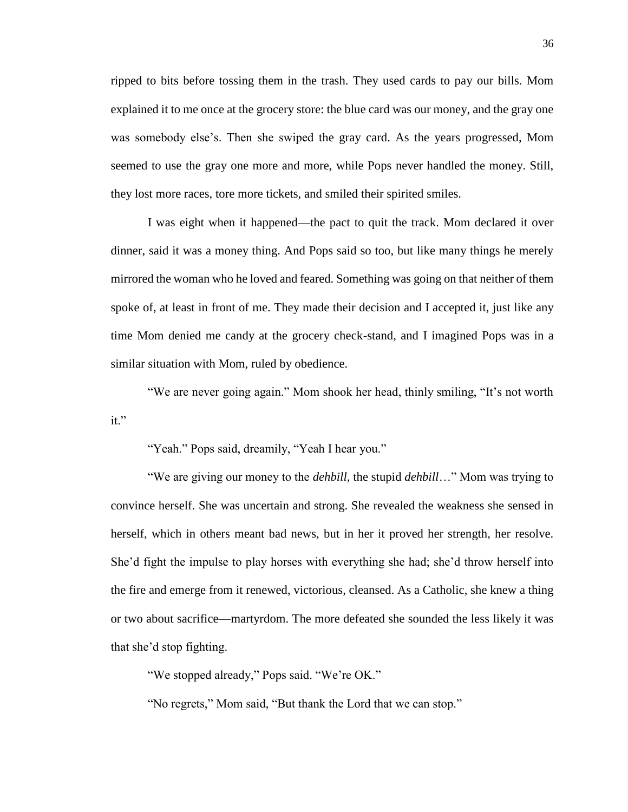ripped to bits before tossing them in the trash. They used cards to pay our bills. Mom explained it to me once at the grocery store: the blue card was our money, and the gray one was somebody else's. Then she swiped the gray card. As the years progressed, Mom seemed to use the gray one more and more, while Pops never handled the money. Still, they lost more races, tore more tickets, and smiled their spirited smiles.

I was eight when it happened—the pact to quit the track. Mom declared it over dinner, said it was a money thing. And Pops said so too, but like many things he merely mirrored the woman who he loved and feared. Something was going on that neither of them spoke of, at least in front of me. They made their decision and I accepted it, just like any time Mom denied me candy at the grocery check-stand, and I imagined Pops was in a similar situation with Mom, ruled by obedience.

"We are never going again." Mom shook her head, thinly smiling, "It's not worth it."

"Yeah." Pops said, dreamily, "Yeah I hear you."

"We are giving our money to the *dehbill,* the stupid *dehbill*…" Mom was trying to convince herself. She was uncertain and strong. She revealed the weakness she sensed in herself, which in others meant bad news, but in her it proved her strength, her resolve. She'd fight the impulse to play horses with everything she had; she'd throw herself into the fire and emerge from it renewed, victorious, cleansed. As a Catholic, she knew a thing or two about sacrifice—martyrdom. The more defeated she sounded the less likely it was that she'd stop fighting.

"We stopped already," Pops said. "We're OK."

"No regrets," Mom said, "But thank the Lord that we can stop."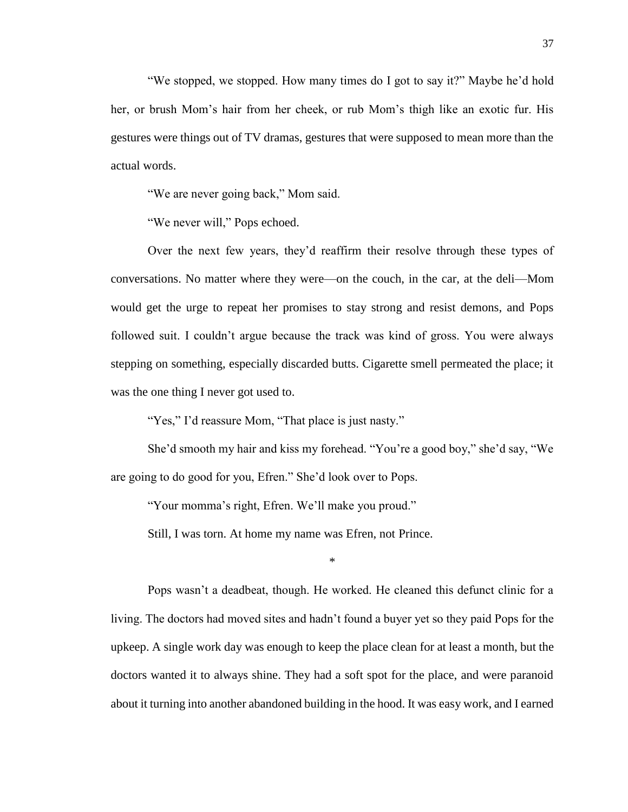"We stopped, we stopped. How many times do I got to say it?" Maybe he'd hold her, or brush Mom's hair from her cheek, or rub Mom's thigh like an exotic fur. His gestures were things out of TV dramas, gestures that were supposed to mean more than the actual words.

"We are never going back," Mom said.

"We never will," Pops echoed.

Over the next few years, they'd reaffirm their resolve through these types of conversations. No matter where they were—on the couch, in the car, at the deli—Mom would get the urge to repeat her promises to stay strong and resist demons, and Pops followed suit. I couldn't argue because the track was kind of gross. You were always stepping on something, especially discarded butts. Cigarette smell permeated the place; it was the one thing I never got used to.

"Yes," I'd reassure Mom, "That place is just nasty."

She'd smooth my hair and kiss my forehead. "You're a good boy," she'd say, "We are going to do good for you, Efren." She'd look over to Pops.

"Your momma's right, Efren. We'll make you proud."

Still, I was torn. At home my name was Efren, not Prince.

\*

Pops wasn't a deadbeat, though. He worked. He cleaned this defunct clinic for a living. The doctors had moved sites and hadn't found a buyer yet so they paid Pops for the upkeep. A single work day was enough to keep the place clean for at least a month, but the doctors wanted it to always shine. They had a soft spot for the place, and were paranoid about it turning into another abandoned building in the hood. It was easy work, and I earned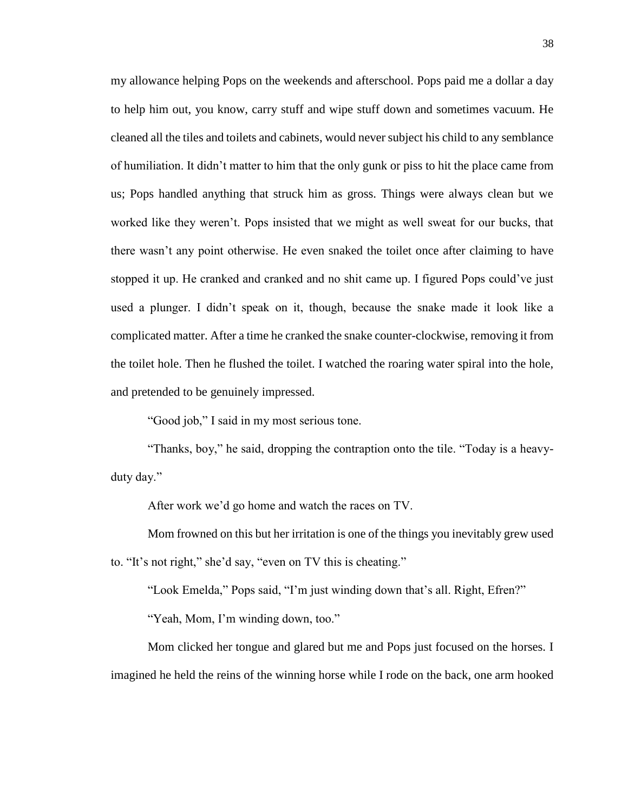my allowance helping Pops on the weekends and afterschool. Pops paid me a dollar a day to help him out, you know, carry stuff and wipe stuff down and sometimes vacuum. He cleaned all the tiles and toilets and cabinets, would never subject his child to any semblance of humiliation. It didn't matter to him that the only gunk or piss to hit the place came from us; Pops handled anything that struck him as gross. Things were always clean but we worked like they weren't. Pops insisted that we might as well sweat for our bucks, that there wasn't any point otherwise. He even snaked the toilet once after claiming to have stopped it up. He cranked and cranked and no shit came up. I figured Pops could've just used a plunger. I didn't speak on it, though, because the snake made it look like a complicated matter. After a time he cranked the snake counter-clockwise, removing it from the toilet hole. Then he flushed the toilet. I watched the roaring water spiral into the hole, and pretended to be genuinely impressed.

"Good job," I said in my most serious tone.

"Thanks, boy," he said, dropping the contraption onto the tile. "Today is a heavyduty day."

After work we'd go home and watch the races on TV.

Mom frowned on this but her irritation is one of the things you inevitably grew used to. "It's not right," she'd say, "even on TV this is cheating."

"Look Emelda," Pops said, "I'm just winding down that's all. Right, Efren?"

"Yeah, Mom, I'm winding down, too."

Mom clicked her tongue and glared but me and Pops just focused on the horses. I imagined he held the reins of the winning horse while I rode on the back, one arm hooked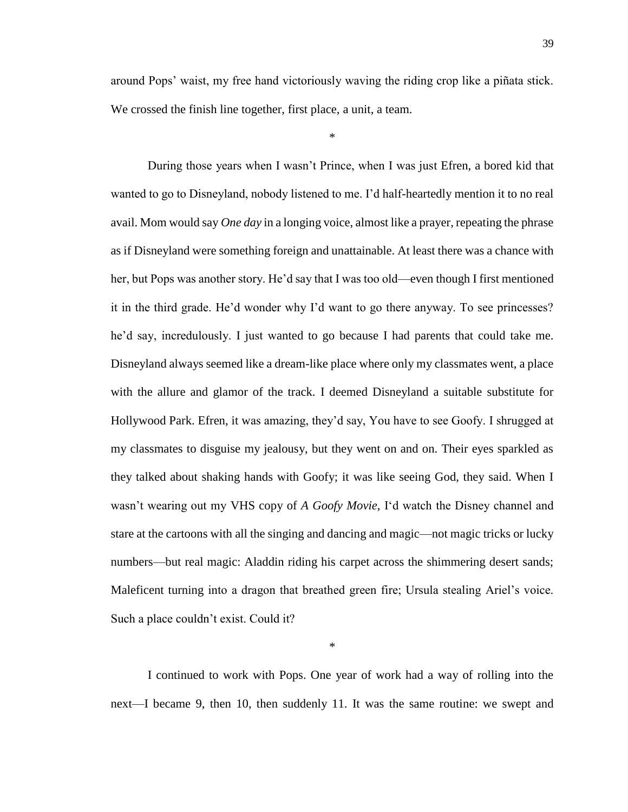around Pops' waist, my free hand victoriously waving the riding crop like a piñata stick. We crossed the finish line together, first place, a unit, a team.

\*

During those years when I wasn't Prince, when I was just Efren, a bored kid that wanted to go to Disneyland, nobody listened to me. I'd half-heartedly mention it to no real avail. Mom would say *One day* in a longing voice, almost like a prayer, repeating the phrase as if Disneyland were something foreign and unattainable. At least there was a chance with her, but Pops was another story. He'd say that I was too old—even though I first mentioned it in the third grade. He'd wonder why I'd want to go there anyway. To see princesses? he'd say, incredulously. I just wanted to go because I had parents that could take me. Disneyland always seemed like a dream-like place where only my classmates went, a place with the allure and glamor of the track. I deemed Disneyland a suitable substitute for Hollywood Park. Efren, it was amazing, they'd say, You have to see Goofy. I shrugged at my classmates to disguise my jealousy, but they went on and on. Their eyes sparkled as they talked about shaking hands with Goofy; it was like seeing God, they said. When I wasn't wearing out my VHS copy of *A Goofy Movie,* I'd watch the Disney channel and stare at the cartoons with all the singing and dancing and magic—not magic tricks or lucky numbers—but real magic: Aladdin riding his carpet across the shimmering desert sands; Maleficent turning into a dragon that breathed green fire; Ursula stealing Ariel's voice. Such a place couldn't exist. Could it?

I continued to work with Pops. One year of work had a way of rolling into the next—I became 9, then 10, then suddenly 11. It was the same routine: we swept and

\*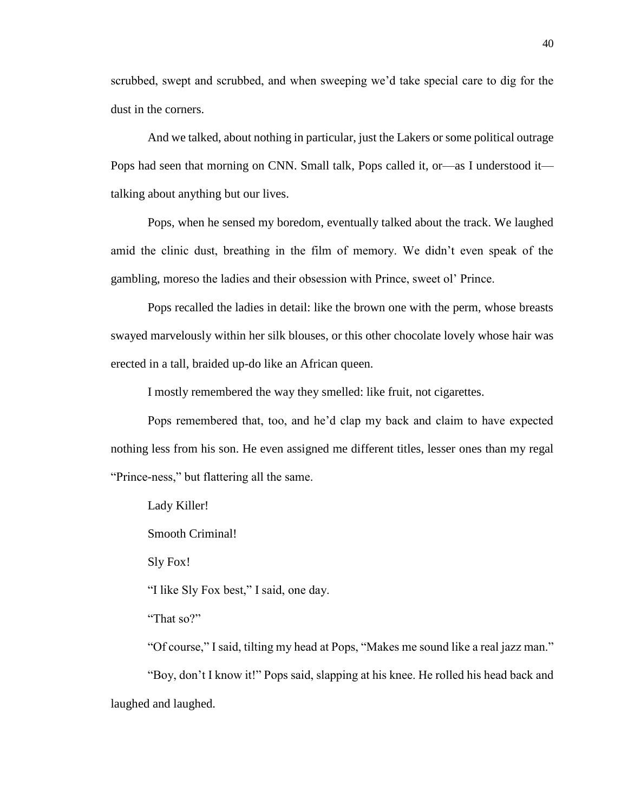scrubbed, swept and scrubbed, and when sweeping we'd take special care to dig for the dust in the corners.

And we talked, about nothing in particular, just the Lakers or some political outrage Pops had seen that morning on CNN. Small talk, Pops called it, or—as I understood it talking about anything but our lives.

Pops, when he sensed my boredom, eventually talked about the track. We laughed amid the clinic dust, breathing in the film of memory. We didn't even speak of the gambling, moreso the ladies and their obsession with Prince, sweet ol' Prince.

Pops recalled the ladies in detail: like the brown one with the perm, whose breasts swayed marvelously within her silk blouses, or this other chocolate lovely whose hair was erected in a tall, braided up-do like an African queen.

I mostly remembered the way they smelled: like fruit, not cigarettes.

Pops remembered that, too, and he'd clap my back and claim to have expected nothing less from his son. He even assigned me different titles, lesser ones than my regal "Prince-ness," but flattering all the same.

Lady Killer!

Smooth Criminal!

Sly Fox!

"I like Sly Fox best," I said, one day.

"That so?"

"Of course," I said, tilting my head at Pops, "Makes me sound like a real jazz man." "Boy, don't I know it!" Pops said, slapping at his knee. He rolled his head back and laughed and laughed.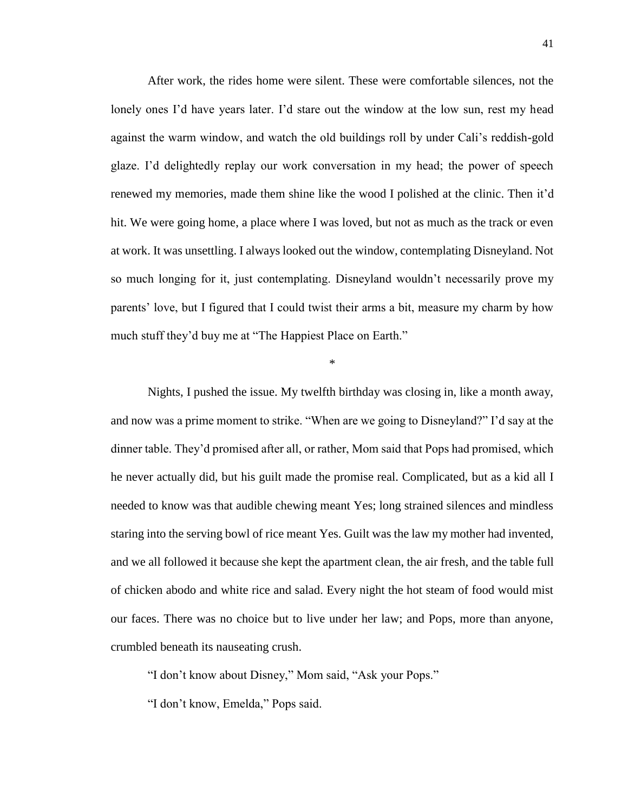After work, the rides home were silent. These were comfortable silences, not the lonely ones I'd have years later. I'd stare out the window at the low sun, rest my head against the warm window, and watch the old buildings roll by under Cali's reddish-gold glaze. I'd delightedly replay our work conversation in my head; the power of speech renewed my memories, made them shine like the wood I polished at the clinic. Then it'd hit. We were going home, a place where I was loved, but not as much as the track or even at work. It was unsettling. I always looked out the window, contemplating Disneyland. Not so much longing for it, just contemplating. Disneyland wouldn't necessarily prove my parents' love, but I figured that I could twist their arms a bit, measure my charm by how much stuff they'd buy me at "The Happiest Place on Earth."

\*

Nights, I pushed the issue. My twelfth birthday was closing in, like a month away, and now was a prime moment to strike. "When are we going to Disneyland?" I'd say at the dinner table. They'd promised after all, or rather, Mom said that Pops had promised, which he never actually did, but his guilt made the promise real. Complicated, but as a kid all I needed to know was that audible chewing meant Yes; long strained silences and mindless staring into the serving bowl of rice meant Yes. Guilt was the law my mother had invented, and we all followed it because she kept the apartment clean, the air fresh, and the table full of chicken abodo and white rice and salad. Every night the hot steam of food would mist our faces. There was no choice but to live under her law; and Pops, more than anyone, crumbled beneath its nauseating crush.

"I don't know about Disney," Mom said, "Ask your Pops."

"I don't know, Emelda," Pops said.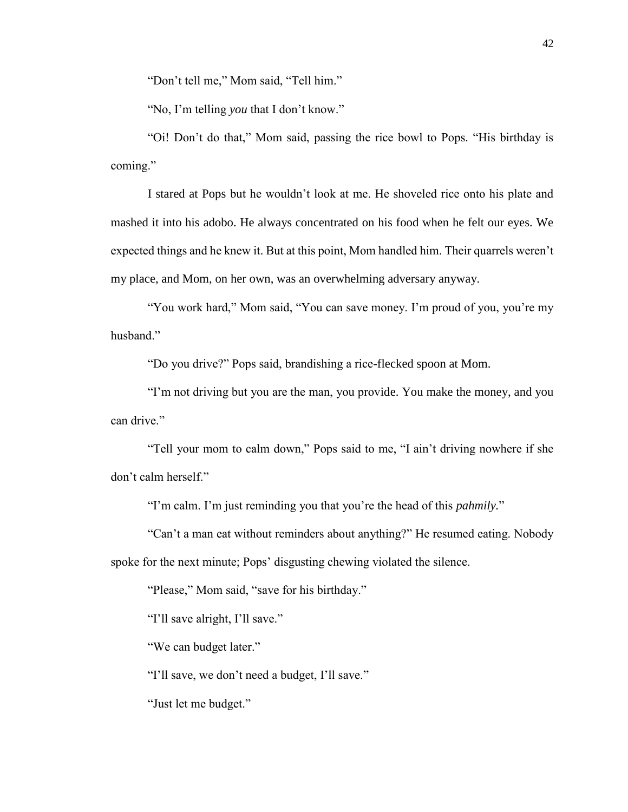"Don't tell me," Mom said, "Tell him."

"No, I'm telling *you* that I don't know."

"Oi! Don't do that," Mom said, passing the rice bowl to Pops. "His birthday is coming."

I stared at Pops but he wouldn't look at me. He shoveled rice onto his plate and mashed it into his adobo. He always concentrated on his food when he felt our eyes. We expected things and he knew it. But at this point, Mom handled him. Their quarrels weren't my place, and Mom, on her own, was an overwhelming adversary anyway.

"You work hard," Mom said, "You can save money. I'm proud of you, you're my husband."

"Do you drive?" Pops said, brandishing a rice-flecked spoon at Mom.

"I'm not driving but you are the man, you provide. You make the money, and you can drive."

"Tell your mom to calm down," Pops said to me, "I ain't driving nowhere if she don't calm herself."

"I'm calm. I'm just reminding you that you're the head of this *pahmily.*"

"Can't a man eat without reminders about anything?" He resumed eating. Nobody spoke for the next minute; Pops' disgusting chewing violated the silence.

"Please," Mom said, "save for his birthday."

"I'll save alright, I'll save."

"We can budget later."

"I'll save, we don't need a budget, I'll save."

"Just let me budget."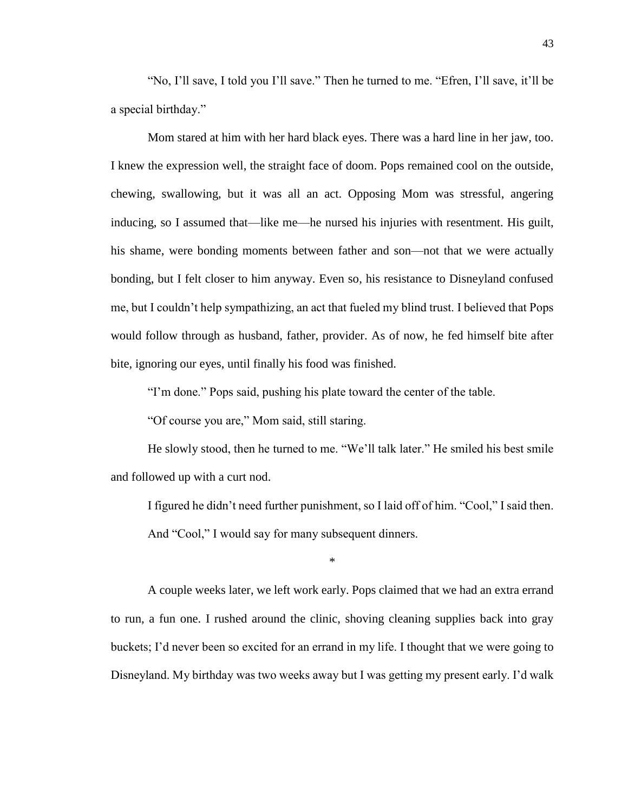"No, I'll save, I told you I'll save." Then he turned to me. "Efren, I'll save, it'll be a special birthday."

Mom stared at him with her hard black eyes. There was a hard line in her jaw, too. I knew the expression well, the straight face of doom. Pops remained cool on the outside, chewing, swallowing, but it was all an act. Opposing Mom was stressful, angering inducing, so I assumed that—like me—he nursed his injuries with resentment. His guilt, his shame, were bonding moments between father and son—not that we were actually bonding, but I felt closer to him anyway. Even so, his resistance to Disneyland confused me, but I couldn't help sympathizing, an act that fueled my blind trust. I believed that Pops would follow through as husband, father, provider. As of now, he fed himself bite after bite, ignoring our eyes, until finally his food was finished.

"I'm done." Pops said, pushing his plate toward the center of the table.

"Of course you are," Mom said, still staring.

He slowly stood, then he turned to me. "We'll talk later." He smiled his best smile and followed up with a curt nod.

I figured he didn't need further punishment, so I laid off of him. "Cool," I said then. And "Cool," I would say for many subsequent dinners.

\*

A couple weeks later, we left work early. Pops claimed that we had an extra errand to run, a fun one. I rushed around the clinic, shoving cleaning supplies back into gray buckets; I'd never been so excited for an errand in my life. I thought that we were going to Disneyland. My birthday was two weeks away but I was getting my present early. I'd walk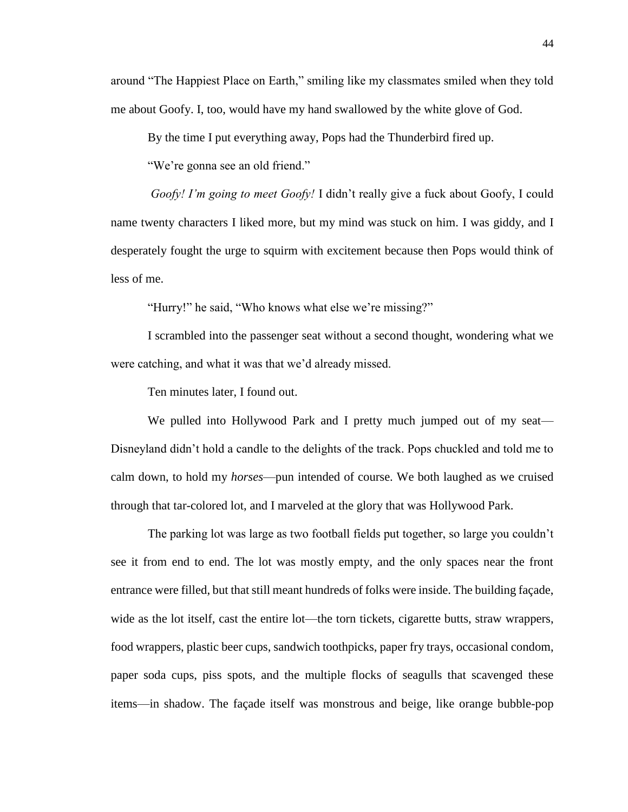around "The Happiest Place on Earth," smiling like my classmates smiled when they told me about Goofy. I, too, would have my hand swallowed by the white glove of God.

By the time I put everything away, Pops had the Thunderbird fired up.

"We're gonna see an old friend."

*Goofy! I'm going to meet Goofy!* I didn't really give a fuck about Goofy, I could name twenty characters I liked more, but my mind was stuck on him. I was giddy, and I desperately fought the urge to squirm with excitement because then Pops would think of less of me.

"Hurry!" he said, "Who knows what else we're missing?"

I scrambled into the passenger seat without a second thought, wondering what we were catching, and what it was that we'd already missed.

Ten minutes later, I found out.

We pulled into Hollywood Park and I pretty much jumped out of my seat— Disneyland didn't hold a candle to the delights of the track. Pops chuckled and told me to calm down, to hold my *horses*—pun intended of course. We both laughed as we cruised through that tar-colored lot, and I marveled at the glory that was Hollywood Park.

The parking lot was large as two football fields put together, so large you couldn't see it from end to end. The lot was mostly empty, and the only spaces near the front entrance were filled, but that still meant hundreds of folks were inside. The building façade, wide as the lot itself, cast the entire lot—the torn tickets, cigarette butts, straw wrappers, food wrappers, plastic beer cups, sandwich toothpicks, paper fry trays, occasional condom, paper soda cups, piss spots, and the multiple flocks of seagulls that scavenged these items—in shadow. The façade itself was monstrous and beige, like orange bubble-pop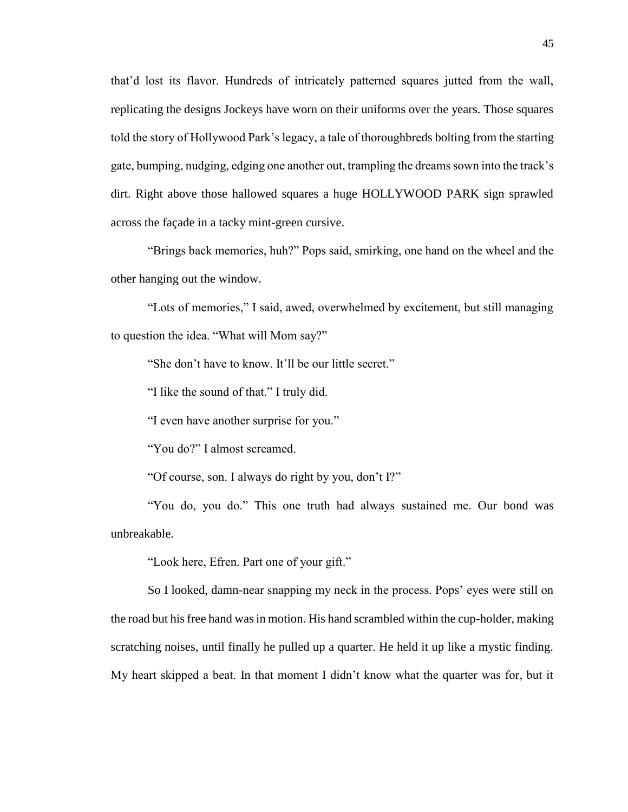that'd lost its flavor. Hundreds of intricately patterned squares jutted from the wall, replicating the designs Jockeys have worn on their uniforms over the years. Those squares told the story of Hollywood Park's legacy, a tale of thoroughbreds bolting from the starting gate, bumping, nudging, edging one another out, trampling the dreams sown into the track's dirt. Right above those hallowed squares a huge HOLLYWOOD PARK sign sprawled across the façade in a tacky mint-green cursive.

"Brings back memories, huh?" Pops said, smirking, one hand on the wheel and the other hanging out the window.

"Lots of memories," I said, awed, overwhelmed by excitement, but still managing to question the idea. "What will Mom say?"

"She don't have to know. It'll be our little secret."

"I like the sound of that." I truly did.

"I even have another surprise for you."

"You do?" I almost screamed.

"Of course, son. I always do right by you, don't I?"

"You do, you do." This one truth had always sustained me. Our bond was unbreakable.

"Look here, Efren. Part one of your gift."

So I looked, damn-near snapping my neck in the process. Pops' eyes were still on the road but his free hand was in motion. His hand scrambled within the cup-holder, making scratching noises, until finally he pulled up a quarter. He held it up like a mystic finding. My heart skipped a beat. In that moment I didn't know what the quarter was for, but it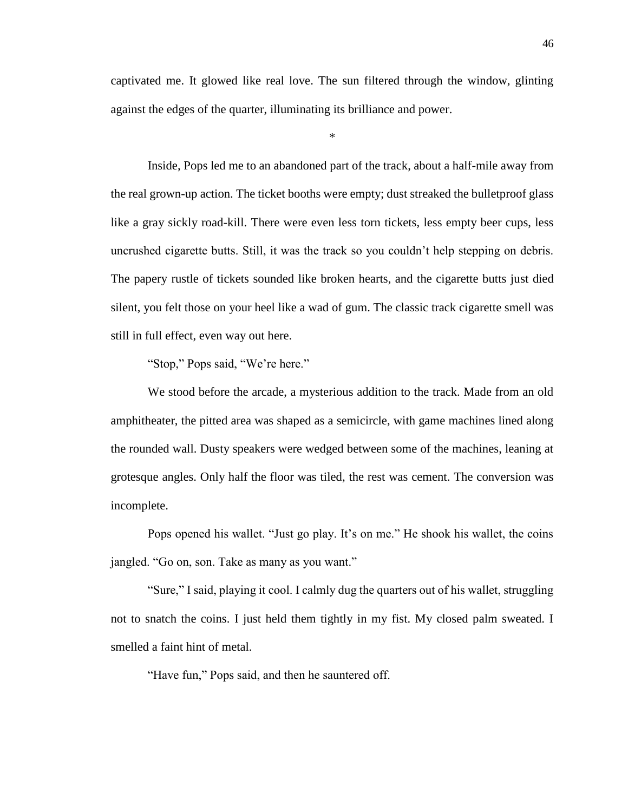captivated me. It glowed like real love. The sun filtered through the window, glinting against the edges of the quarter, illuminating its brilliance and power.

\*

Inside, Pops led me to an abandoned part of the track, about a half-mile away from the real grown-up action. The ticket booths were empty; dust streaked the bulletproof glass like a gray sickly road-kill. There were even less torn tickets, less empty beer cups, less uncrushed cigarette butts. Still, it was the track so you couldn't help stepping on debris. The papery rustle of tickets sounded like broken hearts, and the cigarette butts just died silent, you felt those on your heel like a wad of gum. The classic track cigarette smell was still in full effect, even way out here.

"Stop," Pops said, "We're here."

We stood before the arcade, a mysterious addition to the track. Made from an old amphitheater, the pitted area was shaped as a semicircle, with game machines lined along the rounded wall. Dusty speakers were wedged between some of the machines, leaning at grotesque angles. Only half the floor was tiled, the rest was cement. The conversion was incomplete.

Pops opened his wallet. "Just go play. It's on me." He shook his wallet, the coins jangled. "Go on, son. Take as many as you want."

"Sure," I said, playing it cool. I calmly dug the quarters out of his wallet, struggling not to snatch the coins. I just held them tightly in my fist. My closed palm sweated. I smelled a faint hint of metal.

"Have fun," Pops said, and then he sauntered off.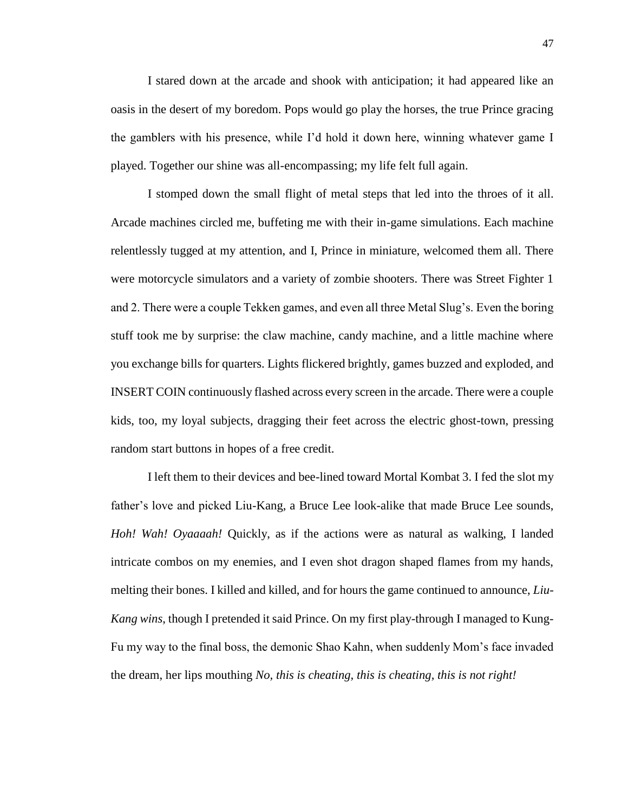I stared down at the arcade and shook with anticipation; it had appeared like an oasis in the desert of my boredom. Pops would go play the horses, the true Prince gracing the gamblers with his presence, while I'd hold it down here, winning whatever game I played. Together our shine was all-encompassing; my life felt full again.

I stomped down the small flight of metal steps that led into the throes of it all. Arcade machines circled me, buffeting me with their in-game simulations. Each machine relentlessly tugged at my attention, and I, Prince in miniature, welcomed them all. There were motorcycle simulators and a variety of zombie shooters. There was Street Fighter 1 and 2. There were a couple Tekken games, and even all three Metal Slug's. Even the boring stuff took me by surprise: the claw machine, candy machine, and a little machine where you exchange bills for quarters. Lights flickered brightly, games buzzed and exploded, and INSERT COIN continuously flashed across every screen in the arcade. There were a couple kids, too, my loyal subjects, dragging their feet across the electric ghost-town, pressing random start buttons in hopes of a free credit.

I left them to their devices and bee-lined toward Mortal Kombat 3. I fed the slot my father's love and picked Liu-Kang, a Bruce Lee look-alike that made Bruce Lee sounds, *Hoh! Wah! Oyaaaah!* Quickly, as if the actions were as natural as walking, I landed intricate combos on my enemies, and I even shot dragon shaped flames from my hands, melting their bones. I killed and killed, and for hours the game continued to announce, *Liu-Kang wins*, though I pretended it said Prince. On my first play-through I managed to Kung-Fu my way to the final boss, the demonic Shao Kahn, when suddenly Mom's face invaded the dream, her lips mouthing *No, this is cheating, this is cheating, this is not right!*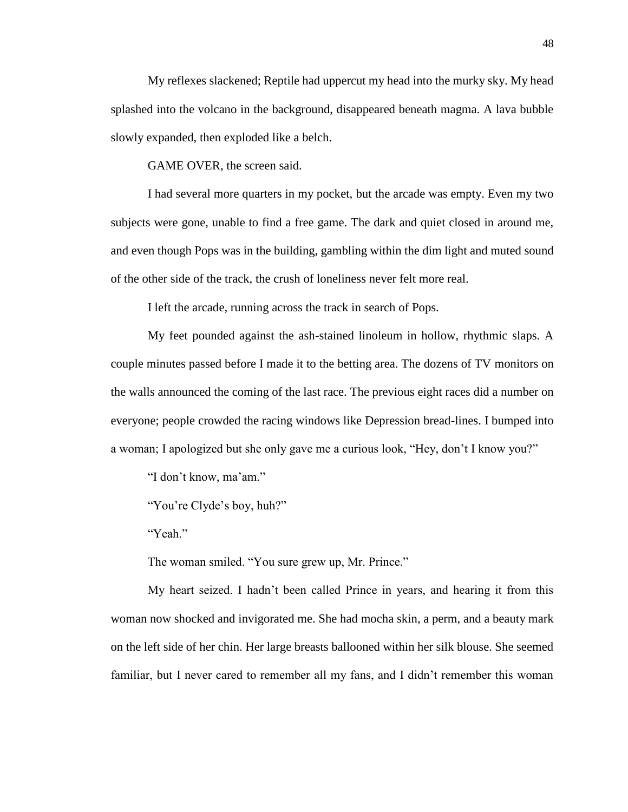My reflexes slackened; Reptile had uppercut my head into the murky sky. My head splashed into the volcano in the background, disappeared beneath magma. A lava bubble slowly expanded, then exploded like a belch.

GAME OVER, the screen said.

I had several more quarters in my pocket, but the arcade was empty. Even my two subjects were gone, unable to find a free game. The dark and quiet closed in around me, and even though Pops was in the building, gambling within the dim light and muted sound of the other side of the track, the crush of loneliness never felt more real.

I left the arcade, running across the track in search of Pops.

My feet pounded against the ash-stained linoleum in hollow, rhythmic slaps. A couple minutes passed before I made it to the betting area. The dozens of TV monitors on the walls announced the coming of the last race. The previous eight races did a number on everyone; people crowded the racing windows like Depression bread-lines. I bumped into a woman; I apologized but she only gave me a curious look, "Hey, don't I know you?"

"I don't know, ma'am."

"You're Clyde's boy, huh?"

"Yeah"

The woman smiled. "You sure grew up, Mr. Prince."

My heart seized. I hadn't been called Prince in years, and hearing it from this woman now shocked and invigorated me. She had mocha skin, a perm, and a beauty mark on the left side of her chin. Her large breasts ballooned within her silk blouse. She seemed familiar, but I never cared to remember all my fans, and I didn't remember this woman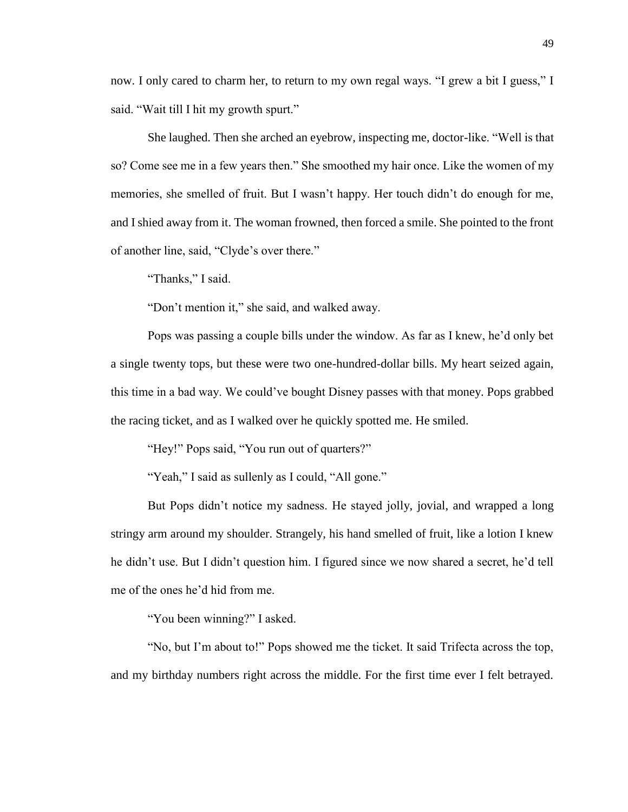now. I only cared to charm her, to return to my own regal ways. "I grew a bit I guess," I said. "Wait till I hit my growth spurt."

She laughed. Then she arched an eyebrow, inspecting me, doctor-like. "Well is that so? Come see me in a few years then." She smoothed my hair once. Like the women of my memories, she smelled of fruit. But I wasn't happy. Her touch didn't do enough for me, and I shied away from it. The woman frowned, then forced a smile. She pointed to the front of another line, said, "Clyde's over there."

"Thanks," I said.

"Don't mention it," she said, and walked away.

Pops was passing a couple bills under the window. As far as I knew, he'd only bet a single twenty tops, but these were two one-hundred-dollar bills. My heart seized again, this time in a bad way. We could've bought Disney passes with that money. Pops grabbed the racing ticket, and as I walked over he quickly spotted me. He smiled.

"Hey!" Pops said, "You run out of quarters?"

"Yeah," I said as sullenly as I could, "All gone."

But Pops didn't notice my sadness. He stayed jolly, jovial, and wrapped a long stringy arm around my shoulder. Strangely, his hand smelled of fruit, like a lotion I knew he didn't use. But I didn't question him. I figured since we now shared a secret, he'd tell me of the ones he'd hid from me.

"You been winning?" I asked.

"No, but I'm about to!" Pops showed me the ticket. It said Trifecta across the top, and my birthday numbers right across the middle. For the first time ever I felt betrayed.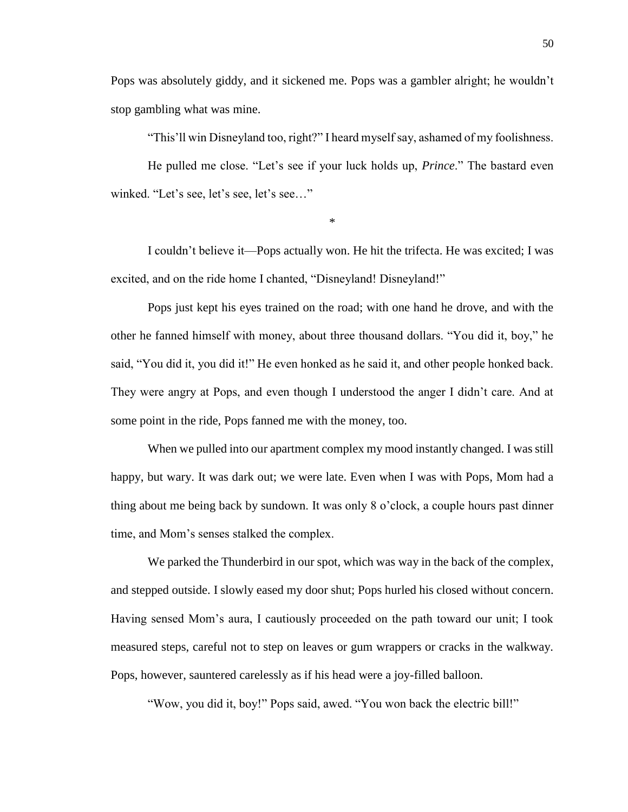Pops was absolutely giddy, and it sickened me. Pops was a gambler alright; he wouldn't stop gambling what was mine.

"This'll win Disneyland too, right?" I heard myself say, ashamed of my foolishness.

He pulled me close. "Let's see if your luck holds up, *Prince*." The bastard even winked. "Let's see, let's see, let's see…"

\*

I couldn't believe it—Pops actually won. He hit the trifecta. He was excited; I was excited, and on the ride home I chanted, "Disneyland! Disneyland!"

Pops just kept his eyes trained on the road; with one hand he drove, and with the other he fanned himself with money, about three thousand dollars. "You did it, boy," he said, "You did it, you did it!" He even honked as he said it, and other people honked back. They were angry at Pops, and even though I understood the anger I didn't care. And at some point in the ride, Pops fanned me with the money, too.

When we pulled into our apartment complex my mood instantly changed. I was still happy, but wary. It was dark out; we were late. Even when I was with Pops, Mom had a thing about me being back by sundown. It was only 8 o'clock, a couple hours past dinner time, and Mom's senses stalked the complex.

We parked the Thunderbird in our spot, which was way in the back of the complex, and stepped outside. I slowly eased my door shut; Pops hurled his closed without concern. Having sensed Mom's aura, I cautiously proceeded on the path toward our unit; I took measured steps, careful not to step on leaves or gum wrappers or cracks in the walkway. Pops, however, sauntered carelessly as if his head were a joy-filled balloon.

"Wow, you did it, boy!" Pops said, awed. "You won back the electric bill!"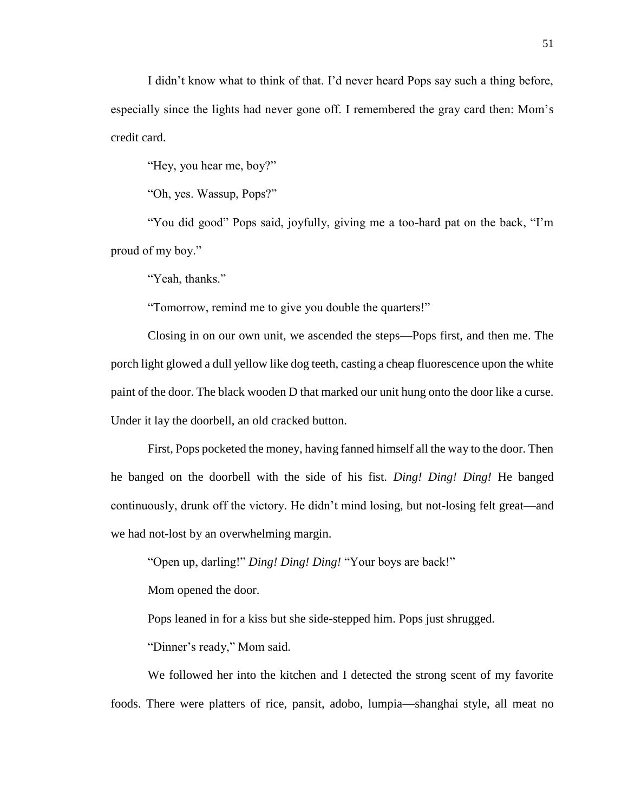I didn't know what to think of that. I'd never heard Pops say such a thing before, especially since the lights had never gone off. I remembered the gray card then: Mom's credit card.

"Hey, you hear me, boy?"

"Oh, yes. Wassup, Pops?"

"You did good" Pops said, joyfully, giving me a too-hard pat on the back, "I'm proud of my boy."

"Yeah, thanks."

"Tomorrow, remind me to give you double the quarters!"

Closing in on our own unit, we ascended the steps—Pops first, and then me. The porch light glowed a dull yellow like dog teeth, casting a cheap fluorescence upon the white paint of the door. The black wooden D that marked our unit hung onto the door like a curse. Under it lay the doorbell, an old cracked button.

First, Pops pocketed the money, having fanned himself all the way to the door. Then he banged on the doorbell with the side of his fist. *Ding! Ding! Ding!* He banged continuously, drunk off the victory. He didn't mind losing, but not-losing felt great—and we had not-lost by an overwhelming margin.

"Open up, darling!" *Ding! Ding! Ding!* "Your boys are back!"

Mom opened the door.

Pops leaned in for a kiss but she side-stepped him. Pops just shrugged.

"Dinner's ready," Mom said.

We followed her into the kitchen and I detected the strong scent of my favorite foods. There were platters of rice, pansit, adobo, lumpia—shanghai style, all meat no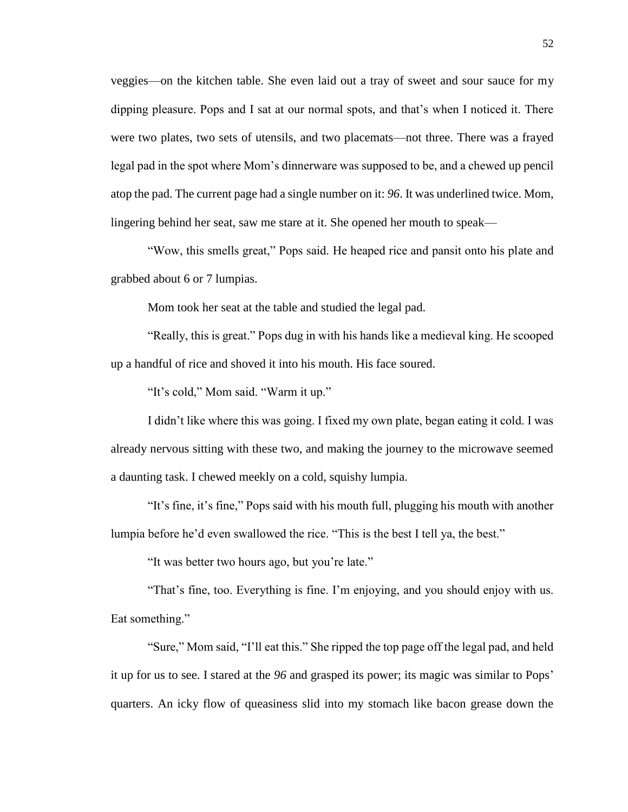veggies—on the kitchen table. She even laid out a tray of sweet and sour sauce for my dipping pleasure. Pops and I sat at our normal spots, and that's when I noticed it. There were two plates, two sets of utensils, and two placemats—not three. There was a frayed legal pad in the spot where Mom's dinnerware was supposed to be, and a chewed up pencil atop the pad. The current page had a single number on it: *96*. It was underlined twice. Mom, lingering behind her seat, saw me stare at it. She opened her mouth to speak—

"Wow, this smells great," Pops said. He heaped rice and pansit onto his plate and grabbed about 6 or 7 lumpias.

Mom took her seat at the table and studied the legal pad.

"Really, this is great." Pops dug in with his hands like a medieval king. He scooped up a handful of rice and shoved it into his mouth. His face soured.

"It's cold," Mom said. "Warm it up."

I didn't like where this was going. I fixed my own plate, began eating it cold. I was already nervous sitting with these two, and making the journey to the microwave seemed a daunting task. I chewed meekly on a cold, squishy lumpia.

"It's fine, it's fine," Pops said with his mouth full, plugging his mouth with another lumpia before he'd even swallowed the rice. "This is the best I tell ya, the best."

"It was better two hours ago, but you're late."

"That's fine, too. Everything is fine. I'm enjoying, and you should enjoy with us. Eat something."

"Sure," Mom said, "I'll eat this." She ripped the top page off the legal pad, and held it up for us to see. I stared at the *96* and grasped its power; its magic was similar to Pops' quarters. An icky flow of queasiness slid into my stomach like bacon grease down the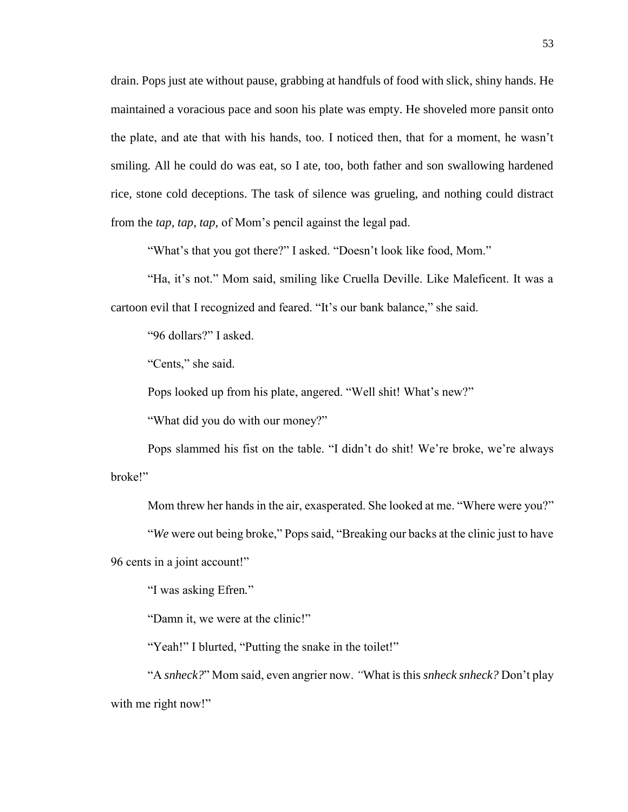drain. Pops just ate without pause, grabbing at handfuls of food with slick, shiny hands. He maintained a voracious pace and soon his plate was empty. He shoveled more pansit onto the plate, and ate that with his hands, too. I noticed then, that for a moment, he wasn't smiling. All he could do was eat, so I ate, too, both father and son swallowing hardened rice, stone cold deceptions. The task of silence was grueling, and nothing could distract from the *tap, tap, tap,* of Mom's pencil against the legal pad.

"What's that you got there?" I asked. "Doesn't look like food, Mom."

"Ha, it's not." Mom said, smiling like Cruella Deville. Like Maleficent. It was a cartoon evil that I recognized and feared. "It's our bank balance," she said.

"96 dollars?" I asked.

"Cents," she said.

Pops looked up from his plate, angered. "Well shit! What's new?"

"What did you do with our money?"

Pops slammed his fist on the table. "I didn't do shit! We're broke, we're always broke!"

Mom threw her hands in the air, exasperated. She looked at me. "Where were you?"

"*We* were out being broke," Pops said, "Breaking our backs at the clinic just to have 96 cents in a joint account!"

"I was asking Efren*.*"

"Damn it, we were at the clinic!"

"Yeah!" I blurted, "Putting the snake in the toilet!"

"A *snheck?*" Mom said, even angrier now. *"*What is this *snheck snheck?* Don't play with me right now!"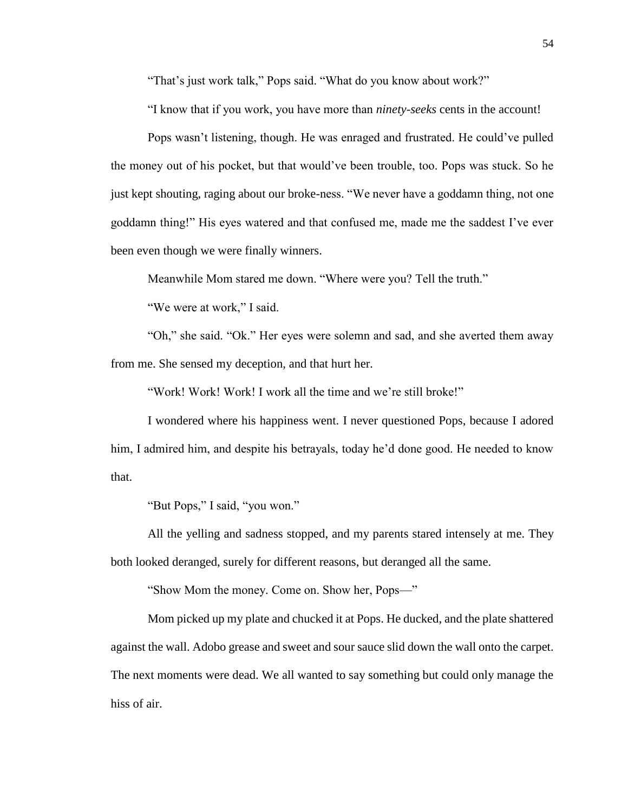"That's just work talk," Pops said. "What do you know about work?"

"I know that if you work, you have more than *ninety-seeks* cents in the account!

Pops wasn't listening, though. He was enraged and frustrated. He could've pulled the money out of his pocket, but that would've been trouble, too. Pops was stuck. So he just kept shouting, raging about our broke-ness. "We never have a goddamn thing, not one goddamn thing!" His eyes watered and that confused me, made me the saddest I've ever been even though we were finally winners.

Meanwhile Mom stared me down. "Where were you? Tell the truth."

"We were at work," I said.

"Oh," she said. "Ok." Her eyes were solemn and sad, and she averted them away from me. She sensed my deception, and that hurt her.

"Work! Work! Work! I work all the time and we're still broke!"

I wondered where his happiness went. I never questioned Pops, because I adored him, I admired him, and despite his betrayals, today he'd done good. He needed to know that.

"But Pops," I said, "you won."

All the yelling and sadness stopped, and my parents stared intensely at me. They both looked deranged, surely for different reasons, but deranged all the same.

"Show Mom the money. Come on. Show her, Pops—"

Mom picked up my plate and chucked it at Pops. He ducked, and the plate shattered against the wall. Adobo grease and sweet and sour sauce slid down the wall onto the carpet. The next moments were dead. We all wanted to say something but could only manage the hiss of air.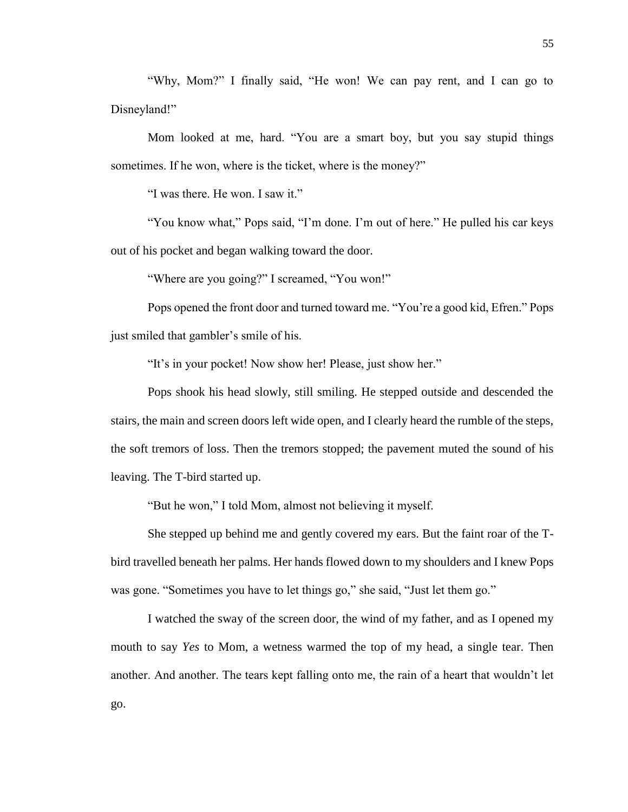"Why, Mom?" I finally said, "He won! We can pay rent, and I can go to Disneyland!"

Mom looked at me, hard. "You are a smart boy, but you say stupid things sometimes. If he won, where is the ticket, where is the money?"

"I was there. He won. I saw it."

"You know what," Pops said, "I'm done. I'm out of here." He pulled his car keys out of his pocket and began walking toward the door.

"Where are you going?" I screamed, "You won!"

Pops opened the front door and turned toward me. "You're a good kid, Efren." Pops just smiled that gambler's smile of his.

"It's in your pocket! Now show her! Please, just show her."

Pops shook his head slowly, still smiling. He stepped outside and descended the stairs, the main and screen doors left wide open, and I clearly heard the rumble of the steps, the soft tremors of loss. Then the tremors stopped; the pavement muted the sound of his leaving. The T-bird started up.

"But he won," I told Mom, almost not believing it myself.

She stepped up behind me and gently covered my ears. But the faint roar of the Tbird travelled beneath her palms. Her hands flowed down to my shoulders and I knew Pops was gone. "Sometimes you have to let things go," she said, "Just let them go."

I watched the sway of the screen door, the wind of my father, and as I opened my mouth to say *Yes* to Mom, a wetness warmed the top of my head, a single tear. Then another. And another. The tears kept falling onto me, the rain of a heart that wouldn't let go.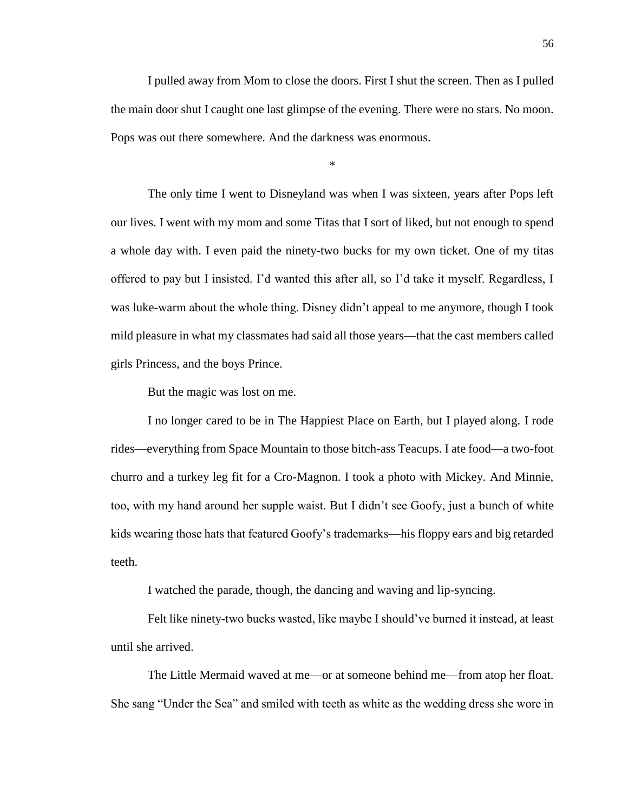I pulled away from Mom to close the doors. First I shut the screen. Then as I pulled the main door shut I caught one last glimpse of the evening. There were no stars. No moon. Pops was out there somewhere. And the darkness was enormous.

\*

The only time I went to Disneyland was when I was sixteen, years after Pops left our lives. I went with my mom and some Titas that I sort of liked, but not enough to spend a whole day with. I even paid the ninety-two bucks for my own ticket. One of my titas offered to pay but I insisted. I'd wanted this after all, so I'd take it myself. Regardless, I was luke-warm about the whole thing. Disney didn't appeal to me anymore, though I took mild pleasure in what my classmates had said all those years—that the cast members called girls Princess, and the boys Prince.

But the magic was lost on me.

I no longer cared to be in The Happiest Place on Earth, but I played along. I rode rides—everything from Space Mountain to those bitch-ass Teacups. I ate food—a two-foot churro and a turkey leg fit for a Cro-Magnon. I took a photo with Mickey. And Minnie, too, with my hand around her supple waist. But I didn't see Goofy, just a bunch of white kids wearing those hats that featured Goofy's trademarks—his floppy ears and big retarded teeth.

I watched the parade, though, the dancing and waving and lip-syncing.

Felt like ninety-two bucks wasted, like maybe I should've burned it instead, at least until she arrived.

The Little Mermaid waved at me—or at someone behind me—from atop her float. She sang "Under the Sea" and smiled with teeth as white as the wedding dress she wore in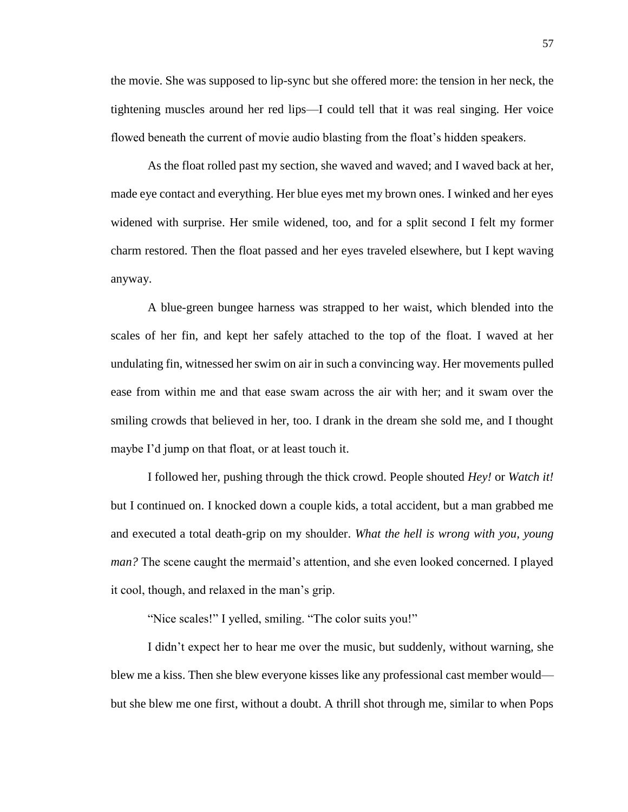the movie. She was supposed to lip-sync but she offered more: the tension in her neck, the tightening muscles around her red lips—I could tell that it was real singing. Her voice flowed beneath the current of movie audio blasting from the float's hidden speakers.

As the float rolled past my section, she waved and waved; and I waved back at her, made eye contact and everything. Her blue eyes met my brown ones. I winked and her eyes widened with surprise. Her smile widened, too, and for a split second I felt my former charm restored. Then the float passed and her eyes traveled elsewhere, but I kept waving anyway.

A blue-green bungee harness was strapped to her waist, which blended into the scales of her fin, and kept her safely attached to the top of the float. I waved at her undulating fin, witnessed her swim on air in such a convincing way. Her movements pulled ease from within me and that ease swam across the air with her; and it swam over the smiling crowds that believed in her, too. I drank in the dream she sold me, and I thought maybe I'd jump on that float, or at least touch it.

I followed her, pushing through the thick crowd. People shouted *Hey!* or *Watch it!*  but I continued on. I knocked down a couple kids, a total accident, but a man grabbed me and executed a total death-grip on my shoulder. *What the hell is wrong with you, young man?* The scene caught the mermaid's attention, and she even looked concerned. I played it cool, though, and relaxed in the man's grip.

"Nice scales!" I yelled, smiling. "The color suits you!"

I didn't expect her to hear me over the music, but suddenly, without warning, she blew me a kiss. Then she blew everyone kisses like any professional cast member would but she blew me one first, without a doubt. A thrill shot through me, similar to when Pops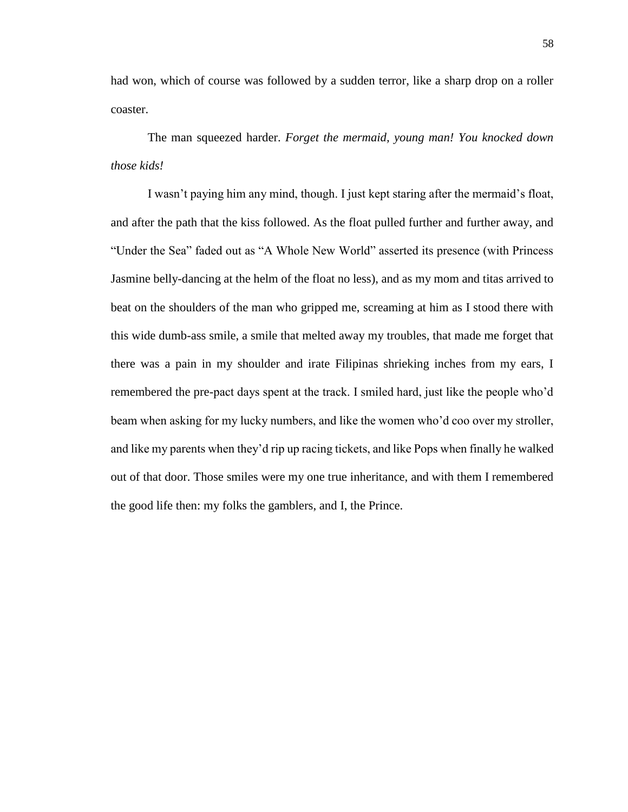had won, which of course was followed by a sudden terror, like a sharp drop on a roller coaster.

The man squeezed harder. *Forget the mermaid, young man! You knocked down those kids!*

I wasn't paying him any mind, though. I just kept staring after the mermaid's float, and after the path that the kiss followed. As the float pulled further and further away, and "Under the Sea" faded out as "A Whole New World" asserted its presence (with Princess Jasmine belly-dancing at the helm of the float no less), and as my mom and titas arrived to beat on the shoulders of the man who gripped me, screaming at him as I stood there with this wide dumb-ass smile, a smile that melted away my troubles, that made me forget that there was a pain in my shoulder and irate Filipinas shrieking inches from my ears, I remembered the pre-pact days spent at the track. I smiled hard, just like the people who'd beam when asking for my lucky numbers, and like the women who'd coo over my stroller, and like my parents when they'd rip up racing tickets, and like Pops when finally he walked out of that door. Those smiles were my one true inheritance, and with them I remembered the good life then: my folks the gamblers, and I, the Prince.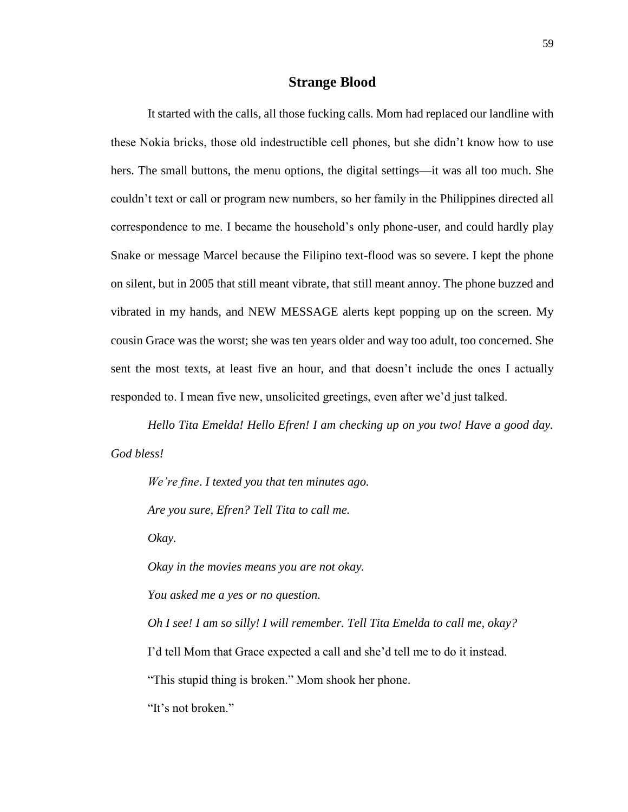## **Strange Blood**

It started with the calls, all those fucking calls. Mom had replaced our landline with these Nokia bricks, those old indestructible cell phones, but she didn't know how to use hers. The small buttons, the menu options, the digital settings—it was all too much. She couldn't text or call or program new numbers, so her family in the Philippines directed all correspondence to me. I became the household's only phone-user, and could hardly play Snake or message Marcel because the Filipino text-flood was so severe. I kept the phone on silent, but in 2005 that still meant vibrate, that still meant annoy. The phone buzzed and vibrated in my hands, and NEW MESSAGE alerts kept popping up on the screen. My cousin Grace was the worst; she was ten years older and way too adult, too concerned. She sent the most texts, at least five an hour, and that doesn't include the ones I actually responded to. I mean five new, unsolicited greetings, even after we'd just talked.

*Hello Tita Emelda! Hello Efren! I am checking up on you two! Have a good day. God bless!*

*We're fine*. *I texted you that ten minutes ago.*

*Are you sure, Efren? Tell Tita to call me.*

*Okay.*

*Okay in the movies means you are not okay.* 

*You asked me a yes or no question.*

*Oh I see! I am so silly! I will remember. Tell Tita Emelda to call me, okay?*

I'd tell Mom that Grace expected a call and she'd tell me to do it instead.

"This stupid thing is broken." Mom shook her phone.

"It's not broken."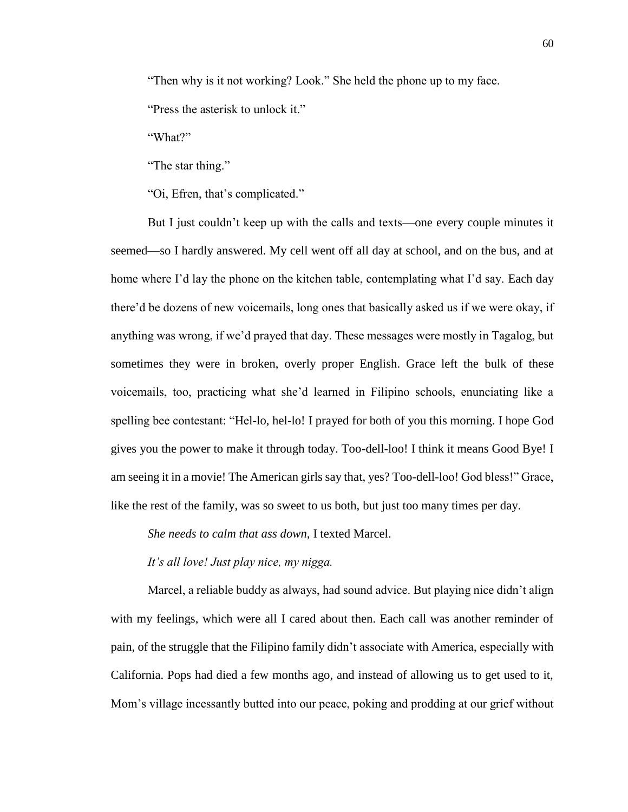"Then why is it not working? Look." She held the phone up to my face.

"Press the asterisk to unlock it."

"What?"

"The star thing."

"Oi, Efren, that's complicated."

But I just couldn't keep up with the calls and texts—one every couple minutes it seemed—so I hardly answered. My cell went off all day at school, and on the bus, and at home where I'd lay the phone on the kitchen table, contemplating what I'd say. Each day there'd be dozens of new voicemails, long ones that basically asked us if we were okay, if anything was wrong, if we'd prayed that day. These messages were mostly in Tagalog, but sometimes they were in broken, overly proper English. Grace left the bulk of these voicemails, too, practicing what she'd learned in Filipino schools, enunciating like a spelling bee contestant: "Hel-lo, hel-lo! I prayed for both of you this morning. I hope God gives you the power to make it through today. Too-dell-loo! I think it means Good Bye! I am seeing it in a movie! The American girls say that, yes? Too-dell-loo! God bless!" Grace, like the rest of the family, was so sweet to us both, but just too many times per day.

*She needs to calm that ass down,* I texted Marcel.

*It's all love! Just play nice, my nigga.*

Marcel, a reliable buddy as always, had sound advice. But playing nice didn't align with my feelings, which were all I cared about then. Each call was another reminder of pain, of the struggle that the Filipino family didn't associate with America, especially with California. Pops had died a few months ago, and instead of allowing us to get used to it, Mom's village incessantly butted into our peace, poking and prodding at our grief without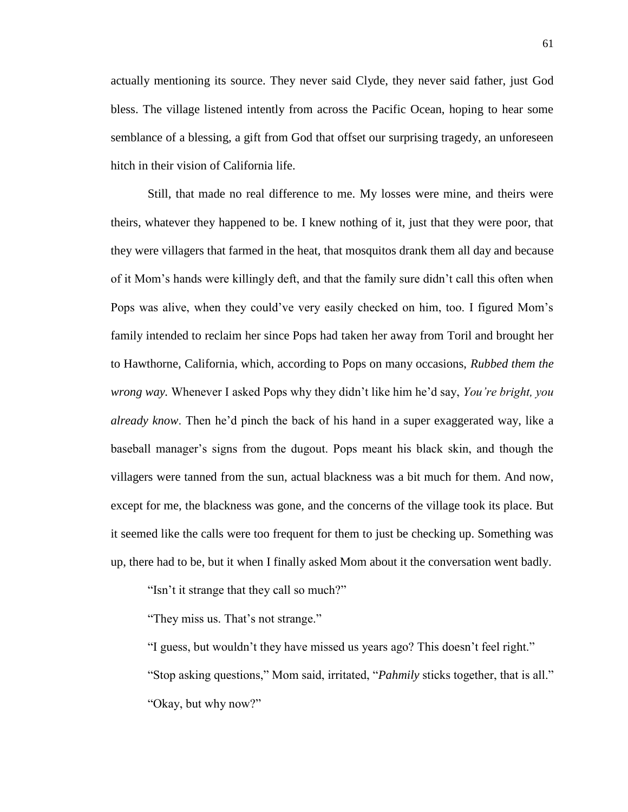actually mentioning its source. They never said Clyde, they never said father, just God bless. The village listened intently from across the Pacific Ocean, hoping to hear some semblance of a blessing, a gift from God that offset our surprising tragedy, an unforeseen hitch in their vision of California life.

Still, that made no real difference to me. My losses were mine, and theirs were theirs, whatever they happened to be. I knew nothing of it, just that they were poor, that they were villagers that farmed in the heat, that mosquitos drank them all day and because of it Mom's hands were killingly deft, and that the family sure didn't call this often when Pops was alive, when they could've very easily checked on him, too. I figured Mom's family intended to reclaim her since Pops had taken her away from Toril and brought her to Hawthorne, California, which, according to Pops on many occasions, *Rubbed them the wrong way.* Whenever I asked Pops why they didn't like him he'd say, *You're bright, you already know*. Then he'd pinch the back of his hand in a super exaggerated way, like a baseball manager's signs from the dugout. Pops meant his black skin, and though the villagers were tanned from the sun, actual blackness was a bit much for them. And now, except for me, the blackness was gone, and the concerns of the village took its place. But it seemed like the calls were too frequent for them to just be checking up. Something was up, there had to be, but it when I finally asked Mom about it the conversation went badly.

"Isn't it strange that they call so much?"

"They miss us. That's not strange."

"I guess, but wouldn't they have missed us years ago? This doesn't feel right." "Stop asking questions," Mom said, irritated, "*Pahmily* sticks together, that is all." "Okay, but why now?"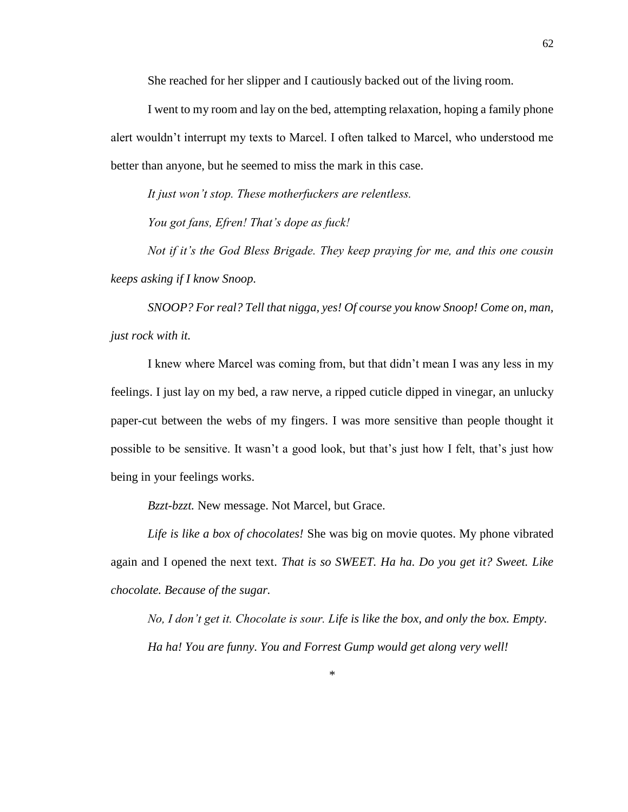She reached for her slipper and I cautiously backed out of the living room.

I went to my room and lay on the bed, attempting relaxation, hoping a family phone alert wouldn't interrupt my texts to Marcel. I often talked to Marcel, who understood me better than anyone, but he seemed to miss the mark in this case.

*It just won't stop. These motherfuckers are relentless.*

*You got fans, Efren! That's dope as fuck!*

*Not if it's the God Bless Brigade. They keep praying for me, and this one cousin keeps asking if I know Snoop.*

*SNOOP? For real? Tell that nigga, yes! Of course you know Snoop! Come on, man, just rock with it.*

I knew where Marcel was coming from, but that didn't mean I was any less in my feelings. I just lay on my bed, a raw nerve, a ripped cuticle dipped in vinegar, an unlucky paper-cut between the webs of my fingers. I was more sensitive than people thought it possible to be sensitive. It wasn't a good look, but that's just how I felt, that's just how being in your feelings works.

*Bzzt-bzzt.* New message. Not Marcel, but Grace.

*Life is like a box of chocolates!* She was big on movie quotes. My phone vibrated again and I opened the next text. *That is so SWEET. Ha ha. Do you get it? Sweet. Like chocolate. Because of the sugar.*

*No, I don't get it. Chocolate is sour. Life is like the box, and only the box. Empty. Ha ha! You are funny. You and Forrest Gump would get along very well!*

\*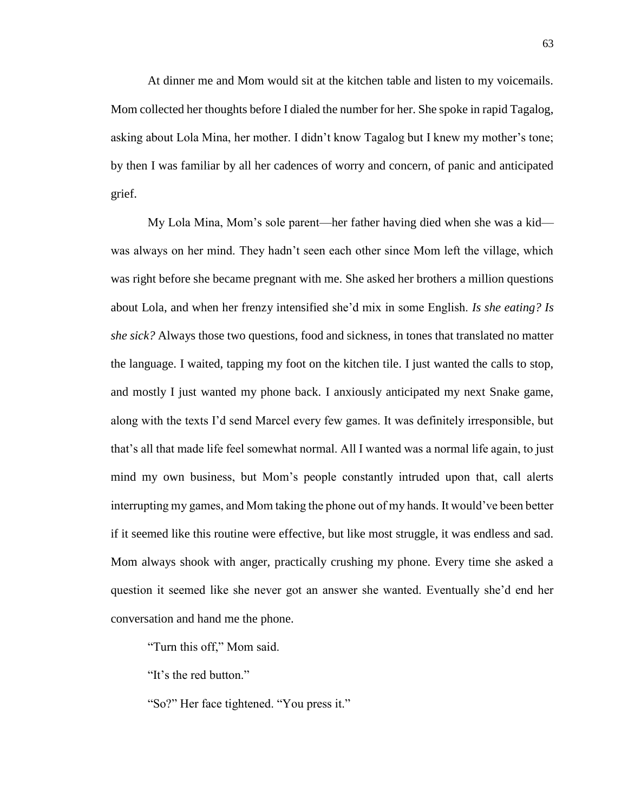At dinner me and Mom would sit at the kitchen table and listen to my voicemails. Mom collected her thoughts before I dialed the number for her. She spoke in rapid Tagalog, asking about Lola Mina, her mother. I didn't know Tagalog but I knew my mother's tone; by then I was familiar by all her cadences of worry and concern, of panic and anticipated grief.

My Lola Mina, Mom's sole parent—her father having died when she was a kid was always on her mind. They hadn't seen each other since Mom left the village, which was right before she became pregnant with me. She asked her brothers a million questions about Lola, and when her frenzy intensified she'd mix in some English. *Is she eating? Is she sick?* Always those two questions, food and sickness, in tones that translated no matter the language. I waited, tapping my foot on the kitchen tile. I just wanted the calls to stop, and mostly I just wanted my phone back. I anxiously anticipated my next Snake game, along with the texts I'd send Marcel every few games. It was definitely irresponsible, but that's all that made life feel somewhat normal. All I wanted was a normal life again, to just mind my own business, but Mom's people constantly intruded upon that, call alerts interrupting my games, and Mom taking the phone out of my hands. It would've been better if it seemed like this routine were effective, but like most struggle, it was endless and sad. Mom always shook with anger, practically crushing my phone. Every time she asked a question it seemed like she never got an answer she wanted. Eventually she'd end her conversation and hand me the phone.

"Turn this off," Mom said.

"It's the red button."

"So?" Her face tightened. "You press it."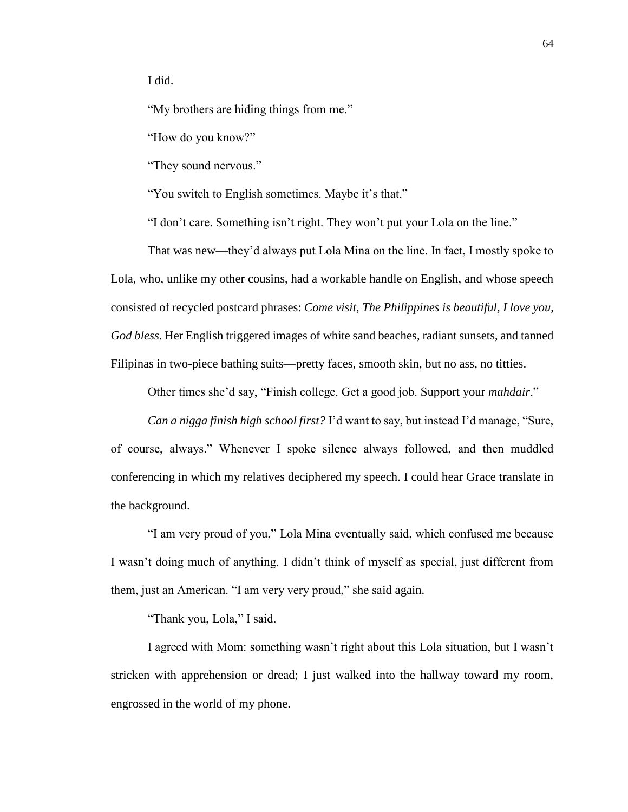I did.

"My brothers are hiding things from me."

"How do you know?"

"They sound nervous."

"You switch to English sometimes. Maybe it's that."

"I don't care. Something isn't right. They won't put your Lola on the line."

That was new—they'd always put Lola Mina on the line. In fact, I mostly spoke to Lola, who, unlike my other cousins, had a workable handle on English, and whose speech consisted of recycled postcard phrases: *Come visit, The Philippines is beautiful, I love you, God bless*. Her English triggered images of white sand beaches, radiant sunsets, and tanned Filipinas in two-piece bathing suits—pretty faces, smooth skin, but no ass, no titties.

Other times she'd say, "Finish college. Get a good job. Support your *mahdair*."

*Can a nigga finish high school first?* I'd want to say, but instead I'd manage, "Sure, of course, always." Whenever I spoke silence always followed, and then muddled conferencing in which my relatives deciphered my speech. I could hear Grace translate in the background.

"I am very proud of you," Lola Mina eventually said, which confused me because I wasn't doing much of anything. I didn't think of myself as special, just different from them, just an American. "I am very very proud," she said again.

"Thank you, Lola," I said.

I agreed with Mom: something wasn't right about this Lola situation, but I wasn't stricken with apprehension or dread; I just walked into the hallway toward my room, engrossed in the world of my phone.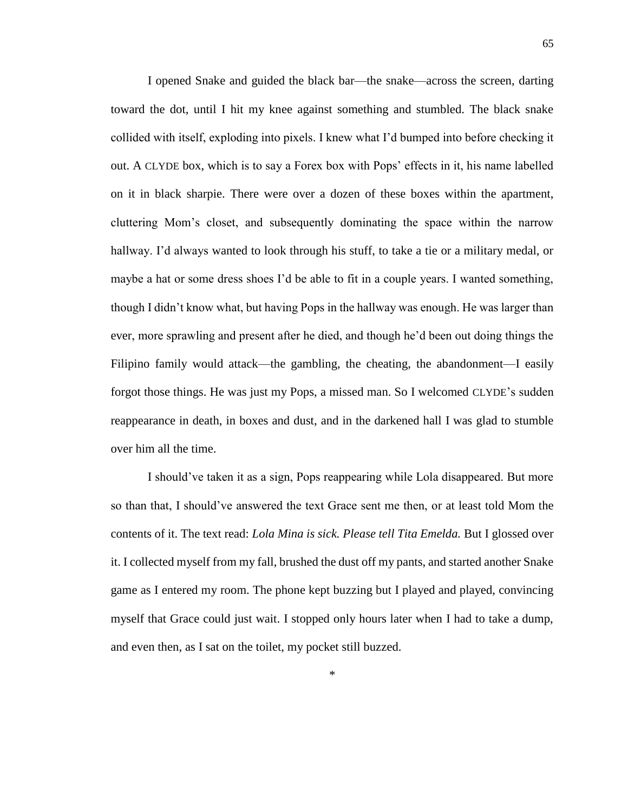I opened Snake and guided the black bar—the snake—across the screen, darting toward the dot, until I hit my knee against something and stumbled. The black snake collided with itself, exploding into pixels. I knew what I'd bumped into before checking it out. A CLYDE box, which is to say a Forex box with Pops' effects in it, his name labelled on it in black sharpie. There were over a dozen of these boxes within the apartment, cluttering Mom's closet, and subsequently dominating the space within the narrow hallway. I'd always wanted to look through his stuff, to take a tie or a military medal, or maybe a hat or some dress shoes I'd be able to fit in a couple years. I wanted something, though I didn't know what, but having Pops in the hallway was enough. He was larger than ever, more sprawling and present after he died, and though he'd been out doing things the Filipino family would attack—the gambling, the cheating, the abandonment—I easily forgot those things. He was just my Pops, a missed man. So I welcomed CLYDE's sudden reappearance in death, in boxes and dust, and in the darkened hall I was glad to stumble over him all the time.

I should've taken it as a sign, Pops reappearing while Lola disappeared. But more so than that, I should've answered the text Grace sent me then, or at least told Mom the contents of it. The text read: *Lola Mina is sick. Please tell Tita Emelda.* But I glossed over it. I collected myself from my fall, brushed the dust off my pants, and started another Snake game as I entered my room. The phone kept buzzing but I played and played, convincing myself that Grace could just wait. I stopped only hours later when I had to take a dump, and even then, as I sat on the toilet, my pocket still buzzed.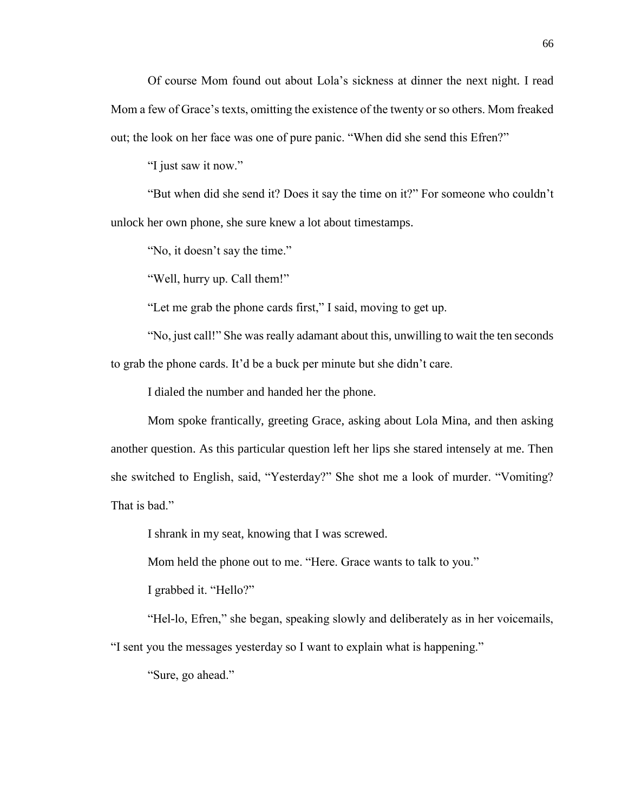Of course Mom found out about Lola's sickness at dinner the next night. I read Mom a few of Grace's texts, omitting the existence of the twenty or so others. Mom freaked out; the look on her face was one of pure panic. "When did she send this Efren?"

"I just saw it now."

"But when did she send it? Does it say the time on it?" For someone who couldn't unlock her own phone, she sure knew a lot about timestamps.

"No, it doesn't say the time."

"Well, hurry up. Call them!"

"Let me grab the phone cards first," I said, moving to get up.

"No, just call!" She was really adamant about this, unwilling to wait the ten seconds to grab the phone cards. It'd be a buck per minute but she didn't care.

I dialed the number and handed her the phone.

Mom spoke frantically, greeting Grace, asking about Lola Mina, and then asking another question. As this particular question left her lips she stared intensely at me. Then she switched to English, said, "Yesterday?" She shot me a look of murder. "Vomiting? That is bad."

I shrank in my seat, knowing that I was screwed.

Mom held the phone out to me. "Here. Grace wants to talk to you."

I grabbed it. "Hello?"

"Hel-lo, Efren," she began, speaking slowly and deliberately as in her voicemails,

"I sent you the messages yesterday so I want to explain what is happening."

"Sure, go ahead."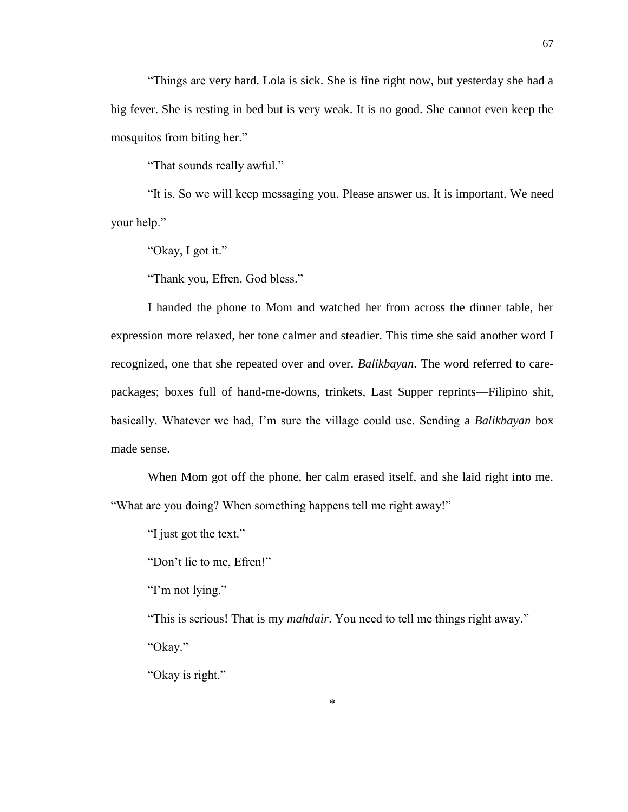"Things are very hard. Lola is sick. She is fine right now, but yesterday she had a big fever. She is resting in bed but is very weak. It is no good. She cannot even keep the mosquitos from biting her."

"That sounds really awful."

"It is. So we will keep messaging you. Please answer us. It is important. We need your help."

"Okay, I got it."

"Thank you, Efren. God bless."

I handed the phone to Mom and watched her from across the dinner table, her expression more relaxed, her tone calmer and steadier. This time she said another word I recognized, one that she repeated over and over. *Balikbayan*. The word referred to carepackages; boxes full of hand-me-downs, trinkets, Last Supper reprints—Filipino shit, basically. Whatever we had, I'm sure the village could use. Sending a *Balikbayan* box made sense.

When Mom got off the phone, her calm erased itself, and she laid right into me. "What are you doing? When something happens tell me right away!"

"I just got the text."

"Don't lie to me, Efren!"

"I'm not lying."

"This is serious! That is my *mahdair*. You need to tell me things right away." "Okay."

"Okay is right."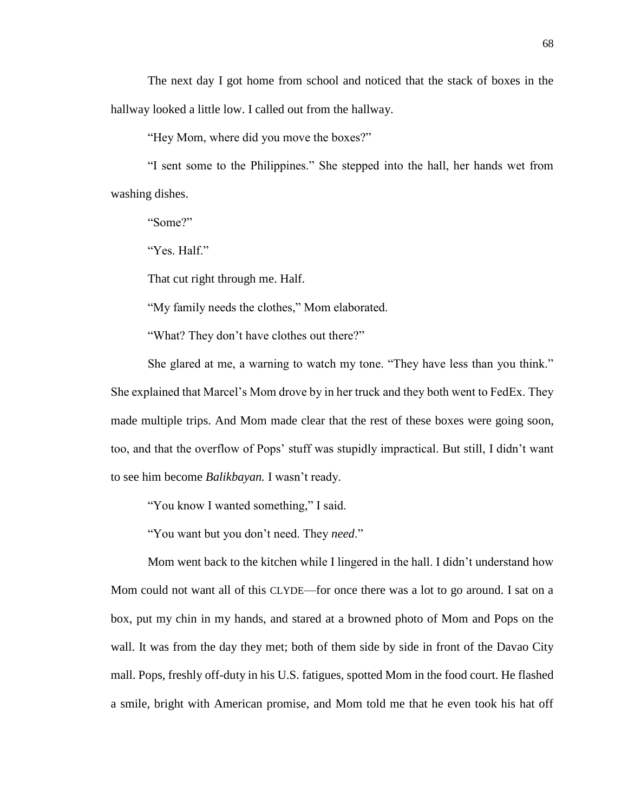The next day I got home from school and noticed that the stack of boxes in the hallway looked a little low. I called out from the hallway.

"Hey Mom, where did you move the boxes?"

"I sent some to the Philippines." She stepped into the hall, her hands wet from washing dishes.

"Some?"

"Yes. Half."

That cut right through me. Half.

"My family needs the clothes," Mom elaborated.

"What? They don't have clothes out there?"

She glared at me, a warning to watch my tone. "They have less than you think." She explained that Marcel's Mom drove by in her truck and they both went to FedEx. They made multiple trips. And Mom made clear that the rest of these boxes were going soon, too, and that the overflow of Pops' stuff was stupidly impractical. But still, I didn't want to see him become *Balikbayan.* I wasn't ready.

"You know I wanted something," I said.

"You want but you don't need. They *need*."

Mom went back to the kitchen while I lingered in the hall. I didn't understand how Mom could not want all of this CLYDE—for once there was a lot to go around. I sat on a box, put my chin in my hands, and stared at a browned photo of Mom and Pops on the wall. It was from the day they met; both of them side by side in front of the Davao City mall. Pops, freshly off-duty in his U.S. fatigues, spotted Mom in the food court. He flashed a smile, bright with American promise, and Mom told me that he even took his hat off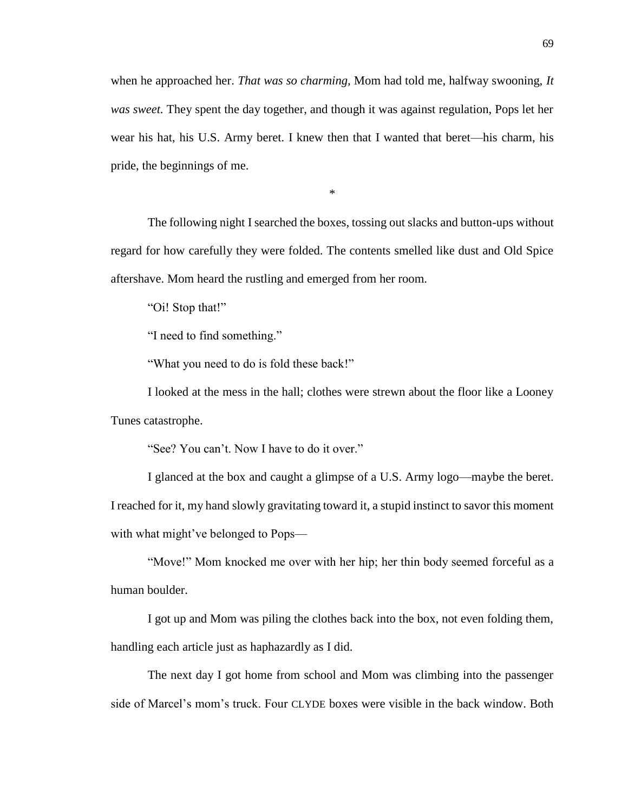when he approached her. *That was so charming,* Mom had told me, halfway swooning, *It was sweet.* They spent the day together, and though it was against regulation, Pops let her wear his hat, his U.S. Army beret. I knew then that I wanted that beret—his charm, his pride, the beginnings of me.

\*

The following night I searched the boxes, tossing out slacks and button-ups without regard for how carefully they were folded. The contents smelled like dust and Old Spice aftershave. Mom heard the rustling and emerged from her room.

"Oi! Stop that!"

"I need to find something."

"What you need to do is fold these back!"

I looked at the mess in the hall; clothes were strewn about the floor like a Looney Tunes catastrophe.

"See? You can't. Now I have to do it over."

I glanced at the box and caught a glimpse of a U.S. Army logo—maybe the beret. I reached for it, my hand slowly gravitating toward it, a stupid instinct to savor this moment with what might've belonged to Pops—

"Move!" Mom knocked me over with her hip; her thin body seemed forceful as a human boulder.

I got up and Mom was piling the clothes back into the box, not even folding them, handling each article just as haphazardly as I did.

The next day I got home from school and Mom was climbing into the passenger side of Marcel's mom's truck. Four CLYDE boxes were visible in the back window. Both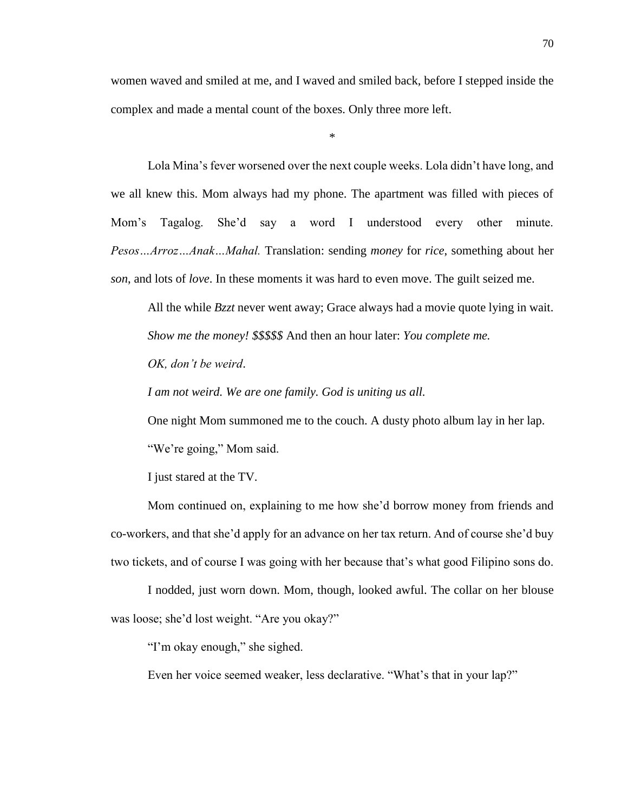women waved and smiled at me, and I waved and smiled back, before I stepped inside the complex and made a mental count of the boxes. Only three more left.

\*

Lola Mina's fever worsened over the next couple weeks. Lola didn't have long, and we all knew this. Mom always had my phone. The apartment was filled with pieces of Mom's Tagalog. She'd say a word I understood every other minute. *Pesos…Arroz…Anak…Mahal.* Translation: sending *money* for *rice*, something about her *son*, and lots of *love*. In these moments it was hard to even move. The guilt seized me.

All the while *Bzzt* never went away; Grace always had a movie quote lying in wait. *Show me the money! \$\$\$\$\$* And then an hour later: *You complete me.*

*OK, don't be weird*.

*I am not weird. We are one family. God is uniting us all.*

One night Mom summoned me to the couch. A dusty photo album lay in her lap. "We're going," Mom said.

I just stared at the TV.

Mom continued on, explaining to me how she'd borrow money from friends and co-workers, and that she'd apply for an advance on her tax return. And of course she'd buy two tickets, and of course I was going with her because that's what good Filipino sons do.

I nodded, just worn down. Mom, though, looked awful. The collar on her blouse was loose; she'd lost weight. "Are you okay?"

"I'm okay enough," she sighed.

Even her voice seemed weaker, less declarative. "What's that in your lap?"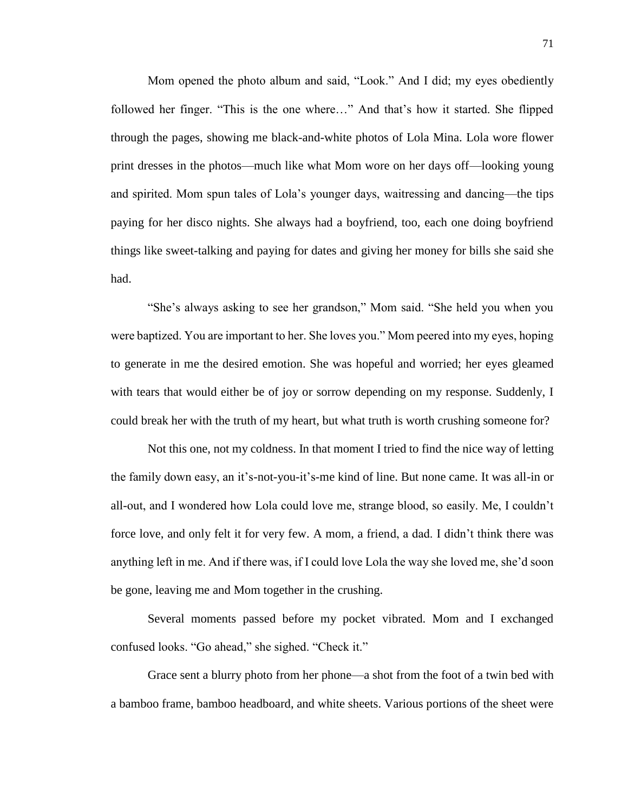Mom opened the photo album and said, "Look." And I did; my eyes obediently followed her finger. "This is the one where…" And that's how it started. She flipped through the pages, showing me black-and-white photos of Lola Mina. Lola wore flower print dresses in the photos—much like what Mom wore on her days off—looking young and spirited. Mom spun tales of Lola's younger days, waitressing and dancing—the tips paying for her disco nights. She always had a boyfriend, too, each one doing boyfriend things like sweet-talking and paying for dates and giving her money for bills she said she had.

"She's always asking to see her grandson," Mom said. "She held you when you were baptized. You are important to her. She loves you." Mom peered into my eyes, hoping to generate in me the desired emotion. She was hopeful and worried; her eyes gleamed with tears that would either be of joy or sorrow depending on my response. Suddenly, I could break her with the truth of my heart, but what truth is worth crushing someone for?

Not this one, not my coldness. In that moment I tried to find the nice way of letting the family down easy, an it's-not-you-it's-me kind of line. But none came. It was all-in or all-out, and I wondered how Lola could love me, strange blood, so easily. Me, I couldn't force love, and only felt it for very few. A mom, a friend, a dad. I didn't think there was anything left in me. And if there was, if I could love Lola the way she loved me, she'd soon be gone, leaving me and Mom together in the crushing.

Several moments passed before my pocket vibrated. Mom and I exchanged confused looks. "Go ahead," she sighed. "Check it."

Grace sent a blurry photo from her phone—a shot from the foot of a twin bed with a bamboo frame, bamboo headboard, and white sheets. Various portions of the sheet were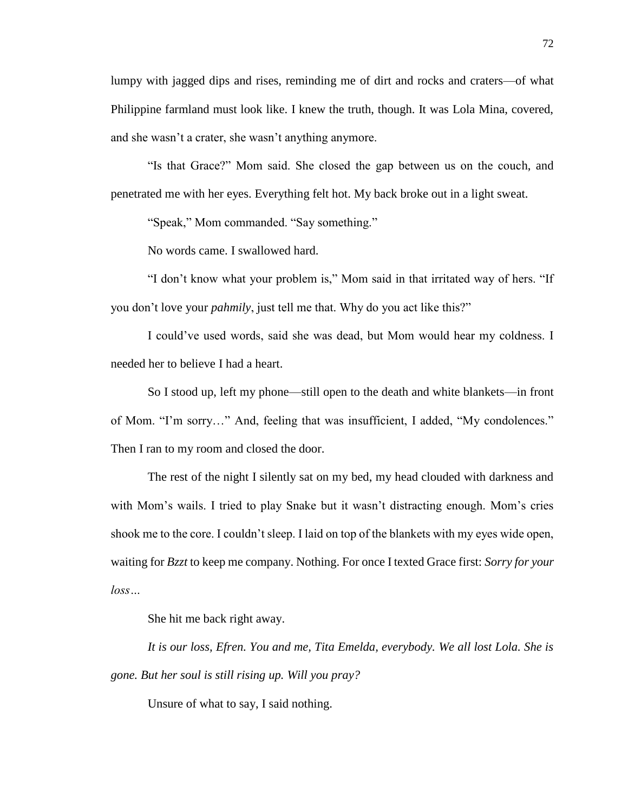lumpy with jagged dips and rises, reminding me of dirt and rocks and craters—of what Philippine farmland must look like. I knew the truth, though. It was Lola Mina, covered, and she wasn't a crater, she wasn't anything anymore.

"Is that Grace?" Mom said. She closed the gap between us on the couch, and penetrated me with her eyes. Everything felt hot. My back broke out in a light sweat.

"Speak," Mom commanded. "Say something."

No words came. I swallowed hard.

"I don't know what your problem is," Mom said in that irritated way of hers. "If you don't love your *pahmily*, just tell me that. Why do you act like this?"

I could've used words, said she was dead, but Mom would hear my coldness. I needed her to believe I had a heart.

So I stood up, left my phone—still open to the death and white blankets—in front of Mom. "I'm sorry…" And, feeling that was insufficient, I added, "My condolences." Then I ran to my room and closed the door.

The rest of the night I silently sat on my bed, my head clouded with darkness and with Mom's wails. I tried to play Snake but it wasn't distracting enough. Mom's cries shook me to the core. I couldn't sleep. I laid on top of the blankets with my eyes wide open, waiting for *Bzzt* to keep me company. Nothing. For once I texted Grace first: *Sorry for your loss…*

She hit me back right away.

*It is our loss, Efren. You and me, Tita Emelda, everybody. We all lost Lola. She is gone. But her soul is still rising up. Will you pray?*

Unsure of what to say, I said nothing.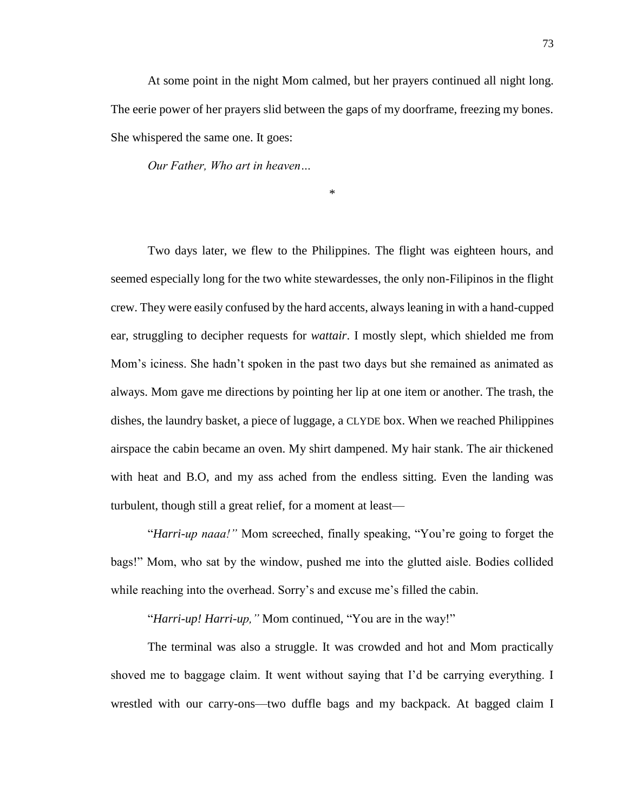At some point in the night Mom calmed, but her prayers continued all night long. The eerie power of her prayers slid between the gaps of my doorframe, freezing my bones. She whispered the same one. It goes:

*Our Father, Who art in heaven…* 

\*

Two days later, we flew to the Philippines. The flight was eighteen hours, and seemed especially long for the two white stewardesses, the only non-Filipinos in the flight crew. They were easily confused by the hard accents, always leaning in with a hand-cupped ear, struggling to decipher requests for *wattair*. I mostly slept, which shielded me from Mom's iciness. She hadn't spoken in the past two days but she remained as animated as always. Mom gave me directions by pointing her lip at one item or another. The trash, the dishes, the laundry basket, a piece of luggage, a CLYDE box. When we reached Philippines airspace the cabin became an oven. My shirt dampened. My hair stank. The air thickened with heat and B.O, and my ass ached from the endless sitting. Even the landing was turbulent, though still a great relief, for a moment at least—

"*Harri-up naaa!"* Mom screeched, finally speaking, "You're going to forget the bags!" Mom, who sat by the window, pushed me into the glutted aisle. Bodies collided while reaching into the overhead. Sorry's and excuse me's filled the cabin.

"*Harri-up! Harri-up,"* Mom continued, "You are in the way!"

The terminal was also a struggle. It was crowded and hot and Mom practically shoved me to baggage claim. It went without saying that I'd be carrying everything. I wrestled with our carry-ons—two duffle bags and my backpack. At bagged claim I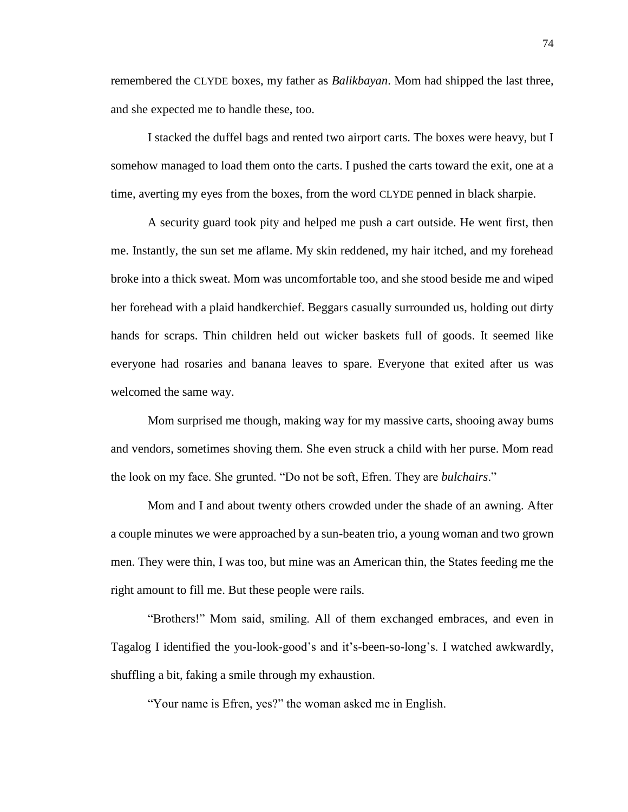remembered the CLYDE boxes, my father as *Balikbayan*. Mom had shipped the last three, and she expected me to handle these, too.

I stacked the duffel bags and rented two airport carts. The boxes were heavy, but I somehow managed to load them onto the carts. I pushed the carts toward the exit, one at a time, averting my eyes from the boxes, from the word CLYDE penned in black sharpie.

A security guard took pity and helped me push a cart outside. He went first, then me. Instantly, the sun set me aflame. My skin reddened, my hair itched, and my forehead broke into a thick sweat. Mom was uncomfortable too, and she stood beside me and wiped her forehead with a plaid handkerchief. Beggars casually surrounded us, holding out dirty hands for scraps. Thin children held out wicker baskets full of goods. It seemed like everyone had rosaries and banana leaves to spare. Everyone that exited after us was welcomed the same way.

Mom surprised me though, making way for my massive carts, shooing away bums and vendors, sometimes shoving them. She even struck a child with her purse. Mom read the look on my face. She grunted. "Do not be soft, Efren. They are *bulchairs*."

Mom and I and about twenty others crowded under the shade of an awning. After a couple minutes we were approached by a sun-beaten trio, a young woman and two grown men. They were thin, I was too, but mine was an American thin, the States feeding me the right amount to fill me. But these people were rails.

"Brothers!" Mom said, smiling. All of them exchanged embraces, and even in Tagalog I identified the you-look-good's and it's-been-so-long's. I watched awkwardly, shuffling a bit, faking a smile through my exhaustion.

"Your name is Efren, yes?" the woman asked me in English.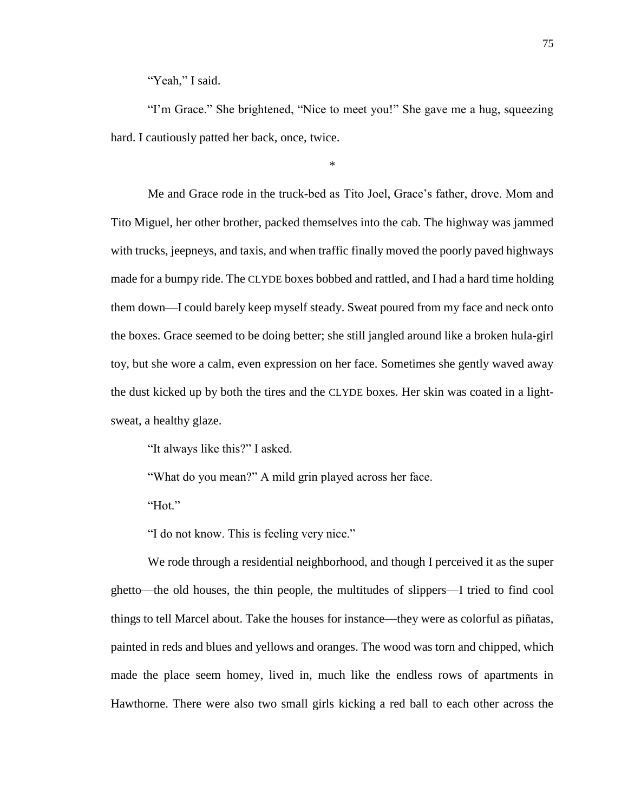"Yeah," I said.

"I'm Grace." She brightened, "Nice to meet you!" She gave me a hug, squeezing hard. I cautiously patted her back, once, twice.

\*

Me and Grace rode in the truck-bed as Tito Joel, Grace's father, drove. Mom and Tito Miguel, her other brother, packed themselves into the cab. The highway was jammed with trucks, jeepneys, and taxis, and when traffic finally moved the poorly paved highways made for a bumpy ride. The CLYDE boxes bobbed and rattled, and I had a hard time holding them down—I could barely keep myself steady. Sweat poured from my face and neck onto the boxes. Grace seemed to be doing better; she still jangled around like a broken hula-girl toy, but she wore a calm, even expression on her face. Sometimes she gently waved away the dust kicked up by both the tires and the CLYDE boxes. Her skin was coated in a lightsweat, a healthy glaze.

"It always like this?" I asked.

"What do you mean?" A mild grin played across her face.

"Hot."

"I do not know. This is feeling very nice."

We rode through a residential neighborhood, and though I perceived it as the super ghetto—the old houses, the thin people, the multitudes of slippers—I tried to find cool things to tell Marcel about. Take the houses for instance—they were as colorful as piñatas, painted in reds and blues and yellows and oranges. The wood was torn and chipped, which made the place seem homey, lived in, much like the endless rows of apartments in Hawthorne. There were also two small girls kicking a red ball to each other across the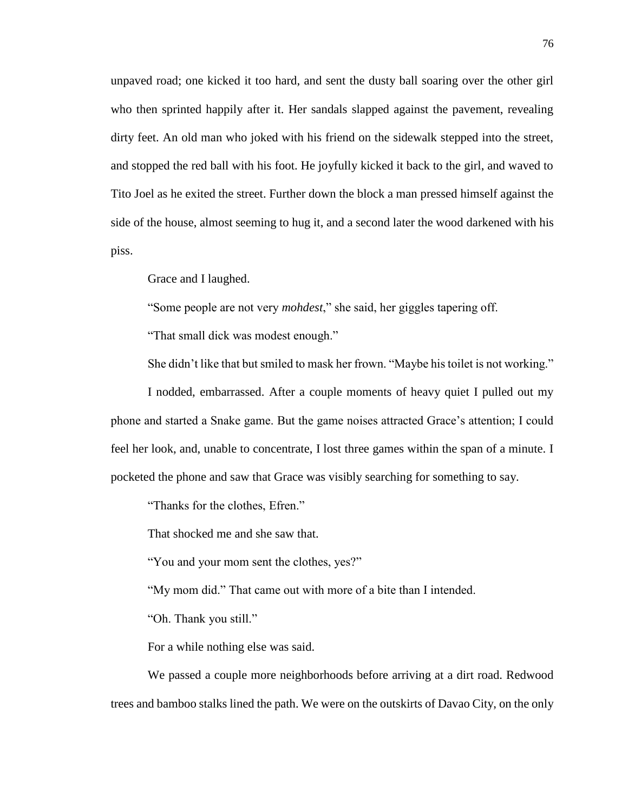unpaved road; one kicked it too hard, and sent the dusty ball soaring over the other girl who then sprinted happily after it. Her sandals slapped against the pavement, revealing dirty feet. An old man who joked with his friend on the sidewalk stepped into the street, and stopped the red ball with his foot. He joyfully kicked it back to the girl, and waved to Tito Joel as he exited the street. Further down the block a man pressed himself against the side of the house, almost seeming to hug it, and a second later the wood darkened with his piss.

Grace and I laughed.

"Some people are not very *mohdest*," she said, her giggles tapering off.

"That small dick was modest enough."

She didn't like that but smiled to mask her frown. "Maybe his toilet is not working."

I nodded, embarrassed. After a couple moments of heavy quiet I pulled out my phone and started a Snake game. But the game noises attracted Grace's attention; I could feel her look, and, unable to concentrate, I lost three games within the span of a minute. I pocketed the phone and saw that Grace was visibly searching for something to say.

"Thanks for the clothes, Efren."

That shocked me and she saw that.

"You and your mom sent the clothes, yes?"

"My mom did." That came out with more of a bite than I intended.

"Oh. Thank you still."

For a while nothing else was said.

We passed a couple more neighborhoods before arriving at a dirt road. Redwood trees and bamboo stalks lined the path. We were on the outskirts of Davao City, on the only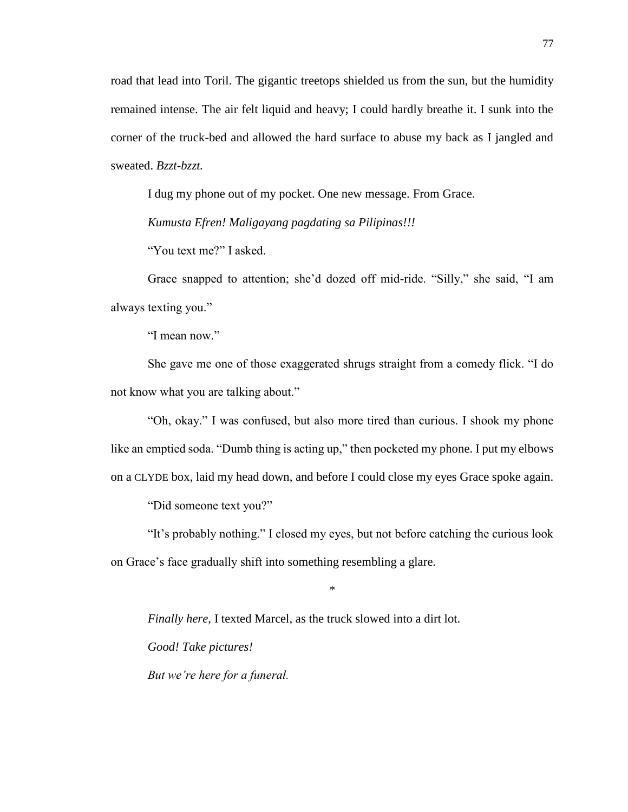road that lead into Toril. The gigantic treetops shielded us from the sun, but the humidity remained intense. The air felt liquid and heavy; I could hardly breathe it. I sunk into the corner of the truck-bed and allowed the hard surface to abuse my back as I jangled and sweated. *Bzzt-bzzt.*

I dug my phone out of my pocket. One new message. From Grace.

*Kumusta Efren! Maligayang pagdating sa Pilipinas!!!*

"You text me?" I asked.

Grace snapped to attention; she'd dozed off mid-ride. "Silly," she said, "I am always texting you."

"I mean now."

She gave me one of those exaggerated shrugs straight from a comedy flick. "I do not know what you are talking about."

"Oh, okay." I was confused, but also more tired than curious. I shook my phone like an emptied soda. "Dumb thing is acting up," then pocketed my phone. I put my elbows on a CLYDE box, laid my head down, and before I could close my eyes Grace spoke again.

"Did someone text you?"

"It's probably nothing." I closed my eyes, but not before catching the curious look on Grace's face gradually shift into something resembling a glare.

\*

*Finally here,* I texted Marcel, as the truck slowed into a dirt lot.

*Good! Take pictures!* 

*But we're here for a funeral.*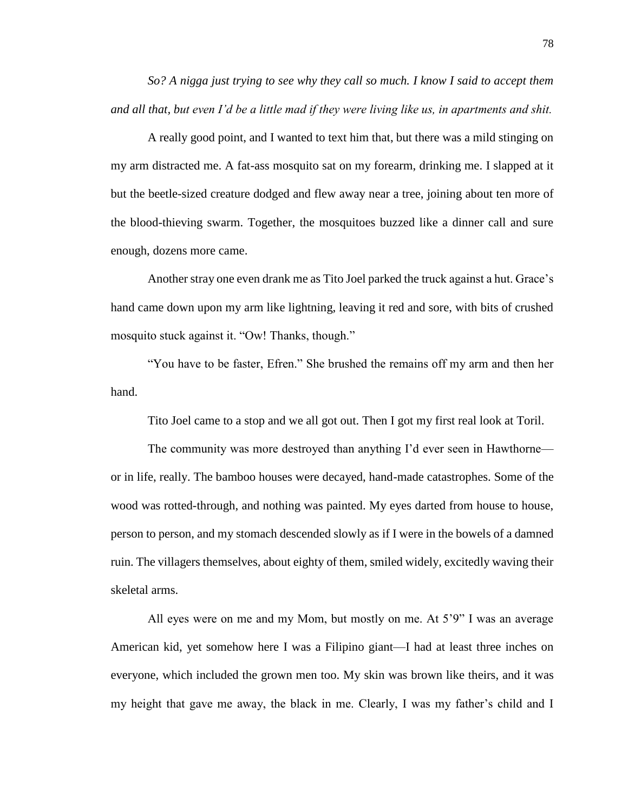*So? A nigga just trying to see why they call so much. I know I said to accept them and all that, but even I'd be a little mad if they were living like us, in apartments and shit.*

A really good point, and I wanted to text him that, but there was a mild stinging on my arm distracted me. A fat-ass mosquito sat on my forearm, drinking me. I slapped at it but the beetle-sized creature dodged and flew away near a tree, joining about ten more of the blood-thieving swarm. Together, the mosquitoes buzzed like a dinner call and sure enough, dozens more came.

Another stray one even drank me as Tito Joel parked the truck against a hut. Grace's hand came down upon my arm like lightning, leaving it red and sore, with bits of crushed mosquito stuck against it. "Ow! Thanks, though."

"You have to be faster, Efren." She brushed the remains off my arm and then her hand.

Tito Joel came to a stop and we all got out. Then I got my first real look at Toril.

The community was more destroyed than anything I'd ever seen in Hawthorne or in life, really. The bamboo houses were decayed, hand-made catastrophes. Some of the wood was rotted-through, and nothing was painted. My eyes darted from house to house, person to person, and my stomach descended slowly as if I were in the bowels of a damned ruin. The villagers themselves, about eighty of them, smiled widely, excitedly waving their skeletal arms.

All eyes were on me and my Mom, but mostly on me. At 5'9" I was an average American kid, yet somehow here I was a Filipino giant—I had at least three inches on everyone, which included the grown men too. My skin was brown like theirs, and it was my height that gave me away, the black in me. Clearly, I was my father's child and I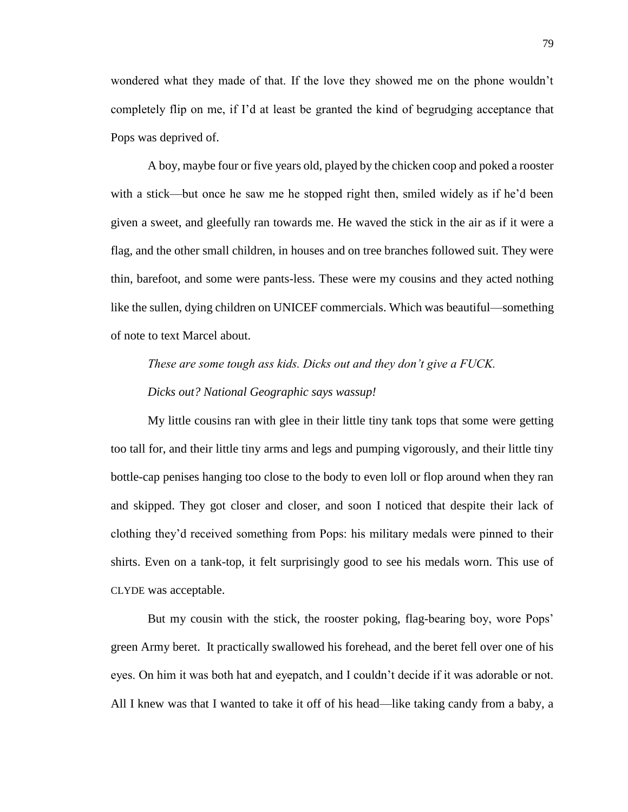wondered what they made of that. If the love they showed me on the phone wouldn't completely flip on me, if I'd at least be granted the kind of begrudging acceptance that Pops was deprived of.

A boy, maybe four or five years old, played by the chicken coop and poked a rooster with a stick—but once he saw me he stopped right then, smiled widely as if he'd been given a sweet, and gleefully ran towards me. He waved the stick in the air as if it were a flag, and the other small children, in houses and on tree branches followed suit. They were thin, barefoot, and some were pants-less. These were my cousins and they acted nothing like the sullen, dying children on UNICEF commercials. Which was beautiful—something of note to text Marcel about.

*These are some tough ass kids. Dicks out and they don't give a FUCK.*

*Dicks out? National Geographic says wassup!*

My little cousins ran with glee in their little tiny tank tops that some were getting too tall for, and their little tiny arms and legs and pumping vigorously, and their little tiny bottle-cap penises hanging too close to the body to even loll or flop around when they ran and skipped. They got closer and closer, and soon I noticed that despite their lack of clothing they'd received something from Pops: his military medals were pinned to their shirts. Even on a tank-top, it felt surprisingly good to see his medals worn. This use of CLYDE was acceptable.

But my cousin with the stick, the rooster poking, flag-bearing boy, wore Pops' green Army beret. It practically swallowed his forehead, and the beret fell over one of his eyes. On him it was both hat and eyepatch, and I couldn't decide if it was adorable or not. All I knew was that I wanted to take it off of his head—like taking candy from a baby, a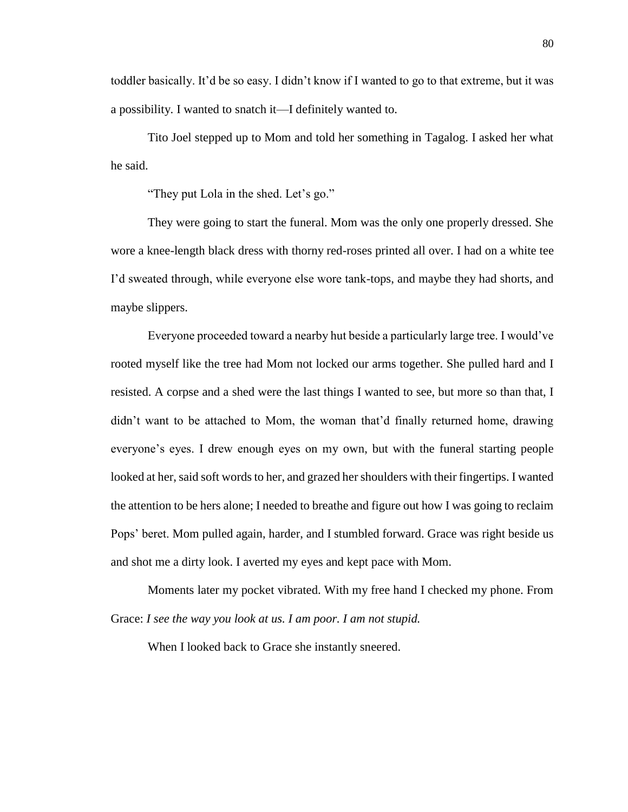toddler basically. It'd be so easy. I didn't know if I wanted to go to that extreme, but it was a possibility. I wanted to snatch it—I definitely wanted to.

Tito Joel stepped up to Mom and told her something in Tagalog. I asked her what he said.

"They put Lola in the shed. Let's go."

They were going to start the funeral. Mom was the only one properly dressed. She wore a knee-length black dress with thorny red-roses printed all over. I had on a white tee I'd sweated through, while everyone else wore tank-tops, and maybe they had shorts, and maybe slippers.

Everyone proceeded toward a nearby hut beside a particularly large tree. I would've rooted myself like the tree had Mom not locked our arms together. She pulled hard and I resisted. A corpse and a shed were the last things I wanted to see, but more so than that, I didn't want to be attached to Mom, the woman that'd finally returned home, drawing everyone's eyes. I drew enough eyes on my own, but with the funeral starting people looked at her, said soft words to her, and grazed her shoulders with their fingertips. I wanted the attention to be hers alone; I needed to breathe and figure out how I was going to reclaim Pops' beret. Mom pulled again, harder, and I stumbled forward. Grace was right beside us and shot me a dirty look. I averted my eyes and kept pace with Mom.

Moments later my pocket vibrated. With my free hand I checked my phone. From Grace: *I see the way you look at us. I am poor. I am not stupid.* 

When I looked back to Grace she instantly sneered.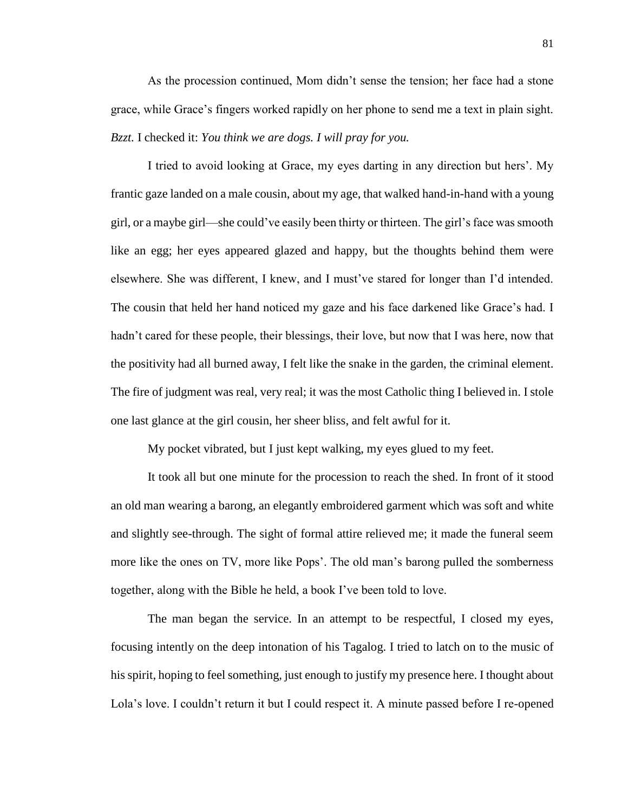As the procession continued, Mom didn't sense the tension; her face had a stone grace, while Grace's fingers worked rapidly on her phone to send me a text in plain sight. *Bzzt.* I checked it: *You think we are dogs. I will pray for you.*

I tried to avoid looking at Grace, my eyes darting in any direction but hers'. My frantic gaze landed on a male cousin, about my age, that walked hand-in-hand with a young girl, or a maybe girl—she could've easily been thirty or thirteen. The girl's face was smooth like an egg; her eyes appeared glazed and happy, but the thoughts behind them were elsewhere. She was different, I knew, and I must've stared for longer than I'd intended. The cousin that held her hand noticed my gaze and his face darkened like Grace's had. I hadn't cared for these people, their blessings, their love, but now that I was here, now that the positivity had all burned away, I felt like the snake in the garden, the criminal element. The fire of judgment was real, very real; it was the most Catholic thing I believed in. I stole one last glance at the girl cousin, her sheer bliss, and felt awful for it.

My pocket vibrated, but I just kept walking, my eyes glued to my feet.

It took all but one minute for the procession to reach the shed. In front of it stood an old man wearing a barong, an elegantly embroidered garment which was soft and white and slightly see-through. The sight of formal attire relieved me; it made the funeral seem more like the ones on TV, more like Pops'. The old man's barong pulled the somberness together, along with the Bible he held, a book I've been told to love.

The man began the service. In an attempt to be respectful, I closed my eyes, focusing intently on the deep intonation of his Tagalog. I tried to latch on to the music of his spirit, hoping to feel something, just enough to justify my presence here. I thought about Lola's love. I couldn't return it but I could respect it. A minute passed before I re-opened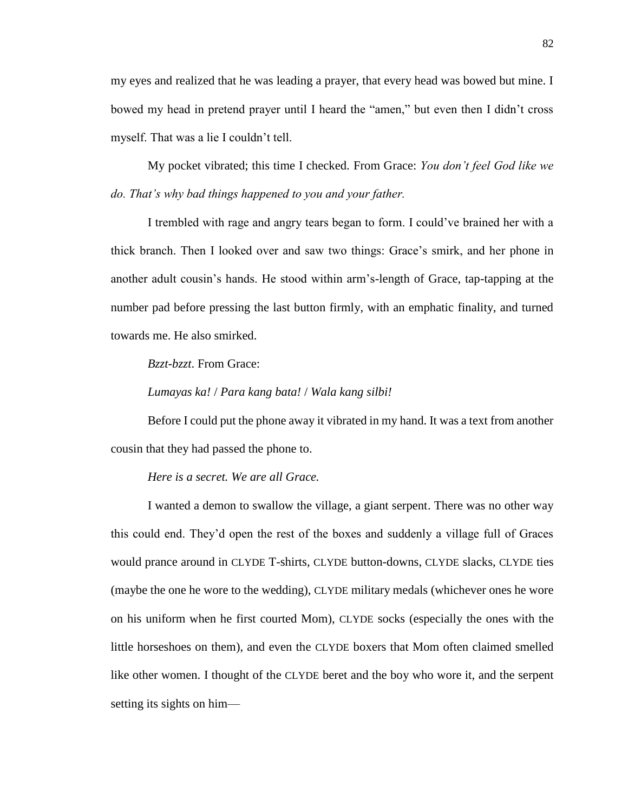my eyes and realized that he was leading a prayer, that every head was bowed but mine. I bowed my head in pretend prayer until I heard the "amen," but even then I didn't cross myself. That was a lie I couldn't tell.

My pocket vibrated; this time I checked. From Grace: *You don't feel God like we do. That's why bad things happened to you and your father.* 

I trembled with rage and angry tears began to form. I could've brained her with a thick branch. Then I looked over and saw two things: Grace's smirk, and her phone in another adult cousin's hands. He stood within arm's-length of Grace, tap-tapping at the number pad before pressing the last button firmly, with an emphatic finality, and turned towards me. He also smirked.

*Bzzt-bzzt*. From Grace:

*Lumayas ka!* / *Para kang bata!* / *Wala kang silbi!*

Before I could put the phone away it vibrated in my hand. It was a text from another cousin that they had passed the phone to.

## *Here is a secret. We are all Grace.*

I wanted a demon to swallow the village, a giant serpent. There was no other way this could end. They'd open the rest of the boxes and suddenly a village full of Graces would prance around in CLYDE T-shirts, CLYDE button-downs, CLYDE slacks, CLYDE ties (maybe the one he wore to the wedding), CLYDE military medals (whichever ones he wore on his uniform when he first courted Mom), CLYDE socks (especially the ones with the little horseshoes on them), and even the CLYDE boxers that Mom often claimed smelled like other women. I thought of the CLYDE beret and the boy who wore it, and the serpent setting its sights on him—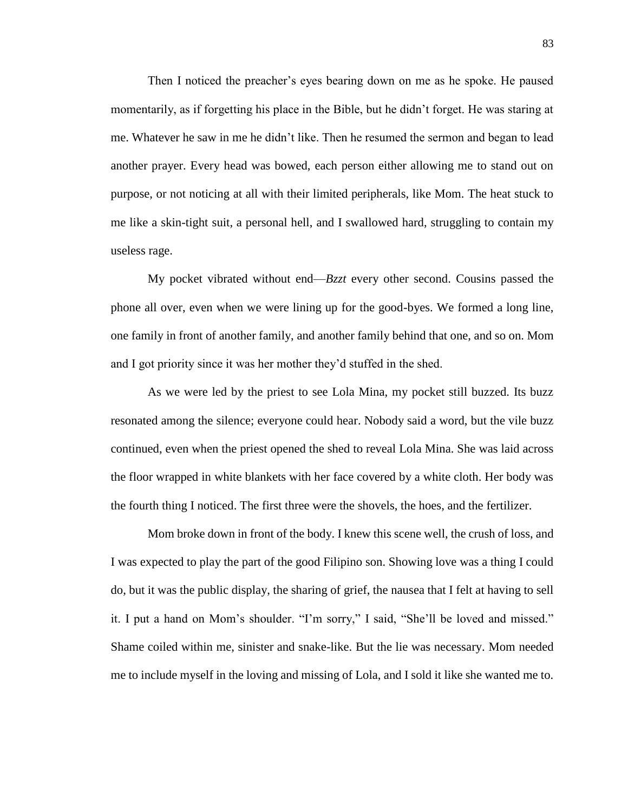Then I noticed the preacher's eyes bearing down on me as he spoke. He paused momentarily, as if forgetting his place in the Bible, but he didn't forget. He was staring at me. Whatever he saw in me he didn't like. Then he resumed the sermon and began to lead another prayer. Every head was bowed, each person either allowing me to stand out on purpose, or not noticing at all with their limited peripherals, like Mom. The heat stuck to me like a skin-tight suit, a personal hell, and I swallowed hard, struggling to contain my useless rage.

My pocket vibrated without end—*Bzzt* every other second. Cousins passed the phone all over, even when we were lining up for the good-byes. We formed a long line, one family in front of another family, and another family behind that one, and so on. Mom and I got priority since it was her mother they'd stuffed in the shed.

As we were led by the priest to see Lola Mina, my pocket still buzzed. Its buzz resonated among the silence; everyone could hear. Nobody said a word, but the vile buzz continued, even when the priest opened the shed to reveal Lola Mina. She was laid across the floor wrapped in white blankets with her face covered by a white cloth. Her body was the fourth thing I noticed. The first three were the shovels, the hoes, and the fertilizer.

Mom broke down in front of the body. I knew this scene well, the crush of loss, and I was expected to play the part of the good Filipino son. Showing love was a thing I could do, but it was the public display, the sharing of grief, the nausea that I felt at having to sell it. I put a hand on Mom's shoulder. "I'm sorry," I said, "She'll be loved and missed." Shame coiled within me, sinister and snake-like. But the lie was necessary. Mom needed me to include myself in the loving and missing of Lola, and I sold it like she wanted me to.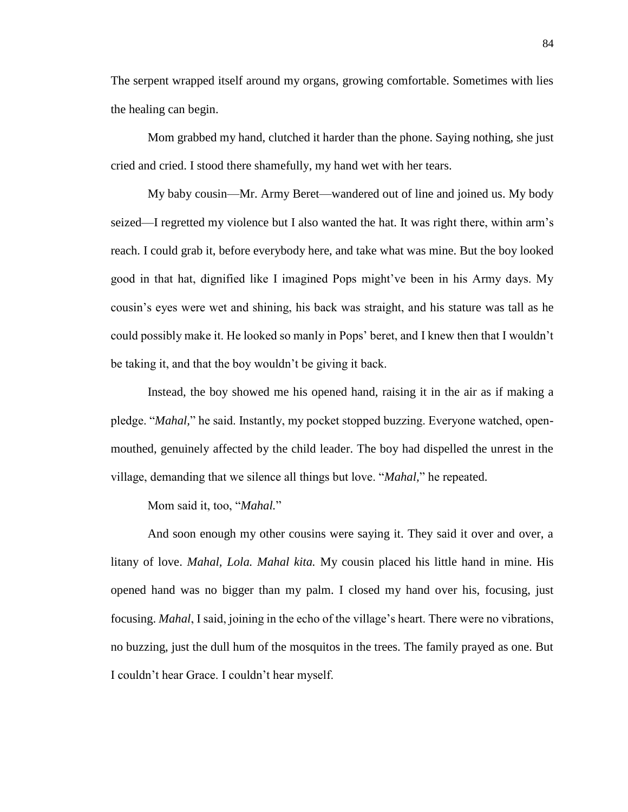The serpent wrapped itself around my organs, growing comfortable. Sometimes with lies the healing can begin.

Mom grabbed my hand, clutched it harder than the phone. Saying nothing, she just cried and cried. I stood there shamefully, my hand wet with her tears.

My baby cousin—Mr. Army Beret—wandered out of line and joined us. My body seized—I regretted my violence but I also wanted the hat. It was right there, within arm's reach. I could grab it, before everybody here, and take what was mine. But the boy looked good in that hat, dignified like I imagined Pops might've been in his Army days. My cousin's eyes were wet and shining, his back was straight, and his stature was tall as he could possibly make it. He looked so manly in Pops' beret, and I knew then that I wouldn't be taking it, and that the boy wouldn't be giving it back.

Instead, the boy showed me his opened hand, raising it in the air as if making a pledge. "*Mahal,*" he said. Instantly, my pocket stopped buzzing. Everyone watched, openmouthed, genuinely affected by the child leader. The boy had dispelled the unrest in the village, demanding that we silence all things but love. "*Mahal,*" he repeated.

Mom said it, too, "*Mahal.*"

And soon enough my other cousins were saying it. They said it over and over, a litany of love. *Mahal, Lola. Mahal kita.* My cousin placed his little hand in mine. His opened hand was no bigger than my palm. I closed my hand over his, focusing, just focusing. *Mahal*, I said, joining in the echo of the village's heart. There were no vibrations, no buzzing, just the dull hum of the mosquitos in the trees. The family prayed as one. But I couldn't hear Grace. I couldn't hear myself.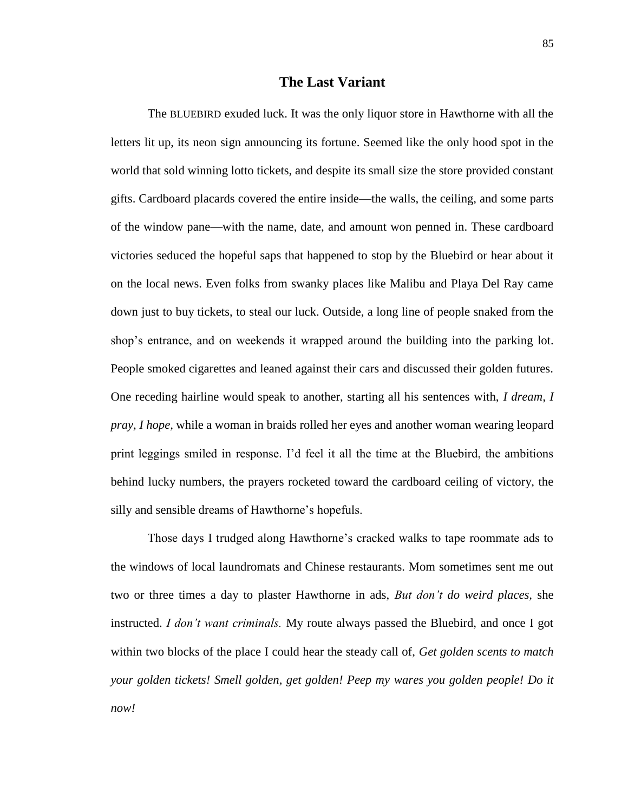## **The Last Variant**

The BLUEBIRD exuded luck. It was the only liquor store in Hawthorne with all the letters lit up, its neon sign announcing its fortune. Seemed like the only hood spot in the world that sold winning lotto tickets, and despite its small size the store provided constant gifts. Cardboard placards covered the entire inside—the walls, the ceiling, and some parts of the window pane—with the name, date, and amount won penned in. These cardboard victories seduced the hopeful saps that happened to stop by the Bluebird or hear about it on the local news. Even folks from swanky places like Malibu and Playa Del Ray came down just to buy tickets, to steal our luck. Outside, a long line of people snaked from the shop's entrance, and on weekends it wrapped around the building into the parking lot. People smoked cigarettes and leaned against their cars and discussed their golden futures. One receding hairline would speak to another, starting all his sentences with, *I dream, I pray, I hope,* while a woman in braids rolled her eyes and another woman wearing leopard print leggings smiled in response. I'd feel it all the time at the Bluebird, the ambitions behind lucky numbers, the prayers rocketed toward the cardboard ceiling of victory, the silly and sensible dreams of Hawthorne's hopefuls.

Those days I trudged along Hawthorne's cracked walks to tape roommate ads to the windows of local laundromats and Chinese restaurants. Mom sometimes sent me out two or three times a day to plaster Hawthorne in ads, *But don't do weird places,* she instructed. *I don't want criminals.* My route always passed the Bluebird, and once I got within two blocks of the place I could hear the steady call of, *Get golden scents to match your golden tickets! Smell golden, get golden! Peep my wares you golden people! Do it now!*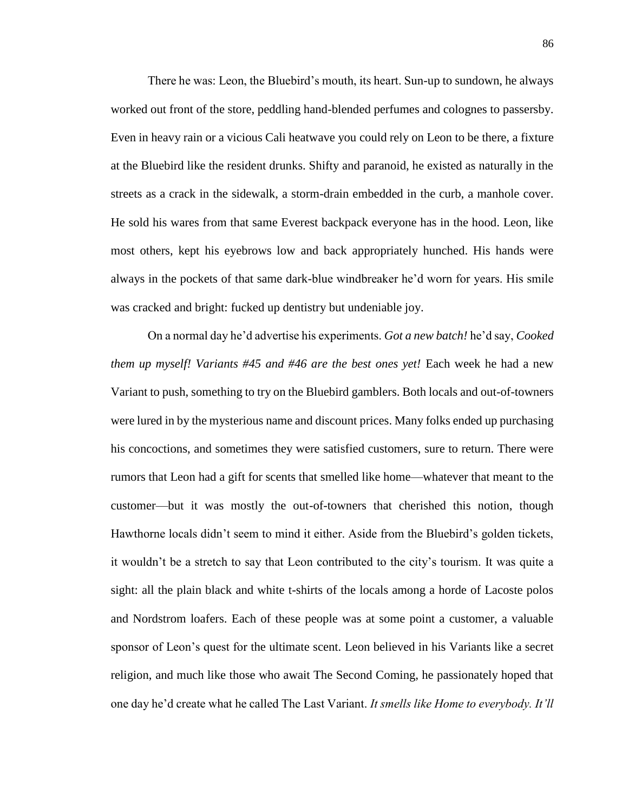There he was: Leon, the Bluebird's mouth, its heart. Sun-up to sundown, he always worked out front of the store, peddling hand-blended perfumes and colognes to passersby. Even in heavy rain or a vicious Cali heatwave you could rely on Leon to be there, a fixture at the Bluebird like the resident drunks. Shifty and paranoid, he existed as naturally in the streets as a crack in the sidewalk, a storm-drain embedded in the curb, a manhole cover. He sold his wares from that same Everest backpack everyone has in the hood. Leon, like most others, kept his eyebrows low and back appropriately hunched. His hands were always in the pockets of that same dark-blue windbreaker he'd worn for years. His smile was cracked and bright: fucked up dentistry but undeniable joy.

On a normal day he'd advertise his experiments. *Got a new batch!* he'd say, *Cooked them up myself! Variants #45 and #46 are the best ones yet!* Each week he had a new Variant to push, something to try on the Bluebird gamblers. Both locals and out-of-towners were lured in by the mysterious name and discount prices. Many folks ended up purchasing his concoctions, and sometimes they were satisfied customers, sure to return. There were rumors that Leon had a gift for scents that smelled like home—whatever that meant to the customer—but it was mostly the out-of-towners that cherished this notion, though Hawthorne locals didn't seem to mind it either. Aside from the Bluebird's golden tickets, it wouldn't be a stretch to say that Leon contributed to the city's tourism. It was quite a sight: all the plain black and white t-shirts of the locals among a horde of Lacoste polos and Nordstrom loafers. Each of these people was at some point a customer, a valuable sponsor of Leon's quest for the ultimate scent. Leon believed in his Variants like a secret religion, and much like those who await The Second Coming, he passionately hoped that one day he'd create what he called The Last Variant. *It smells like Home to everybody. It'll*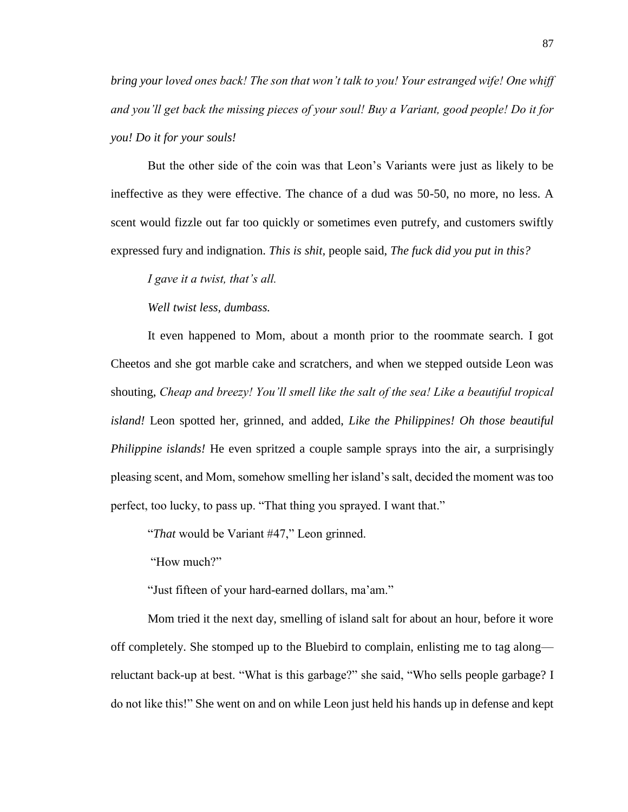*bring your loved ones back! The son that won't talk to you! Your estranged wife! One whiff and you'll get back the missing pieces of your soul! Buy a Variant, good people! Do it for you! Do it for your souls!* 

But the other side of the coin was that Leon's Variants were just as likely to be ineffective as they were effective. The chance of a dud was 50-50, no more, no less. A scent would fizzle out far too quickly or sometimes even putrefy, and customers swiftly expressed fury and indignation. *This is shit,* people said, *The fuck did you put in this?* 

*I gave it a twist, that's all.* 

*Well twist less, dumbass.*

It even happened to Mom, about a month prior to the roommate search. I got Cheetos and she got marble cake and scratchers, and when we stepped outside Leon was shouting, *Cheap and breezy! You'll smell like the salt of the sea! Like a beautiful tropical island!* Leon spotted her, grinned, and added, *Like the Philippines! Oh those beautiful Philippine islands!* He even spritzed a couple sample sprays into the air, a surprisingly pleasing scent, and Mom, somehow smelling her island's salt, decided the moment was too perfect, too lucky, to pass up. "That thing you sprayed. I want that."

"*That* would be Variant #47," Leon grinned.

"How much?"

"Just fifteen of your hard-earned dollars, ma'am."

Mom tried it the next day, smelling of island salt for about an hour, before it wore off completely. She stomped up to the Bluebird to complain, enlisting me to tag along reluctant back-up at best. "What is this garbage?" she said, "Who sells people garbage? I do not like this!" She went on and on while Leon just held his hands up in defense and kept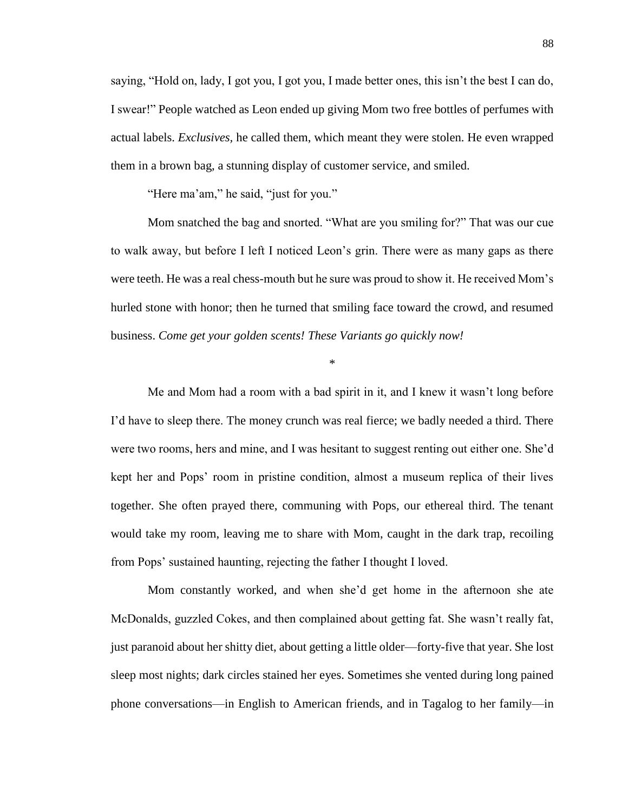saying, "Hold on, lady, I got you, I got you, I made better ones, this isn't the best I can do, I swear!" People watched as Leon ended up giving Mom two free bottles of perfumes with actual labels. *Exclusives,* he called them, which meant they were stolen. He even wrapped them in a brown bag, a stunning display of customer service, and smiled.

"Here ma'am," he said, "just for you."

Mom snatched the bag and snorted. "What are you smiling for?" That was our cue to walk away, but before I left I noticed Leon's grin. There were as many gaps as there were teeth. He was a real chess-mouth but he sure was proud to show it. He received Mom's hurled stone with honor; then he turned that smiling face toward the crowd, and resumed business. *Come get your golden scents! These Variants go quickly now!* 

\*

Me and Mom had a room with a bad spirit in it, and I knew it wasn't long before I'd have to sleep there. The money crunch was real fierce; we badly needed a third. There were two rooms, hers and mine, and I was hesitant to suggest renting out either one. She'd kept her and Pops' room in pristine condition, almost a museum replica of their lives together. She often prayed there, communing with Pops, our ethereal third. The tenant would take my room, leaving me to share with Mom, caught in the dark trap, recoiling from Pops' sustained haunting, rejecting the father I thought I loved.

Mom constantly worked, and when she'd get home in the afternoon she ate McDonalds, guzzled Cokes, and then complained about getting fat. She wasn't really fat, just paranoid about her shitty diet, about getting a little older—forty-five that year. She lost sleep most nights; dark circles stained her eyes. Sometimes she vented during long pained phone conversations—in English to American friends, and in Tagalog to her family—in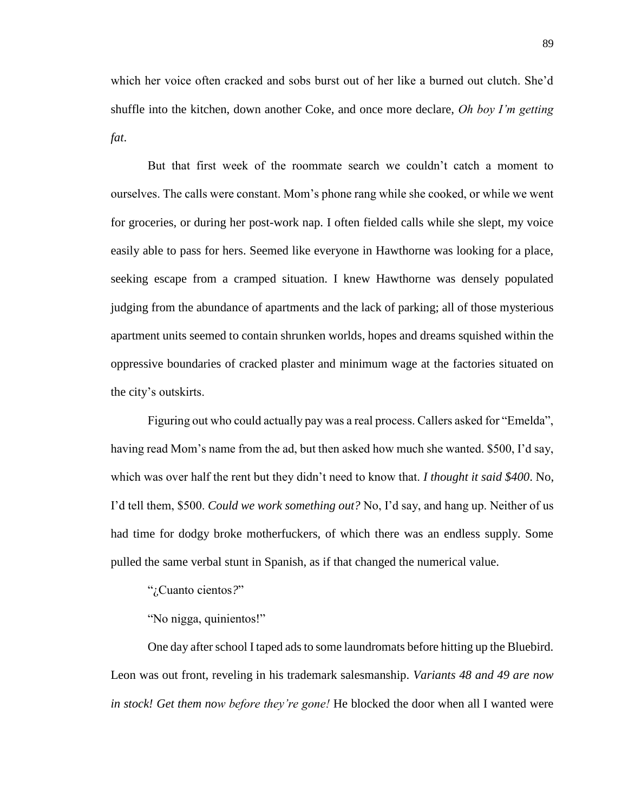which her voice often cracked and sobs burst out of her like a burned out clutch. She'd shuffle into the kitchen, down another Coke, and once more declare, *Oh boy I'm getting fat*.

But that first week of the roommate search we couldn't catch a moment to ourselves. The calls were constant. Mom's phone rang while she cooked, or while we went for groceries, or during her post-work nap. I often fielded calls while she slept, my voice easily able to pass for hers. Seemed like everyone in Hawthorne was looking for a place, seeking escape from a cramped situation. I knew Hawthorne was densely populated judging from the abundance of apartments and the lack of parking; all of those mysterious apartment units seemed to contain shrunken worlds, hopes and dreams squished within the oppressive boundaries of cracked plaster and minimum wage at the factories situated on the city's outskirts.

Figuring out who could actually pay was a real process. Callers asked for "Emelda", having read Mom's name from the ad, but then asked how much she wanted. \$500, I'd say, which was over half the rent but they didn't need to know that. *I thought it said \$400*. No, I'd tell them, \$500. *Could we work something out?* No, I'd say, and hang up. Neither of us had time for dodgy broke motherfuckers, of which there was an endless supply. Some pulled the same verbal stunt in Spanish, as if that changed the numerical value.

"¿Cuanto cientos*?*"

"No nigga, quinientos!"

One day after school I taped ads to some laundromats before hitting up the Bluebird. Leon was out front, reveling in his trademark salesmanship. *Variants 48 and 49 are now in stock! Get them now before they're gone!* He blocked the door when all I wanted were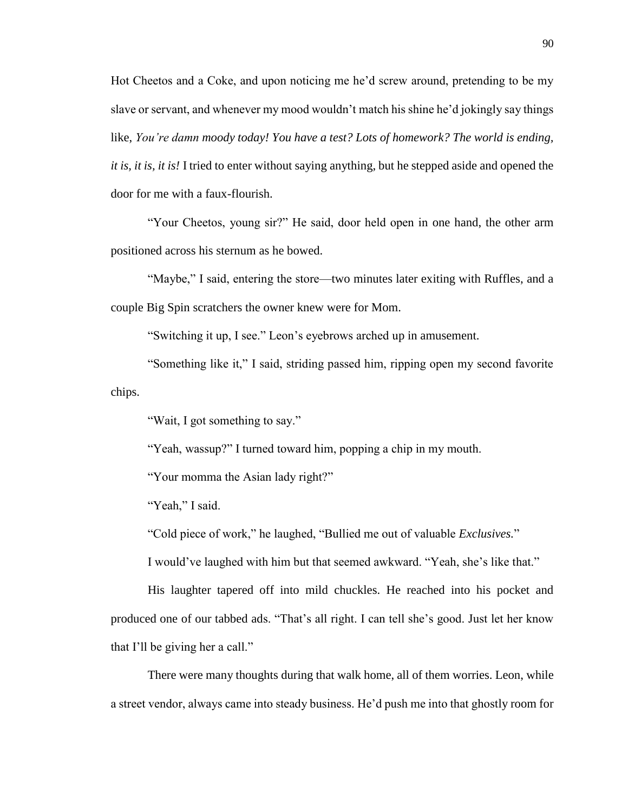Hot Cheetos and a Coke, and upon noticing me he'd screw around, pretending to be my slave or servant, and whenever my mood wouldn't match his shine he'd jokingly say things like, *You're damn moody today! You have a test? Lots of homework? The world is ending, it is, it is, it is!* I tried to enter without saying anything, but he stepped aside and opened the door for me with a faux-flourish.

"Your Cheetos, young sir?" He said, door held open in one hand, the other arm positioned across his sternum as he bowed.

"Maybe," I said, entering the store—two minutes later exiting with Ruffles, and a couple Big Spin scratchers the owner knew were for Mom.

"Switching it up, I see." Leon's eyebrows arched up in amusement.

"Something like it," I said, striding passed him, ripping open my second favorite chips.

"Wait, I got something to say."

"Yeah, wassup?" I turned toward him, popping a chip in my mouth.

"Your momma the Asian lady right?"

"Yeah," I said.

"Cold piece of work," he laughed, "Bullied me out of valuable *Exclusives.*"

I would've laughed with him but that seemed awkward. "Yeah, she's like that."

His laughter tapered off into mild chuckles. He reached into his pocket and produced one of our tabbed ads. "That's all right. I can tell she's good. Just let her know that I'll be giving her a call."

There were many thoughts during that walk home, all of them worries. Leon, while a street vendor, always came into steady business. He'd push me into that ghostly room for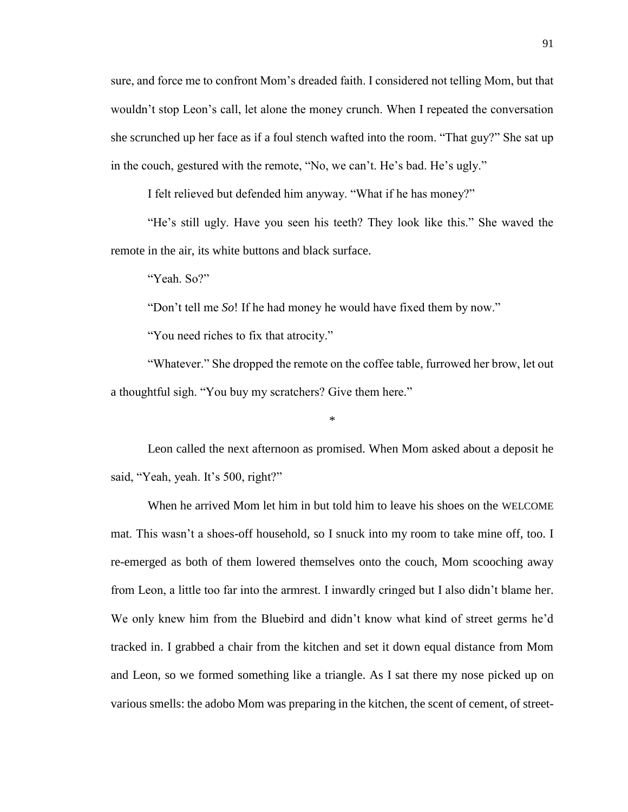sure, and force me to confront Mom's dreaded faith. I considered not telling Mom, but that wouldn't stop Leon's call, let alone the money crunch. When I repeated the conversation she scrunched up her face as if a foul stench wafted into the room. "That guy?" She sat up in the couch, gestured with the remote, "No, we can't. He's bad. He's ugly."

I felt relieved but defended him anyway. "What if he has money?"

"He's still ugly. Have you seen his teeth? They look like this." She waved the remote in the air, its white buttons and black surface.

"Yeah. So?"

"Don't tell me *So*! If he had money he would have fixed them by now."

"You need riches to fix that atrocity."

"Whatever." She dropped the remote on the coffee table, furrowed her brow, let out a thoughtful sigh. "You buy my scratchers? Give them here."

\*

Leon called the next afternoon as promised. When Mom asked about a deposit he said, "Yeah, yeah. It's 500, right?"

When he arrived Mom let him in but told him to leave his shoes on the WELCOME mat. This wasn't a shoes-off household, so I snuck into my room to take mine off, too. I re-emerged as both of them lowered themselves onto the couch, Mom scooching away from Leon, a little too far into the armrest. I inwardly cringed but I also didn't blame her. We only knew him from the Bluebird and didn't know what kind of street germs he'd tracked in. I grabbed a chair from the kitchen and set it down equal distance from Mom and Leon, so we formed something like a triangle. As I sat there my nose picked up on various smells: the adobo Mom was preparing in the kitchen, the scent of cement, of street-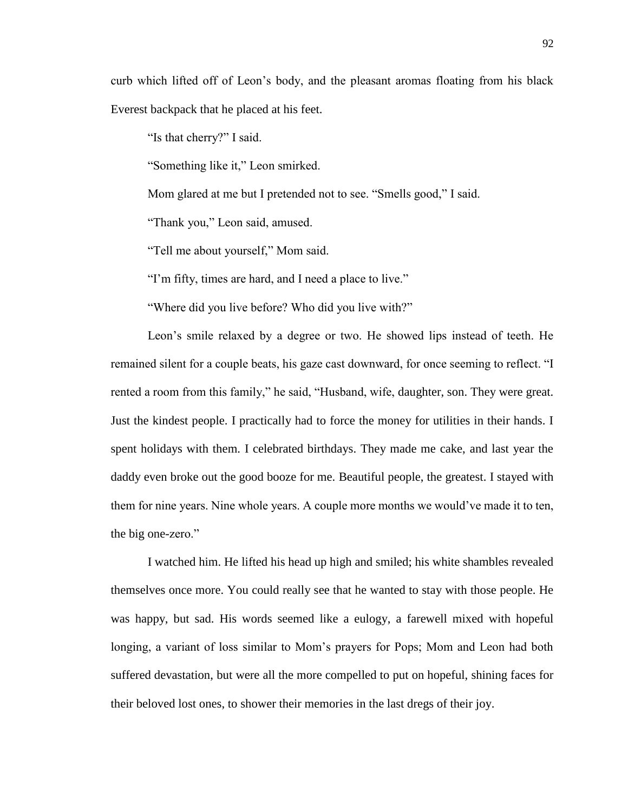curb which lifted off of Leon's body, and the pleasant aromas floating from his black Everest backpack that he placed at his feet.

"Is that cherry?" I said.

"Something like it," Leon smirked.

Mom glared at me but I pretended not to see. "Smells good," I said.

"Thank you," Leon said, amused.

"Tell me about yourself," Mom said.

"I'm fifty, times are hard, and I need a place to live."

"Where did you live before? Who did you live with?"

Leon's smile relaxed by a degree or two. He showed lips instead of teeth. He remained silent for a couple beats, his gaze cast downward, for once seeming to reflect. "I rented a room from this family," he said, "Husband, wife, daughter, son. They were great. Just the kindest people. I practically had to force the money for utilities in their hands. I spent holidays with them. I celebrated birthdays. They made me cake, and last year the daddy even broke out the good booze for me. Beautiful people, the greatest. I stayed with them for nine years. Nine whole years. A couple more months we would've made it to ten, the big one-zero."

I watched him. He lifted his head up high and smiled; his white shambles revealed themselves once more. You could really see that he wanted to stay with those people. He was happy, but sad. His words seemed like a eulogy, a farewell mixed with hopeful longing, a variant of loss similar to Mom's prayers for Pops; Mom and Leon had both suffered devastation, but were all the more compelled to put on hopeful, shining faces for their beloved lost ones, to shower their memories in the last dregs of their joy.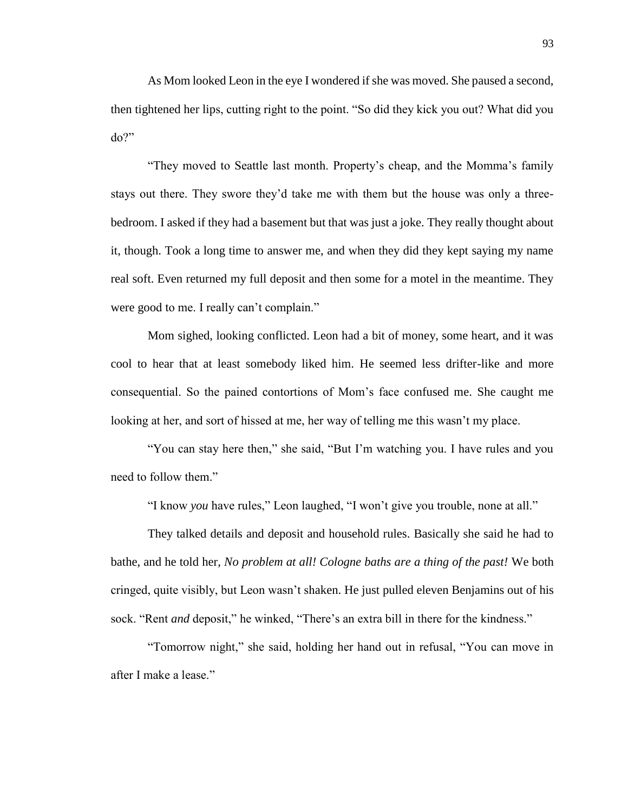As Mom looked Leon in the eye I wondered if she was moved. She paused a second, then tightened her lips, cutting right to the point. "So did they kick you out? What did you do?"

"They moved to Seattle last month. Property's cheap, and the Momma's family stays out there. They swore they'd take me with them but the house was only a threebedroom. I asked if they had a basement but that was just a joke. They really thought about it, though. Took a long time to answer me, and when they did they kept saying my name real soft. Even returned my full deposit and then some for a motel in the meantime. They were good to me. I really can't complain."

Mom sighed, looking conflicted. Leon had a bit of money, some heart, and it was cool to hear that at least somebody liked him. He seemed less drifter-like and more consequential. So the pained contortions of Mom's face confused me. She caught me looking at her, and sort of hissed at me, her way of telling me this wasn't my place.

"You can stay here then," she said, "But I'm watching you. I have rules and you need to follow them."

"I know *you* have rules," Leon laughed, "I won't give you trouble, none at all."

They talked details and deposit and household rules. Basically she said he had to bathe, and he told her, *No problem at all! Cologne baths are a thing of the past!* We both cringed, quite visibly, but Leon wasn't shaken. He just pulled eleven Benjamins out of his sock. "Rent *and* deposit," he winked, "There's an extra bill in there for the kindness."

"Tomorrow night," she said, holding her hand out in refusal, "You can move in after I make a lease."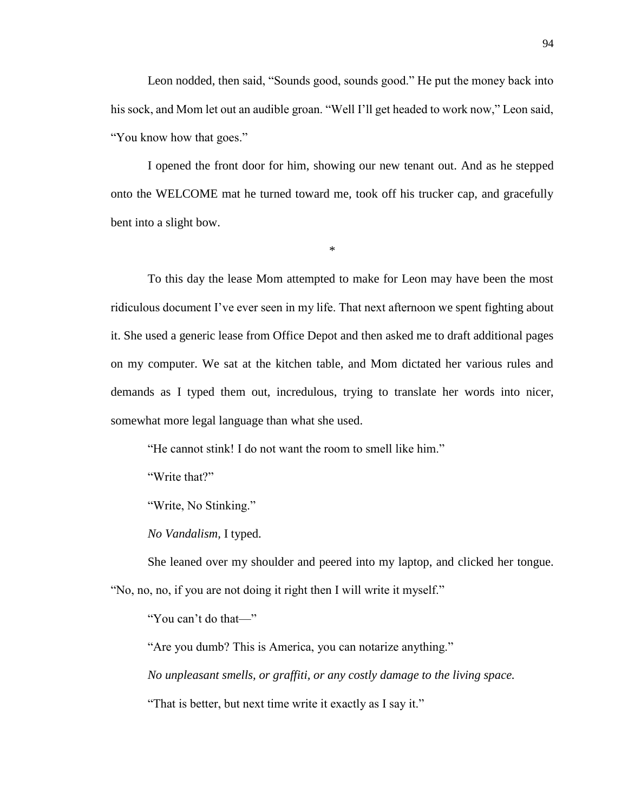Leon nodded, then said, "Sounds good, sounds good." He put the money back into his sock, and Mom let out an audible groan. "Well I'll get headed to work now," Leon said, "You know how that goes."

I opened the front door for him, showing our new tenant out. And as he stepped onto the WELCOME mat he turned toward me, took off his trucker cap, and gracefully bent into a slight bow.

\*

To this day the lease Mom attempted to make for Leon may have been the most ridiculous document I've ever seen in my life. That next afternoon we spent fighting about it. She used a generic lease from Office Depot and then asked me to draft additional pages on my computer. We sat at the kitchen table, and Mom dictated her various rules and demands as I typed them out, incredulous, trying to translate her words into nicer, somewhat more legal language than what she used.

"He cannot stink! I do not want the room to smell like him."

"Write that?"

"Write, No Stinking."

*No Vandalism,* I typed.

She leaned over my shoulder and peered into my laptop, and clicked her tongue. "No, no, no, if you are not doing it right then I will write it myself."

"You can't do that—"

"Are you dumb? This is America, you can notarize anything."

*No unpleasant smells, or graffiti, or any costly damage to the living space.* 

"That is better, but next time write it exactly as I say it."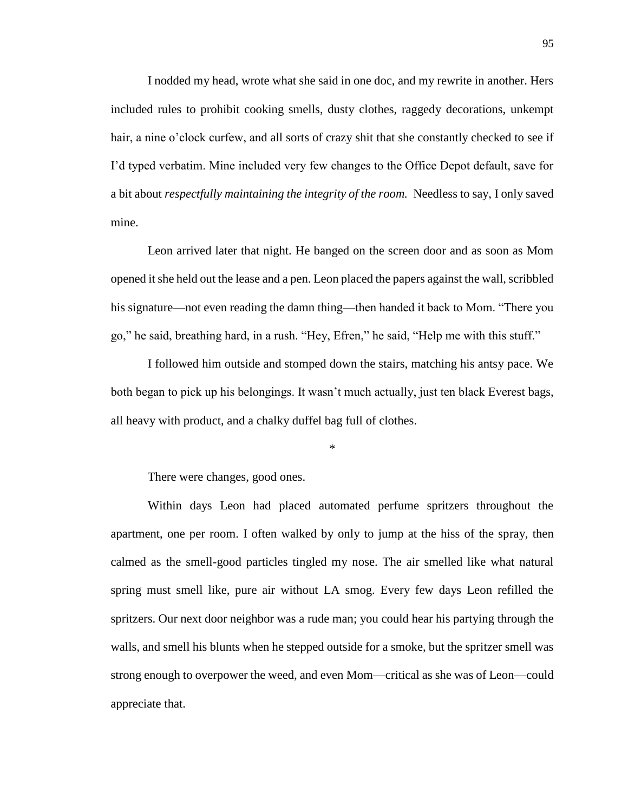I nodded my head, wrote what she said in one doc, and my rewrite in another. Hers included rules to prohibit cooking smells, dusty clothes, raggedy decorations, unkempt hair, a nine o'clock curfew, and all sorts of crazy shit that she constantly checked to see if I'd typed verbatim. Mine included very few changes to the Office Depot default, save for a bit about *respectfully maintaining the integrity of the room.* Needless to say, I only saved mine.

Leon arrived later that night. He banged on the screen door and as soon as Mom opened it she held out the lease and a pen. Leon placed the papers against the wall, scribbled his signature—not even reading the damn thing—then handed it back to Mom. "There you go," he said, breathing hard, in a rush. "Hey, Efren," he said, "Help me with this stuff."

I followed him outside and stomped down the stairs, matching his antsy pace. We both began to pick up his belongings. It wasn't much actually, just ten black Everest bags, all heavy with product, and a chalky duffel bag full of clothes.

\*

There were changes, good ones.

Within days Leon had placed automated perfume spritzers throughout the apartment, one per room. I often walked by only to jump at the hiss of the spray, then calmed as the smell-good particles tingled my nose. The air smelled like what natural spring must smell like, pure air without LA smog. Every few days Leon refilled the spritzers. Our next door neighbor was a rude man; you could hear his partying through the walls, and smell his blunts when he stepped outside for a smoke, but the spritzer smell was strong enough to overpower the weed, and even Mom—critical as she was of Leon—could appreciate that.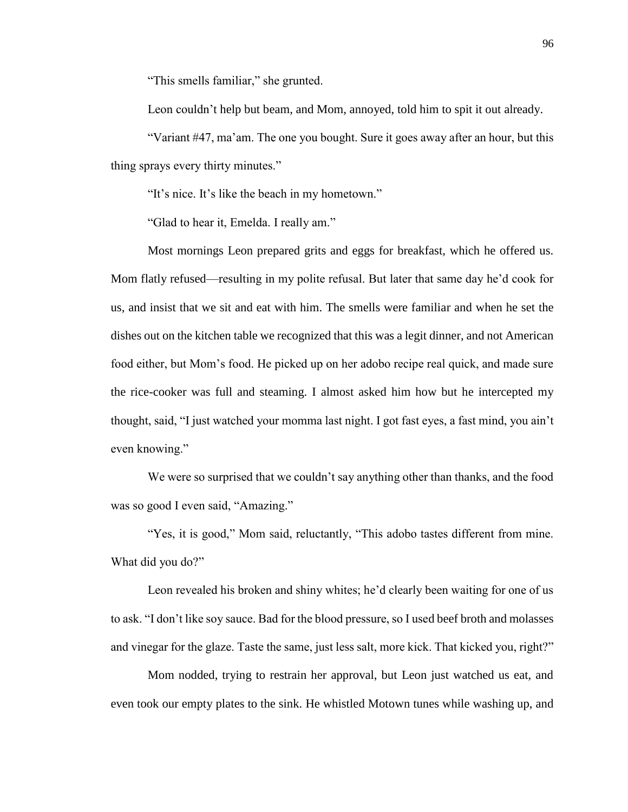"This smells familiar," she grunted.

Leon couldn't help but beam, and Mom, annoyed, told him to spit it out already.

"Variant #47, ma'am. The one you bought. Sure it goes away after an hour, but this thing sprays every thirty minutes."

"It's nice. It's like the beach in my hometown."

"Glad to hear it, Emelda. I really am."

Most mornings Leon prepared grits and eggs for breakfast, which he offered us. Mom flatly refused—resulting in my polite refusal. But later that same day he'd cook for us, and insist that we sit and eat with him. The smells were familiar and when he set the dishes out on the kitchen table we recognized that this was a legit dinner, and not American food either, but Mom's food. He picked up on her adobo recipe real quick, and made sure the rice-cooker was full and steaming. I almost asked him how but he intercepted my thought, said, "I just watched your momma last night. I got fast eyes, a fast mind, you ain't even knowing."

We were so surprised that we couldn't say anything other than thanks, and the food was so good I even said, "Amazing."

"Yes, it is good," Mom said, reluctantly, "This adobo tastes different from mine. What did you do?"

Leon revealed his broken and shiny whites; he'd clearly been waiting for one of us to ask. "I don't like soy sauce. Bad for the blood pressure, so I used beef broth and molasses and vinegar for the glaze. Taste the same, just less salt, more kick. That kicked you, right?"

Mom nodded, trying to restrain her approval, but Leon just watched us eat, and even took our empty plates to the sink. He whistled Motown tunes while washing up, and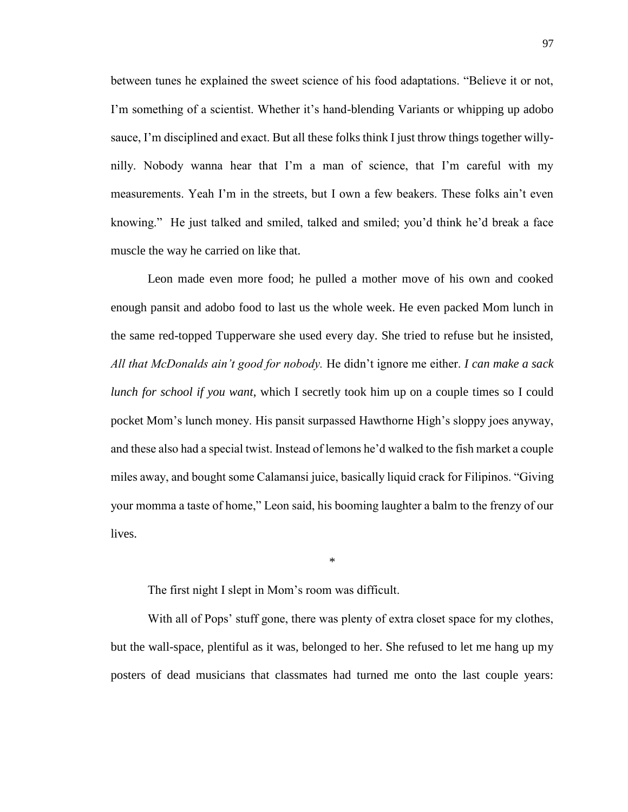between tunes he explained the sweet science of his food adaptations. "Believe it or not, I'm something of a scientist. Whether it's hand-blending Variants or whipping up adobo sauce, I'm disciplined and exact. But all these folks think I just throw things together willynilly. Nobody wanna hear that I'm a man of science, that I'm careful with my measurements. Yeah I'm in the streets, but I own a few beakers. These folks ain't even knowing." He just talked and smiled, talked and smiled; you'd think he'd break a face muscle the way he carried on like that.

Leon made even more food; he pulled a mother move of his own and cooked enough pansit and adobo food to last us the whole week. He even packed Mom lunch in the same red-topped Tupperware she used every day. She tried to refuse but he insisted, *All that McDonalds ain't good for nobody.* He didn't ignore me either. *I can make a sack lunch for school if you want*, which I secretly took him up on a couple times so I could pocket Mom's lunch money. His pansit surpassed Hawthorne High's sloppy joes anyway, and these also had a special twist. Instead of lemons he'd walked to the fish market a couple miles away, and bought some Calamansi juice, basically liquid crack for Filipinos. "Giving your momma a taste of home," Leon said, his booming laughter a balm to the frenzy of our lives.

The first night I slept in Mom's room was difficult.

With all of Pops' stuff gone, there was plenty of extra closet space for my clothes, but the wall-space, plentiful as it was, belonged to her. She refused to let me hang up my posters of dead musicians that classmates had turned me onto the last couple years:

\*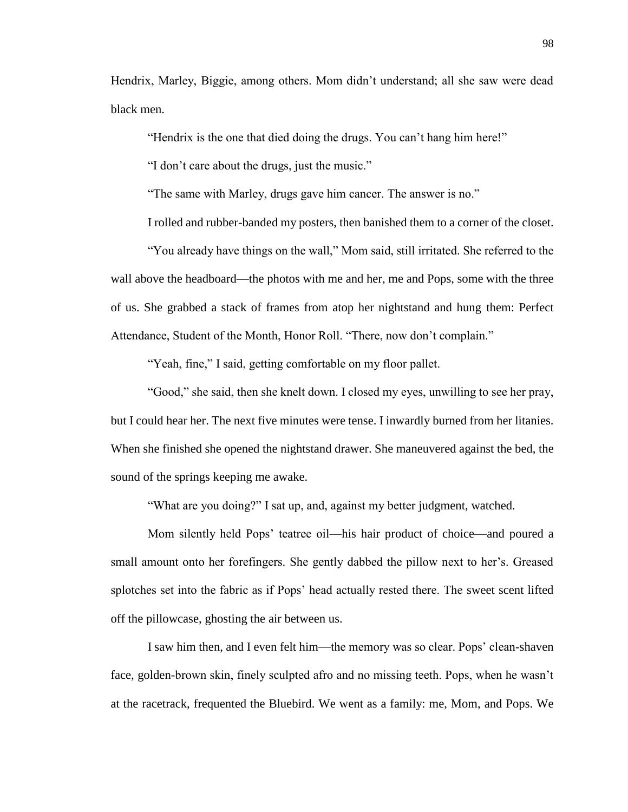Hendrix, Marley, Biggie, among others. Mom didn't understand; all she saw were dead black men.

"Hendrix is the one that died doing the drugs. You can't hang him here!"

"I don't care about the drugs, just the music."

"The same with Marley, drugs gave him cancer. The answer is no."

I rolled and rubber-banded my posters, then banished them to a corner of the closet.

"You already have things on the wall," Mom said, still irritated. She referred to the wall above the headboard—the photos with me and her, me and Pops, some with the three of us. She grabbed a stack of frames from atop her nightstand and hung them: Perfect Attendance, Student of the Month, Honor Roll. "There, now don't complain."

"Yeah, fine," I said, getting comfortable on my floor pallet.

"Good," she said, then she knelt down. I closed my eyes, unwilling to see her pray, but I could hear her. The next five minutes were tense. I inwardly burned from her litanies. When she finished she opened the nightstand drawer. She maneuvered against the bed, the sound of the springs keeping me awake.

"What are you doing?" I sat up, and, against my better judgment, watched.

Mom silently held Pops' teatree oil—his hair product of choice—and poured a small amount onto her forefingers. She gently dabbed the pillow next to her's. Greased splotches set into the fabric as if Pops' head actually rested there. The sweet scent lifted off the pillowcase, ghosting the air between us.

I saw him then, and I even felt him—the memory was so clear. Pops' clean-shaven face, golden-brown skin, finely sculpted afro and no missing teeth. Pops, when he wasn't at the racetrack, frequented the Bluebird. We went as a family: me, Mom, and Pops. We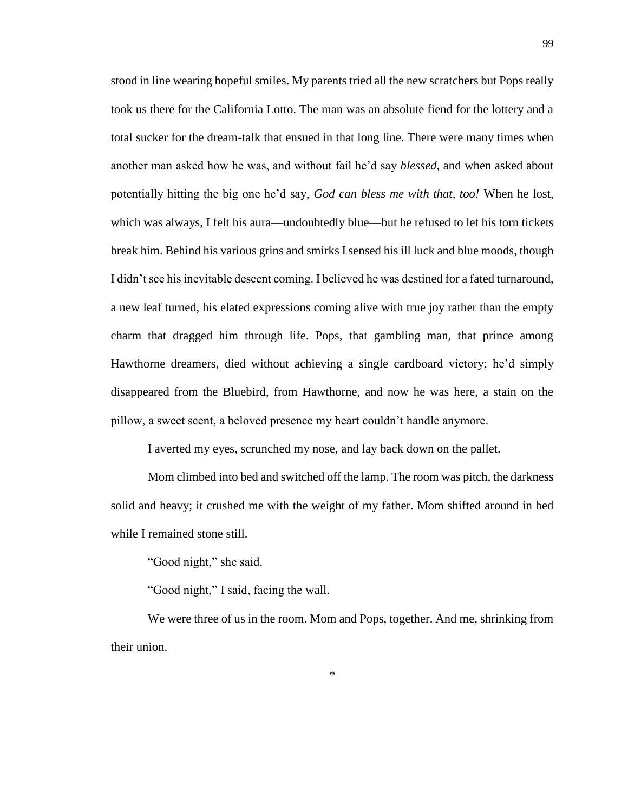stood in line wearing hopeful smiles. My parents tried all the new scratchers but Pops really took us there for the California Lotto. The man was an absolute fiend for the lottery and a total sucker for the dream-talk that ensued in that long line. There were many times when another man asked how he was, and without fail he'd say *blessed*, and when asked about potentially hitting the big one he'd say, *God can bless me with that, too!* When he lost, which was always, I felt his aura—undoubtedly blue—but he refused to let his torn tickets break him. Behind his various grins and smirks I sensed his ill luck and blue moods, though I didn't see his inevitable descent coming. I believed he was destined for a fated turnaround, a new leaf turned, his elated expressions coming alive with true joy rather than the empty charm that dragged him through life. Pops, that gambling man, that prince among Hawthorne dreamers, died without achieving a single cardboard victory; he'd simply disappeared from the Bluebird, from Hawthorne, and now he was here, a stain on the pillow, a sweet scent, a beloved presence my heart couldn't handle anymore.

I averted my eyes, scrunched my nose, and lay back down on the pallet.

Mom climbed into bed and switched off the lamp. The room was pitch, the darkness solid and heavy; it crushed me with the weight of my father. Mom shifted around in bed while I remained stone still.

"Good night," she said.

"Good night," I said, facing the wall.

We were three of us in the room. Mom and Pops, together. And me, shrinking from their union.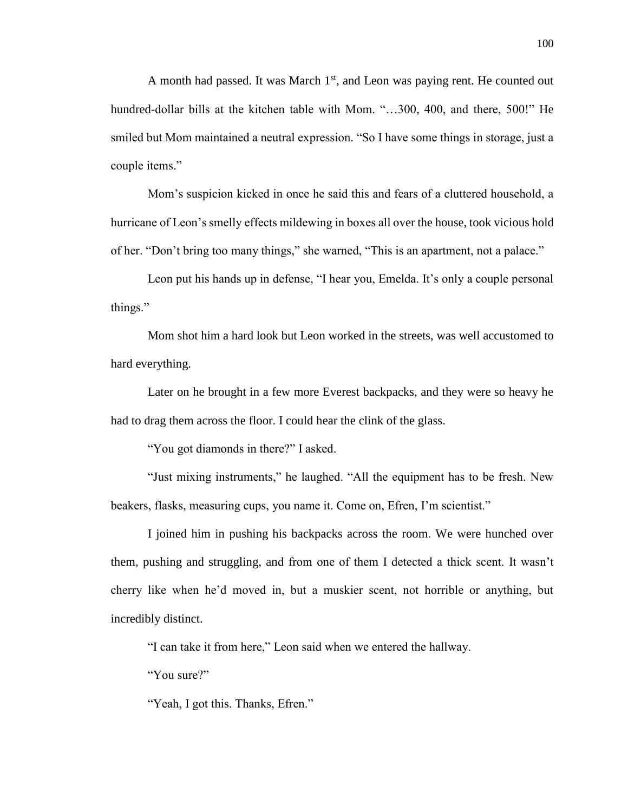A month had passed. It was March  $1<sup>st</sup>$ , and Leon was paying rent. He counted out hundred-dollar bills at the kitchen table with Mom. "...300, 400, and there, 500!" He smiled but Mom maintained a neutral expression. "So I have some things in storage, just a couple items."

Mom's suspicion kicked in once he said this and fears of a cluttered household, a hurricane of Leon's smelly effects mildewing in boxes all over the house, took vicious hold of her. "Don't bring too many things," she warned, "This is an apartment, not a palace."

Leon put his hands up in defense, "I hear you, Emelda. It's only a couple personal things."

Mom shot him a hard look but Leon worked in the streets, was well accustomed to hard everything.

Later on he brought in a few more Everest backpacks, and they were so heavy he had to drag them across the floor. I could hear the clink of the glass.

"You got diamonds in there?" I asked.

"Just mixing instruments," he laughed. "All the equipment has to be fresh. New beakers, flasks, measuring cups, you name it. Come on, Efren, I'm scientist."

I joined him in pushing his backpacks across the room. We were hunched over them, pushing and struggling, and from one of them I detected a thick scent. It wasn't cherry like when he'd moved in, but a muskier scent, not horrible or anything, but incredibly distinct.

"I can take it from here," Leon said when we entered the hallway.

"You sure?"

"Yeah, I got this. Thanks, Efren."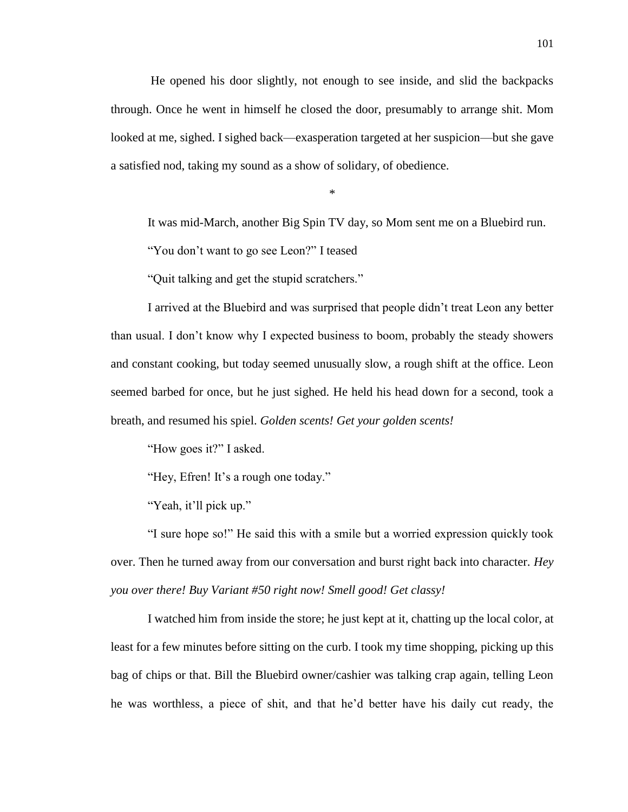He opened his door slightly, not enough to see inside, and slid the backpacks through. Once he went in himself he closed the door, presumably to arrange shit. Mom looked at me, sighed. I sighed back—exasperation targeted at her suspicion—but she gave a satisfied nod, taking my sound as a show of solidary, of obedience.

\*

It was mid-March, another Big Spin TV day, so Mom sent me on a Bluebird run.

"You don't want to go see Leon?" I teased

"Quit talking and get the stupid scratchers."

I arrived at the Bluebird and was surprised that people didn't treat Leon any better than usual. I don't know why I expected business to boom, probably the steady showers and constant cooking, but today seemed unusually slow, a rough shift at the office. Leon seemed barbed for once, but he just sighed. He held his head down for a second, took a breath, and resumed his spiel. *Golden scents! Get your golden scents!* 

"How goes it?" I asked.

"Hey, Efren! It's a rough one today."

"Yeah, it'll pick up."

"I sure hope so!" He said this with a smile but a worried expression quickly took over. Then he turned away from our conversation and burst right back into character. *Hey you over there! Buy Variant #50 right now! Smell good! Get classy!*

I watched him from inside the store; he just kept at it, chatting up the local color, at least for a few minutes before sitting on the curb. I took my time shopping, picking up this bag of chips or that. Bill the Bluebird owner/cashier was talking crap again, telling Leon he was worthless, a piece of shit, and that he'd better have his daily cut ready, the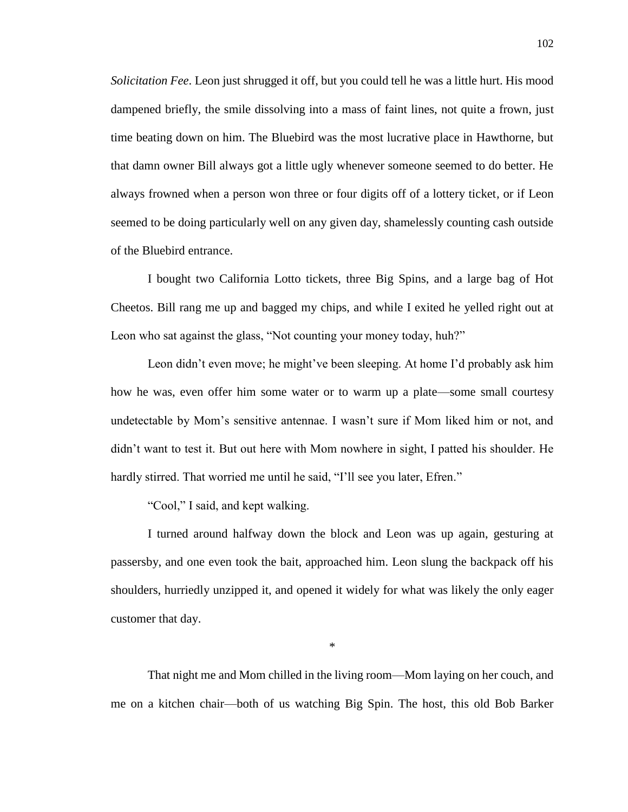*Solicitation Fee*. Leon just shrugged it off, but you could tell he was a little hurt. His mood dampened briefly, the smile dissolving into a mass of faint lines, not quite a frown, just time beating down on him. The Bluebird was the most lucrative place in Hawthorne, but that damn owner Bill always got a little ugly whenever someone seemed to do better. He always frowned when a person won three or four digits off of a lottery ticket*,* or if Leon seemed to be doing particularly well on any given day, shamelessly counting cash outside of the Bluebird entrance.

I bought two California Lotto tickets, three Big Spins, and a large bag of Hot Cheetos. Bill rang me up and bagged my chips, and while I exited he yelled right out at Leon who sat against the glass, "Not counting your money today, huh?"

Leon didn't even move; he might've been sleeping. At home I'd probably ask him how he was, even offer him some water or to warm up a plate—some small courtesy undetectable by Mom's sensitive antennae. I wasn't sure if Mom liked him or not, and didn't want to test it. But out here with Mom nowhere in sight, I patted his shoulder. He hardly stirred. That worried me until he said, "I'll see you later, Efren."

"Cool," I said, and kept walking.

I turned around halfway down the block and Leon was up again, gesturing at passersby, and one even took the bait, approached him. Leon slung the backpack off his shoulders, hurriedly unzipped it, and opened it widely for what was likely the only eager customer that day.

\*

That night me and Mom chilled in the living room—Mom laying on her couch, and me on a kitchen chair—both of us watching Big Spin. The host, this old Bob Barker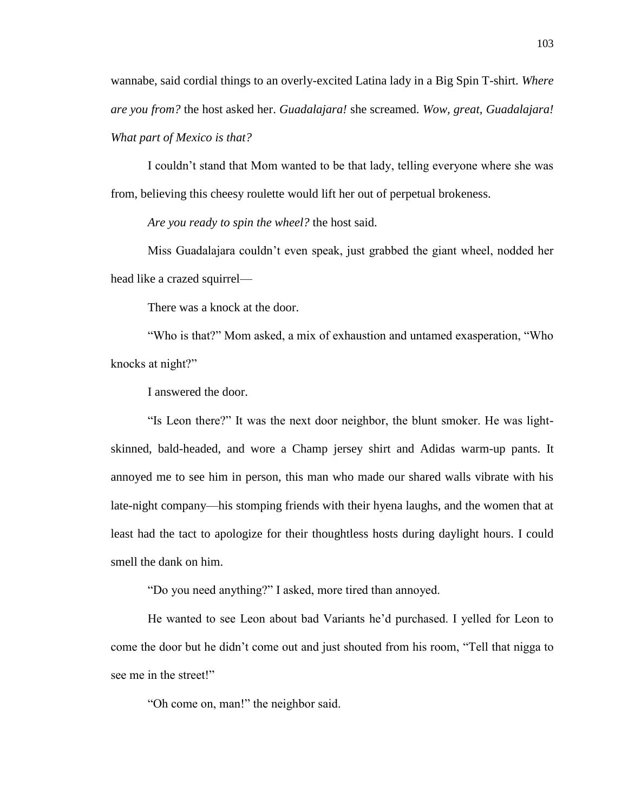wannabe, said cordial things to an overly-excited Latina lady in a Big Spin T-shirt. *Where are you from?* the host asked her. *Guadalajara!* she screamed. *Wow, great, Guadalajara! What part of Mexico is that?* 

I couldn't stand that Mom wanted to be that lady, telling everyone where she was from, believing this cheesy roulette would lift her out of perpetual brokeness.

*Are you ready to spin the wheel?* the host said.

Miss Guadalajara couldn't even speak, just grabbed the giant wheel, nodded her head like a crazed squirrel—

There was a knock at the door.

"Who is that?" Mom asked, a mix of exhaustion and untamed exasperation, "Who knocks at night?"

I answered the door.

"Is Leon there?" It was the next door neighbor, the blunt smoker. He was lightskinned, bald-headed, and wore a Champ jersey shirt and Adidas warm-up pants. It annoyed me to see him in person, this man who made our shared walls vibrate with his late-night company—his stomping friends with their hyena laughs, and the women that at least had the tact to apologize for their thoughtless hosts during daylight hours. I could smell the dank on him.

"Do you need anything?" I asked, more tired than annoyed.

He wanted to see Leon about bad Variants he'd purchased. I yelled for Leon to come the door but he didn't come out and just shouted from his room, "Tell that nigga to see me in the street!"

"Oh come on, man!" the neighbor said.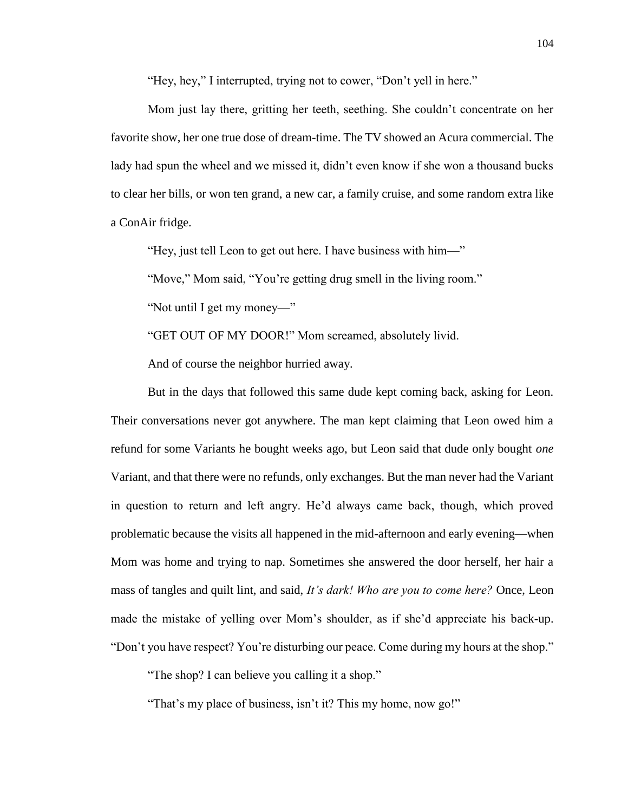"Hey, hey," I interrupted, trying not to cower, "Don't yell in here."

Mom just lay there, gritting her teeth, seething. She couldn't concentrate on her favorite show, her one true dose of dream-time. The TV showed an Acura commercial. The lady had spun the wheel and we missed it, didn't even know if she won a thousand bucks to clear her bills, or won ten grand, a new car, a family cruise, and some random extra like a ConAir fridge.

"Hey, just tell Leon to get out here. I have business with him—"

"Move," Mom said, "You're getting drug smell in the living room."

"Not until I get my money—"

"GET OUT OF MY DOOR!" Mom screamed, absolutely livid.

And of course the neighbor hurried away.

But in the days that followed this same dude kept coming back, asking for Leon. Their conversations never got anywhere. The man kept claiming that Leon owed him a refund for some Variants he bought weeks ago, but Leon said that dude only bought *one*  Variant, and that there were no refunds, only exchanges. But the man never had the Variant in question to return and left angry. He'd always came back, though, which proved problematic because the visits all happened in the mid-afternoon and early evening—when Mom was home and trying to nap. Sometimes she answered the door herself, her hair a mass of tangles and quilt lint, and said, *It's dark! Who are you to come here?* Once, Leon made the mistake of yelling over Mom's shoulder, as if she'd appreciate his back-up. "Don't you have respect? You're disturbing our peace. Come during my hours at the shop."

"The shop? I can believe you calling it a shop."

"That's my place of business, isn't it? This my home, now go!"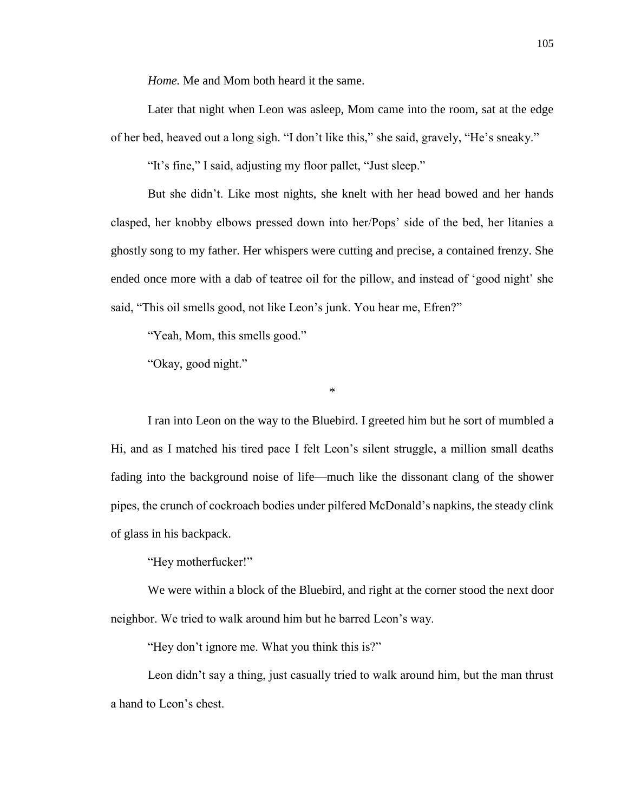*Home.* Me and Mom both heard it the same.

Later that night when Leon was asleep, Mom came into the room, sat at the edge of her bed, heaved out a long sigh. "I don't like this," she said, gravely, "He's sneaky."

"It's fine," I said, adjusting my floor pallet, "Just sleep."

But she didn't. Like most nights, she knelt with her head bowed and her hands clasped, her knobby elbows pressed down into her/Pops' side of the bed, her litanies a ghostly song to my father. Her whispers were cutting and precise, a contained frenzy. She ended once more with a dab of teatree oil for the pillow, and instead of 'good night' she said, "This oil smells good, not like Leon's junk. You hear me, Efren?"

"Yeah, Mom, this smells good."

"Okay, good night."

I ran into Leon on the way to the Bluebird. I greeted him but he sort of mumbled a Hi, and as I matched his tired pace I felt Leon's silent struggle, a million small deaths fading into the background noise of life—much like the dissonant clang of the shower pipes, the crunch of cockroach bodies under pilfered McDonald's napkins, the steady clink of glass in his backpack.

\*

"Hey motherfucker!"

We were within a block of the Bluebird, and right at the corner stood the next door neighbor. We tried to walk around him but he barred Leon's way.

"Hey don't ignore me. What you think this is?"

Leon didn't say a thing, just casually tried to walk around him, but the man thrust a hand to Leon's chest.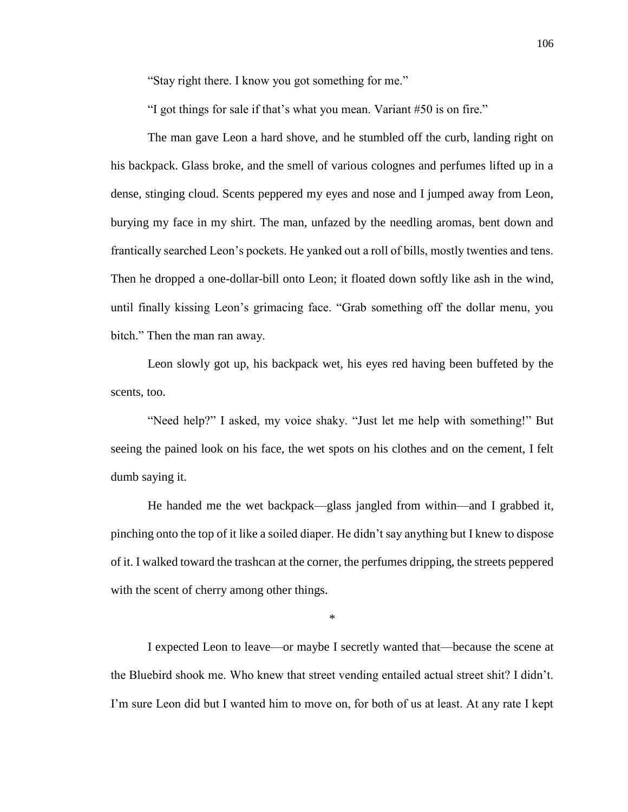"Stay right there. I know you got something for me."

"I got things for sale if that's what you mean. Variant #50 is on fire."

The man gave Leon a hard shove, and he stumbled off the curb, landing right on his backpack. Glass broke, and the smell of various colognes and perfumes lifted up in a dense, stinging cloud. Scents peppered my eyes and nose and I jumped away from Leon, burying my face in my shirt. The man, unfazed by the needling aromas, bent down and frantically searched Leon's pockets. He yanked out a roll of bills, mostly twenties and tens. Then he dropped a one-dollar-bill onto Leon; it floated down softly like ash in the wind, until finally kissing Leon's grimacing face. "Grab something off the dollar menu, you bitch." Then the man ran away.

Leon slowly got up, his backpack wet, his eyes red having been buffeted by the scents, too.

"Need help?" I asked, my voice shaky. "Just let me help with something!" But seeing the pained look on his face, the wet spots on his clothes and on the cement, I felt dumb saying it.

He handed me the wet backpack—glass jangled from within—and I grabbed it, pinching onto the top of it like a soiled diaper. He didn't say anything but I knew to dispose of it. I walked toward the trashcan at the corner, the perfumes dripping, the streets peppered with the scent of cherry among other things.

\*

I expected Leon to leave—or maybe I secretly wanted that—because the scene at the Bluebird shook me. Who knew that street vending entailed actual street shit? I didn't. I'm sure Leon did but I wanted him to move on, for both of us at least. At any rate I kept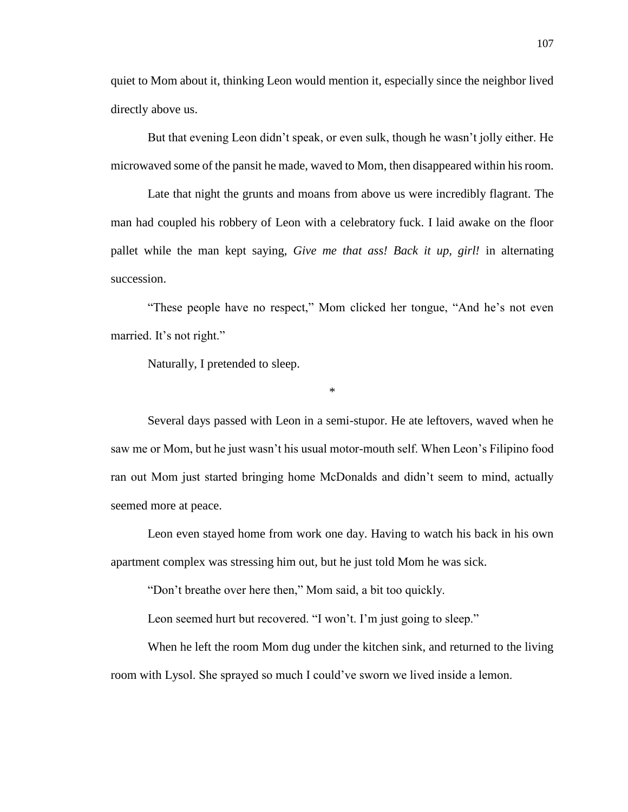quiet to Mom about it, thinking Leon would mention it, especially since the neighbor lived directly above us.

But that evening Leon didn't speak, or even sulk, though he wasn't jolly either. He microwaved some of the pansit he made, waved to Mom, then disappeared within his room.

Late that night the grunts and moans from above us were incredibly flagrant. The man had coupled his robbery of Leon with a celebratory fuck. I laid awake on the floor pallet while the man kept saying, *Give me that ass! Back it up, girl!* in alternating succession.

"These people have no respect," Mom clicked her tongue, "And he's not even married. It's not right."

\*

Naturally, I pretended to sleep.

Several days passed with Leon in a semi-stupor. He ate leftovers, waved when he saw me or Mom, but he just wasn't his usual motor-mouth self. When Leon's Filipino food ran out Mom just started bringing home McDonalds and didn't seem to mind, actually seemed more at peace.

Leon even stayed home from work one day. Having to watch his back in his own apartment complex was stressing him out, but he just told Mom he was sick.

"Don't breathe over here then," Mom said, a bit too quickly.

Leon seemed hurt but recovered. "I won't. I'm just going to sleep."

When he left the room Mom dug under the kitchen sink, and returned to the living room with Lysol. She sprayed so much I could've sworn we lived inside a lemon.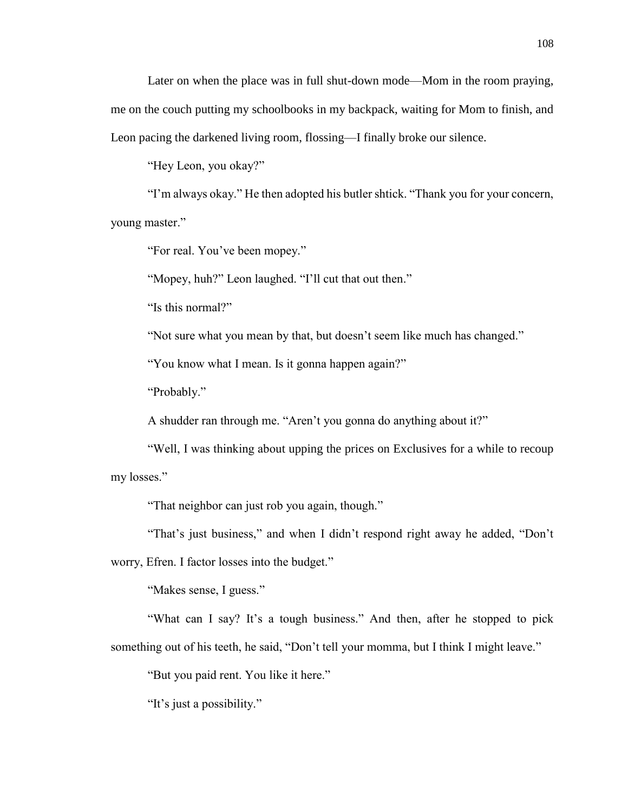Later on when the place was in full shut-down mode—Mom in the room praying, me on the couch putting my schoolbooks in my backpack, waiting for Mom to finish, and Leon pacing the darkened living room, flossing—I finally broke our silence.

"Hey Leon, you okay?"

"I'm always okay." He then adopted his butler shtick. "Thank you for your concern, young master."

"For real. You've been mopey."

"Mopey, huh?" Leon laughed. "I'll cut that out then."

"Is this normal?"

"Not sure what you mean by that, but doesn't seem like much has changed."

"You know what I mean. Is it gonna happen again?"

"Probably."

A shudder ran through me. "Aren't you gonna do anything about it?"

"Well, I was thinking about upping the prices on Exclusives for a while to recoup my losses."

"That neighbor can just rob you again, though."

"That's just business," and when I didn't respond right away he added, "Don't

worry, Efren. I factor losses into the budget."

"Makes sense, I guess."

"What can I say? It's a tough business." And then, after he stopped to pick something out of his teeth, he said, "Don't tell your momma, but I think I might leave."

"But you paid rent. You like it here."

"It's just a possibility."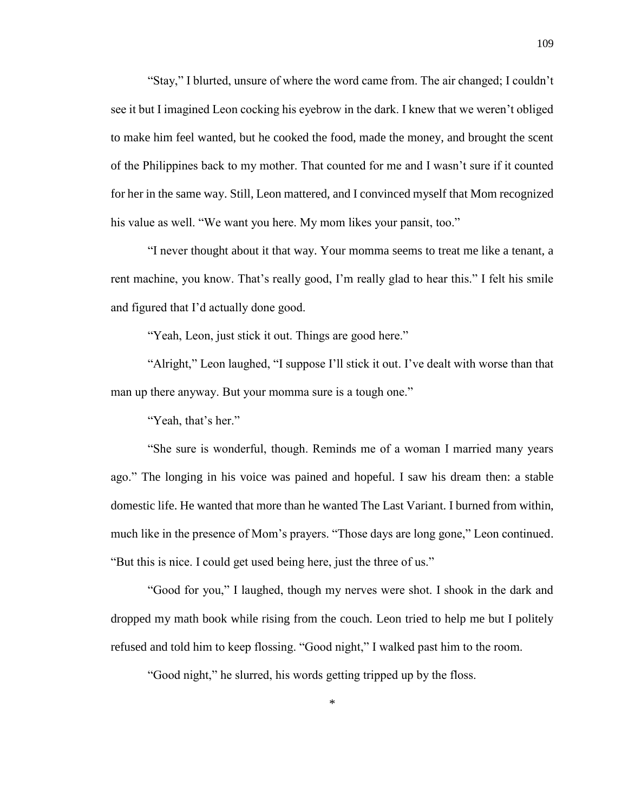"Stay," I blurted, unsure of where the word came from. The air changed; I couldn't see it but I imagined Leon cocking his eyebrow in the dark. I knew that we weren't obliged to make him feel wanted, but he cooked the food, made the money, and brought the scent of the Philippines back to my mother. That counted for me and I wasn't sure if it counted for her in the same way. Still, Leon mattered, and I convinced myself that Mom recognized his value as well. "We want you here. My mom likes your pansit, too."

"I never thought about it that way. Your momma seems to treat me like a tenant, a rent machine, you know. That's really good, I'm really glad to hear this." I felt his smile and figured that I'd actually done good.

"Yeah, Leon, just stick it out. Things are good here."

"Alright," Leon laughed, "I suppose I'll stick it out. I've dealt with worse than that man up there anyway. But your momma sure is a tough one."

"Yeah, that's her."

"She sure is wonderful, though. Reminds me of a woman I married many years ago." The longing in his voice was pained and hopeful. I saw his dream then: a stable domestic life. He wanted that more than he wanted The Last Variant. I burned from within, much like in the presence of Mom's prayers. "Those days are long gone," Leon continued. "But this is nice. I could get used being here, just the three of us."

"Good for you," I laughed, though my nerves were shot. I shook in the dark and dropped my math book while rising from the couch. Leon tried to help me but I politely refused and told him to keep flossing. "Good night," I walked past him to the room.

"Good night," he slurred, his words getting tripped up by the floss.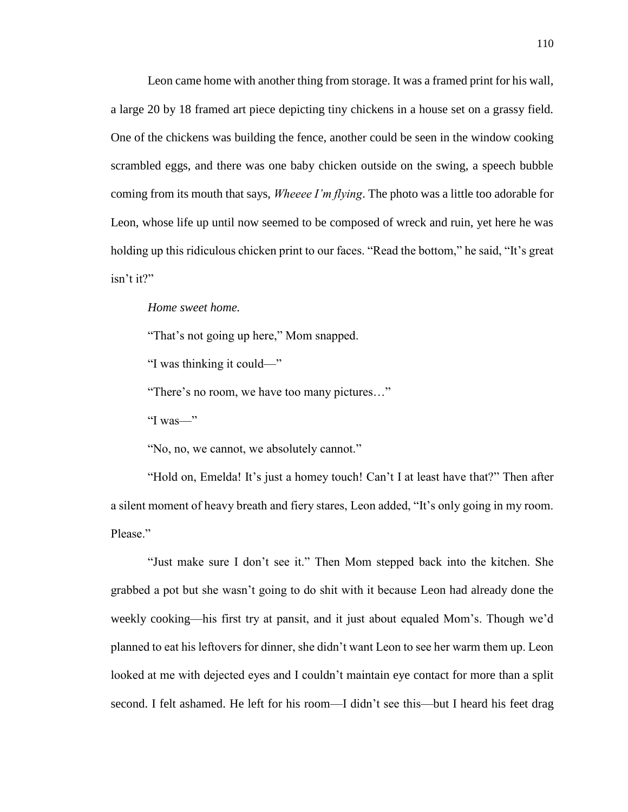Leon came home with another thing from storage. It was a framed print for his wall, a large 20 by 18 framed art piece depicting tiny chickens in a house set on a grassy field. One of the chickens was building the fence, another could be seen in the window cooking scrambled eggs, and there was one baby chicken outside on the swing, a speech bubble coming from its mouth that says, *Wheeee I'm flying*. The photo was a little too adorable for Leon, whose life up until now seemed to be composed of wreck and ruin, yet here he was holding up this ridiculous chicken print to our faces. "Read the bottom," he said, "It's great isn't it?"

*Home sweet home.* 

"That's not going up here," Mom snapped.

"I was thinking it could—"

"There's no room, we have too many pictures…"

"I was—"

"No, no, we cannot, we absolutely cannot."

"Hold on, Emelda! It's just a homey touch! Can't I at least have that?" Then after a silent moment of heavy breath and fiery stares, Leon added, "It's only going in my room. Please."

"Just make sure I don't see it." Then Mom stepped back into the kitchen. She grabbed a pot but she wasn't going to do shit with it because Leon had already done the weekly cooking—his first try at pansit, and it just about equaled Mom's. Though we'd planned to eat his leftovers for dinner, she didn't want Leon to see her warm them up. Leon looked at me with dejected eyes and I couldn't maintain eye contact for more than a split second. I felt ashamed. He left for his room—I didn't see this—but I heard his feet drag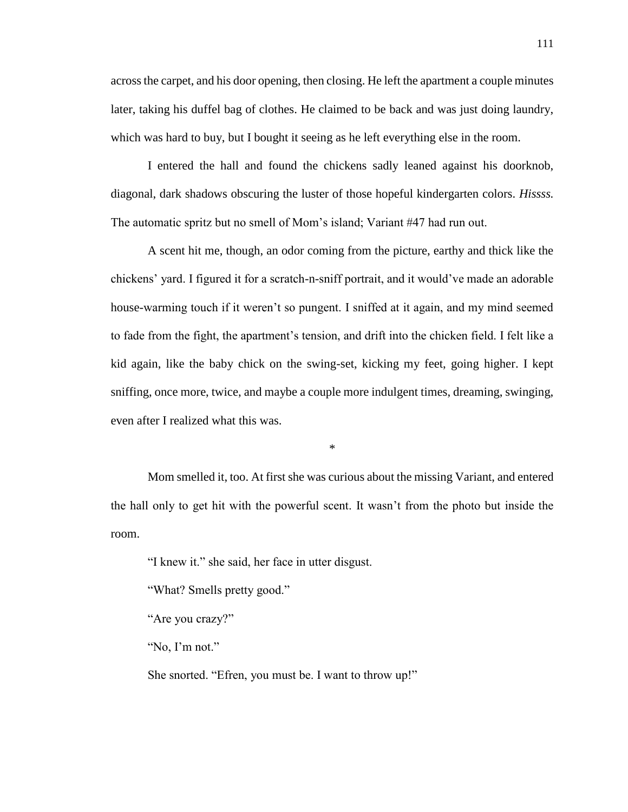across the carpet, and his door opening, then closing. He left the apartment a couple minutes later, taking his duffel bag of clothes. He claimed to be back and was just doing laundry, which was hard to buy, but I bought it seeing as he left everything else in the room.

I entered the hall and found the chickens sadly leaned against his doorknob, diagonal, dark shadows obscuring the luster of those hopeful kindergarten colors. *Hissss.*  The automatic spritz but no smell of Mom's island; Variant #47 had run out.

A scent hit me, though, an odor coming from the picture, earthy and thick like the chickens' yard. I figured it for a scratch-n-sniff portrait, and it would've made an adorable house-warming touch if it weren't so pungent. I sniffed at it again, and my mind seemed to fade from the fight, the apartment's tension, and drift into the chicken field. I felt like a kid again, like the baby chick on the swing-set, kicking my feet, going higher. I kept sniffing, once more, twice, and maybe a couple more indulgent times, dreaming, swinging, even after I realized what this was.

\*

Mom smelled it, too. At first she was curious about the missing Variant, and entered the hall only to get hit with the powerful scent. It wasn't from the photo but inside the room.

"I knew it." she said, her face in utter disgust.

"What? Smells pretty good."

"Are you crazy?"

"No, I'm not."

She snorted. "Efren, you must be. I want to throw up!"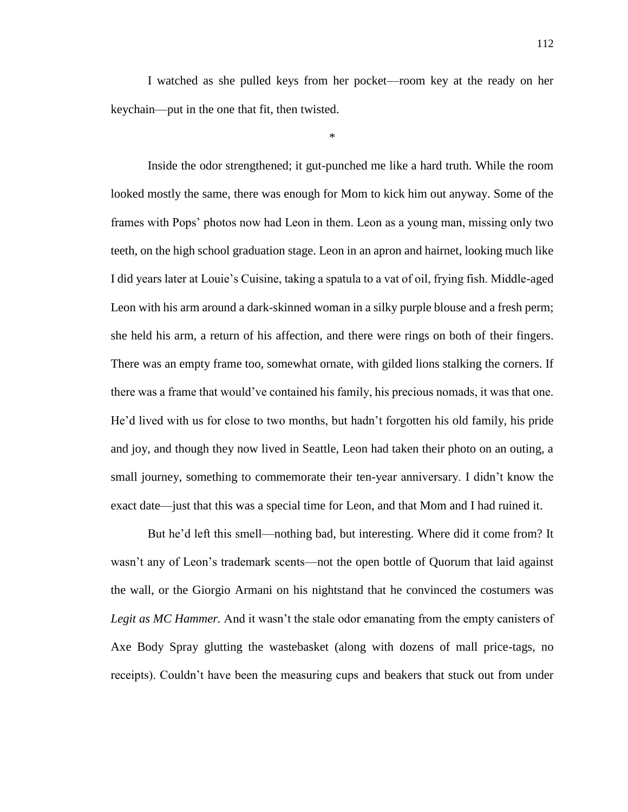I watched as she pulled keys from her pocket—room key at the ready on her keychain—put in the one that fit, then twisted.

\*

Inside the odor strengthened; it gut-punched me like a hard truth. While the room looked mostly the same, there was enough for Mom to kick him out anyway. Some of the frames with Pops' photos now had Leon in them. Leon as a young man, missing only two teeth, on the high school graduation stage. Leon in an apron and hairnet, looking much like I did years later at Louie's Cuisine, taking a spatula to a vat of oil, frying fish. Middle-aged Leon with his arm around a dark-skinned woman in a silky purple blouse and a fresh perm; she held his arm, a return of his affection, and there were rings on both of their fingers. There was an empty frame too, somewhat ornate, with gilded lions stalking the corners. If there was a frame that would've contained his family, his precious nomads, it was that one. He'd lived with us for close to two months, but hadn't forgotten his old family, his pride and joy, and though they now lived in Seattle, Leon had taken their photo on an outing, a small journey, something to commemorate their ten-year anniversary. I didn't know the exact date—just that this was a special time for Leon, and that Mom and I had ruined it.

But he'd left this smell—nothing bad, but interesting. Where did it come from? It wasn't any of Leon's trademark scents—not the open bottle of Quorum that laid against the wall, or the Giorgio Armani on his nightstand that he convinced the costumers was *Legit as MC Hammer.* And it wasn't the stale odor emanating from the empty canisters of Axe Body Spray glutting the wastebasket (along with dozens of mall price-tags, no receipts). Couldn't have been the measuring cups and beakers that stuck out from under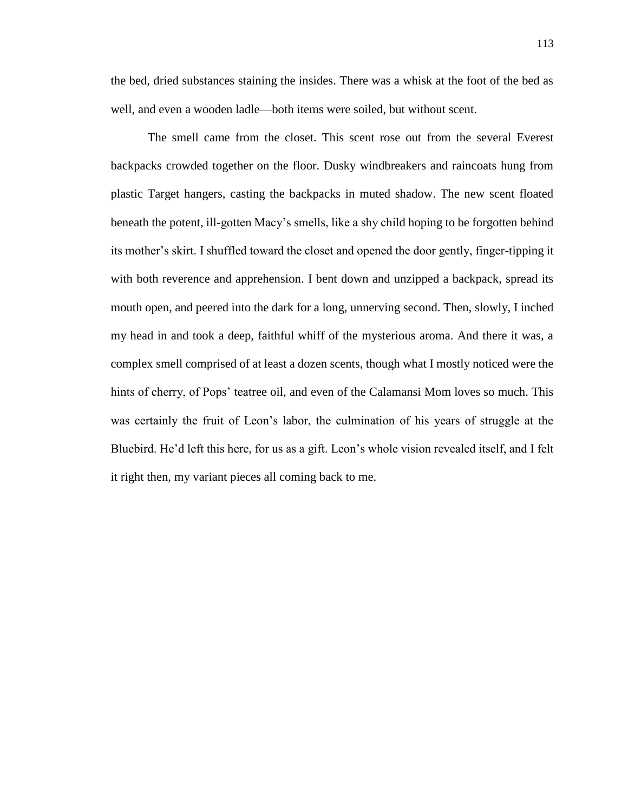the bed, dried substances staining the insides. There was a whisk at the foot of the bed as well, and even a wooden ladle—both items were soiled, but without scent.

The smell came from the closet. This scent rose out from the several Everest backpacks crowded together on the floor. Dusky windbreakers and raincoats hung from plastic Target hangers, casting the backpacks in muted shadow. The new scent floated beneath the potent, ill-gotten Macy's smells, like a shy child hoping to be forgotten behind its mother's skirt. I shuffled toward the closet and opened the door gently, finger-tipping it with both reverence and apprehension. I bent down and unzipped a backpack, spread its mouth open, and peered into the dark for a long, unnerving second. Then, slowly, I inched my head in and took a deep, faithful whiff of the mysterious aroma. And there it was, a complex smell comprised of at least a dozen scents, though what I mostly noticed were the hints of cherry, of Pops' teatree oil, and even of the Calamansi Mom loves so much. This was certainly the fruit of Leon's labor, the culmination of his years of struggle at the Bluebird. He'd left this here, for us as a gift. Leon's whole vision revealed itself, and I felt it right then, my variant pieces all coming back to me.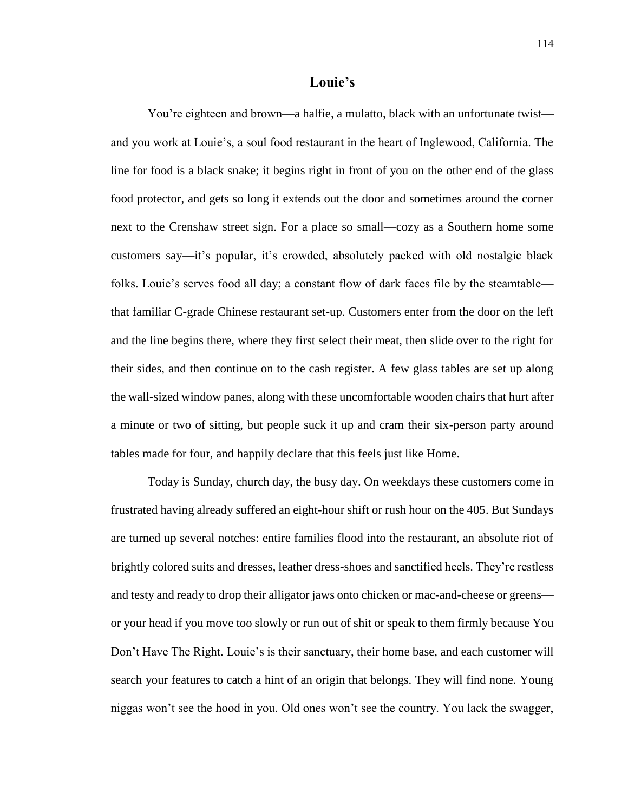## **Louie's**

You're eighteen and brown—a halfie, a mulatto, black with an unfortunate twist and you work at Louie's, a soul food restaurant in the heart of Inglewood, California. The line for food is a black snake; it begins right in front of you on the other end of the glass food protector, and gets so long it extends out the door and sometimes around the corner next to the Crenshaw street sign. For a place so small—cozy as a Southern home some customers say—it's popular, it's crowded, absolutely packed with old nostalgic black folks. Louie's serves food all day; a constant flow of dark faces file by the steamtable that familiar C-grade Chinese restaurant set-up. Customers enter from the door on the left and the line begins there, where they first select their meat, then slide over to the right for their sides, and then continue on to the cash register. A few glass tables are set up along the wall-sized window panes, along with these uncomfortable wooden chairs that hurt after a minute or two of sitting, but people suck it up and cram their six-person party around tables made for four, and happily declare that this feels just like Home.

Today is Sunday, church day, the busy day. On weekdays these customers come in frustrated having already suffered an eight-hour shift or rush hour on the 405. But Sundays are turned up several notches: entire families flood into the restaurant, an absolute riot of brightly colored suits and dresses, leather dress-shoes and sanctified heels. They're restless and testy and ready to drop their alligator jaws onto chicken or mac-and-cheese or greens or your head if you move too slowly or run out of shit or speak to them firmly because You Don't Have The Right. Louie's is their sanctuary, their home base, and each customer will search your features to catch a hint of an origin that belongs. They will find none. Young niggas won't see the hood in you. Old ones won't see the country. You lack the swagger,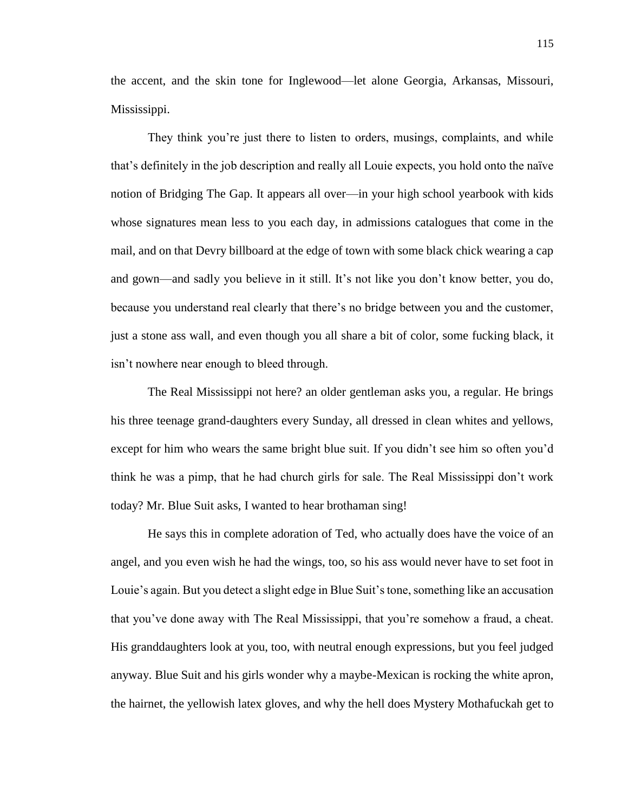the accent, and the skin tone for Inglewood—let alone Georgia, Arkansas, Missouri, Mississippi.

They think you're just there to listen to orders, musings, complaints, and while that's definitely in the job description and really all Louie expects, you hold onto the naïve notion of Bridging The Gap. It appears all over—in your high school yearbook with kids whose signatures mean less to you each day, in admissions catalogues that come in the mail, and on that Devry billboard at the edge of town with some black chick wearing a cap and gown—and sadly you believe in it still. It's not like you don't know better, you do, because you understand real clearly that there's no bridge between you and the customer, just a stone ass wall, and even though you all share a bit of color, some fucking black, it isn't nowhere near enough to bleed through.

The Real Mississippi not here? an older gentleman asks you, a regular. He brings his three teenage grand-daughters every Sunday, all dressed in clean whites and yellows, except for him who wears the same bright blue suit. If you didn't see him so often you'd think he was a pimp, that he had church girls for sale. The Real Mississippi don't work today? Mr. Blue Suit asks, I wanted to hear brothaman sing!

He says this in complete adoration of Ted, who actually does have the voice of an angel, and you even wish he had the wings, too, so his ass would never have to set foot in Louie's again. But you detect a slight edge in Blue Suit's tone, something like an accusation that you've done away with The Real Mississippi, that you're somehow a fraud, a cheat. His granddaughters look at you, too, with neutral enough expressions, but you feel judged anyway. Blue Suit and his girls wonder why a maybe-Mexican is rocking the white apron, the hairnet, the yellowish latex gloves, and why the hell does Mystery Mothafuckah get to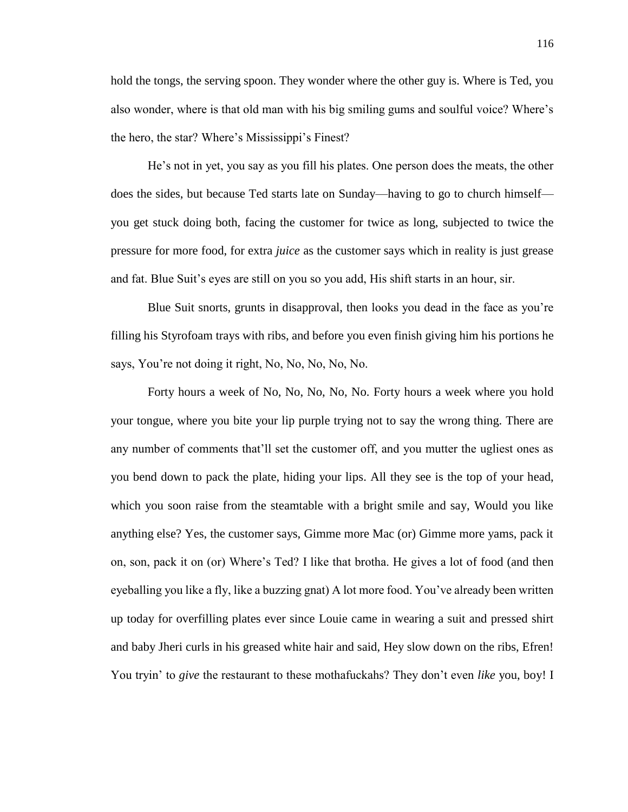hold the tongs, the serving spoon. They wonder where the other guy is. Where is Ted, you also wonder, where is that old man with his big smiling gums and soulful voice? Where's the hero, the star? Where's Mississippi's Finest?

He's not in yet, you say as you fill his plates. One person does the meats, the other does the sides, but because Ted starts late on Sunday—having to go to church himself you get stuck doing both, facing the customer for twice as long, subjected to twice the pressure for more food, for extra *juice* as the customer says which in reality is just grease and fat. Blue Suit's eyes are still on you so you add, His shift starts in an hour, sir.

Blue Suit snorts, grunts in disapproval, then looks you dead in the face as you're filling his Styrofoam trays with ribs, and before you even finish giving him his portions he says, You're not doing it right, No, No, No, No, No.

Forty hours a week of No, No, No, No, No. Forty hours a week where you hold your tongue, where you bite your lip purple trying not to say the wrong thing. There are any number of comments that'll set the customer off, and you mutter the ugliest ones as you bend down to pack the plate, hiding your lips. All they see is the top of your head, which you soon raise from the steamtable with a bright smile and say, Would you like anything else? Yes, the customer says, Gimme more Mac (or) Gimme more yams, pack it on, son, pack it on (or) Where's Ted? I like that brotha. He gives a lot of food (and then eyeballing you like a fly, like a buzzing gnat) A lot more food. You've already been written up today for overfilling plates ever since Louie came in wearing a suit and pressed shirt and baby Jheri curls in his greased white hair and said, Hey slow down on the ribs, Efren! You tryin' to *give* the restaurant to these mothafuckahs? They don't even *like* you, boy! I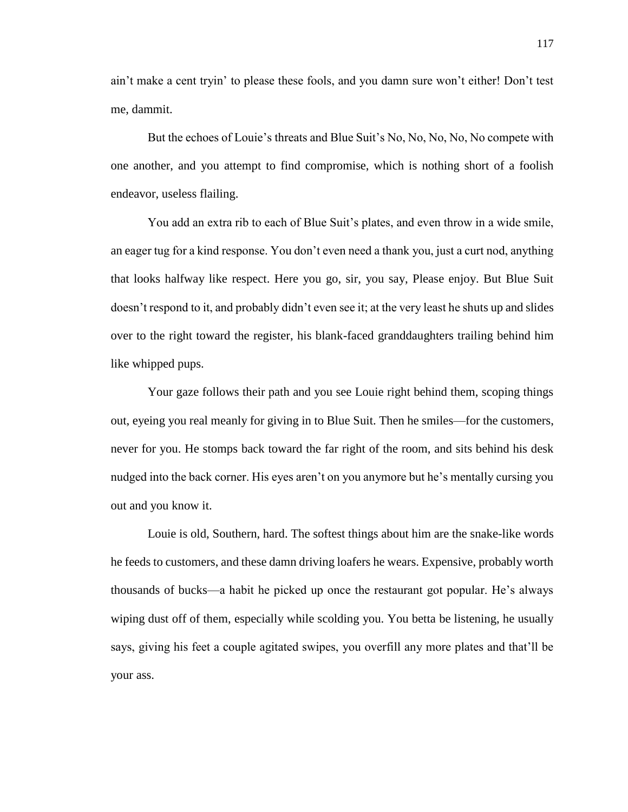ain't make a cent tryin' to please these fools, and you damn sure won't either! Don't test me, dammit.

But the echoes of Louie's threats and Blue Suit's No, No, No, No, No compete with one another, and you attempt to find compromise, which is nothing short of a foolish endeavor, useless flailing.

You add an extra rib to each of Blue Suit's plates, and even throw in a wide smile, an eager tug for a kind response. You don't even need a thank you, just a curt nod, anything that looks halfway like respect. Here you go, sir, you say, Please enjoy. But Blue Suit doesn't respond to it, and probably didn't even see it; at the very least he shuts up and slides over to the right toward the register, his blank-faced granddaughters trailing behind him like whipped pups.

Your gaze follows their path and you see Louie right behind them, scoping things out, eyeing you real meanly for giving in to Blue Suit. Then he smiles—for the customers, never for you. He stomps back toward the far right of the room, and sits behind his desk nudged into the back corner. His eyes aren't on you anymore but he's mentally cursing you out and you know it.

Louie is old, Southern, hard. The softest things about him are the snake-like words he feeds to customers, and these damn driving loafers he wears. Expensive, probably worth thousands of bucks—a habit he picked up once the restaurant got popular. He's always wiping dust off of them, especially while scolding you. You betta be listening, he usually says, giving his feet a couple agitated swipes, you overfill any more plates and that'll be your ass.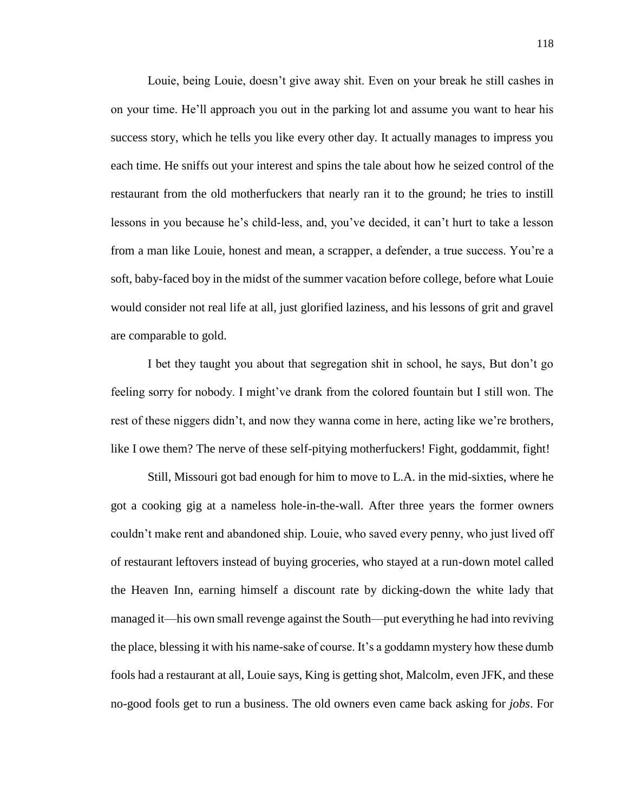Louie, being Louie, doesn't give away shit. Even on your break he still cashes in on your time. He'll approach you out in the parking lot and assume you want to hear his success story, which he tells you like every other day. It actually manages to impress you each time. He sniffs out your interest and spins the tale about how he seized control of the restaurant from the old motherfuckers that nearly ran it to the ground; he tries to instill lessons in you because he's child-less, and, you've decided, it can't hurt to take a lesson from a man like Louie, honest and mean, a scrapper, a defender, a true success. You're a soft, baby-faced boy in the midst of the summer vacation before college, before what Louie would consider not real life at all, just glorified laziness, and his lessons of grit and gravel are comparable to gold.

I bet they taught you about that segregation shit in school, he says, But don't go feeling sorry for nobody. I might've drank from the colored fountain but I still won. The rest of these niggers didn't, and now they wanna come in here, acting like we're brothers, like I owe them? The nerve of these self-pitying motherfuckers! Fight, goddammit, fight!

Still, Missouri got bad enough for him to move to L.A. in the mid-sixties, where he got a cooking gig at a nameless hole-in-the-wall. After three years the former owners couldn't make rent and abandoned ship. Louie, who saved every penny, who just lived off of restaurant leftovers instead of buying groceries, who stayed at a run-down motel called the Heaven Inn, earning himself a discount rate by dicking-down the white lady that managed it—his own small revenge against the South—put everything he had into reviving the place, blessing it with his name-sake of course. It's a goddamn mystery how these dumb fools had a restaurant at all, Louie says, King is getting shot, Malcolm, even JFK, and these no-good fools get to run a business. The old owners even came back asking for *jobs*. For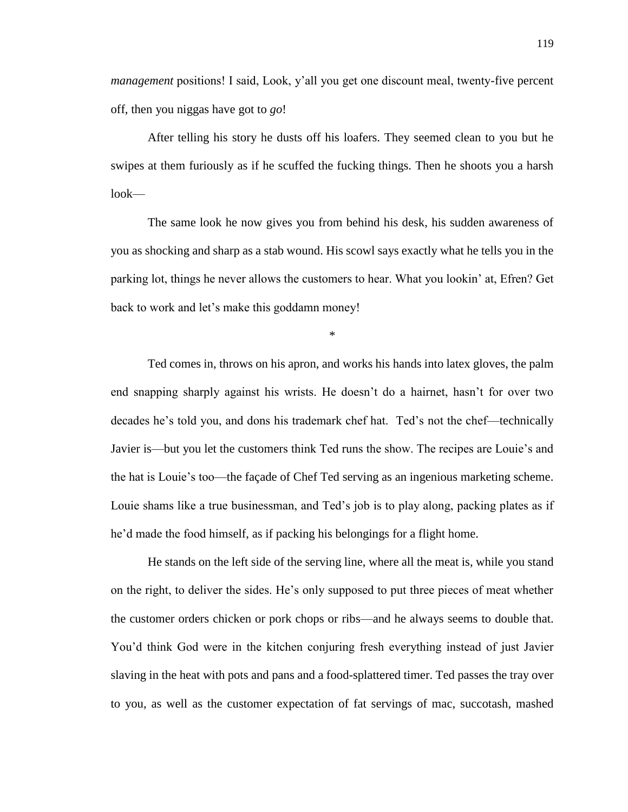*management* positions! I said, Look, y'all you get one discount meal, twenty-five percent off, then you niggas have got to *go*!

After telling his story he dusts off his loafers. They seemed clean to you but he swipes at them furiously as if he scuffed the fucking things. Then he shoots you a harsh look—

The same look he now gives you from behind his desk, his sudden awareness of you as shocking and sharp as a stab wound. His scowl says exactly what he tells you in the parking lot, things he never allows the customers to hear. What you lookin' at, Efren? Get back to work and let's make this goddamn money!

\*

Ted comes in, throws on his apron, and works his hands into latex gloves, the palm end snapping sharply against his wrists. He doesn't do a hairnet, hasn't for over two decades he's told you, and dons his trademark chef hat. Ted's not the chef—technically Javier is—but you let the customers think Ted runs the show. The recipes are Louie's and the hat is Louie's too—the façade of Chef Ted serving as an ingenious marketing scheme. Louie shams like a true businessman, and Ted's job is to play along, packing plates as if he'd made the food himself, as if packing his belongings for a flight home.

He stands on the left side of the serving line, where all the meat is, while you stand on the right, to deliver the sides. He's only supposed to put three pieces of meat whether the customer orders chicken or pork chops or ribs—and he always seems to double that. You'd think God were in the kitchen conjuring fresh everything instead of just Javier slaving in the heat with pots and pans and a food-splattered timer. Ted passes the tray over to you, as well as the customer expectation of fat servings of mac, succotash, mashed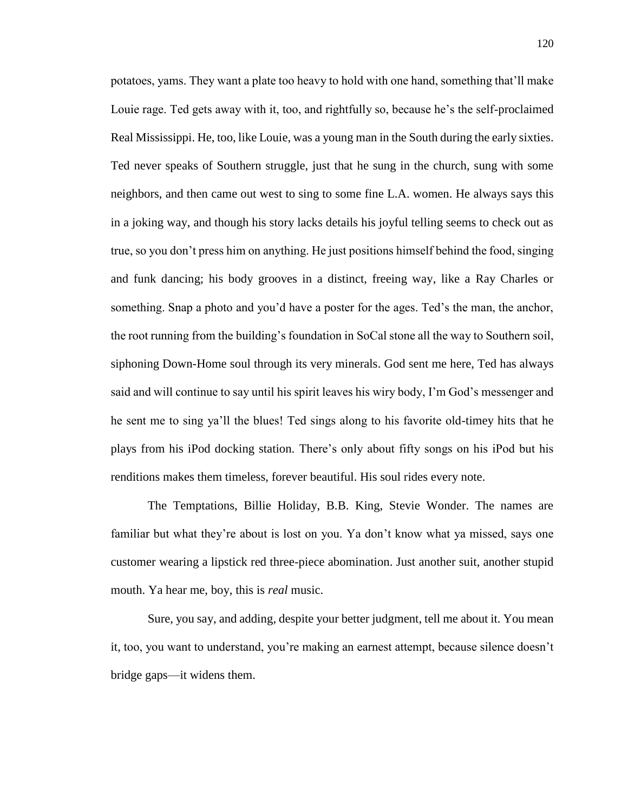potatoes, yams. They want a plate too heavy to hold with one hand, something that'll make Louie rage. Ted gets away with it, too, and rightfully so, because he's the self-proclaimed Real Mississippi. He, too, like Louie, was a young man in the South during the early sixties. Ted never speaks of Southern struggle, just that he sung in the church, sung with some neighbors, and then came out west to sing to some fine L.A. women. He always says this in a joking way, and though his story lacks details his joyful telling seems to check out as true, so you don't press him on anything. He just positions himself behind the food, singing and funk dancing; his body grooves in a distinct, freeing way, like a Ray Charles or something. Snap a photo and you'd have a poster for the ages. Ted's the man, the anchor, the root running from the building's foundation in SoCal stone all the way to Southern soil, siphoning Down-Home soul through its very minerals. God sent me here, Ted has always said and will continue to say until his spirit leaves his wiry body, I'm God's messenger and he sent me to sing ya'll the blues! Ted sings along to his favorite old-timey hits that he plays from his iPod docking station. There's only about fifty songs on his iPod but his renditions makes them timeless, forever beautiful. His soul rides every note.

The Temptations, Billie Holiday, B.B. King, Stevie Wonder. The names are familiar but what they're about is lost on you. Ya don't know what ya missed, says one customer wearing a lipstick red three-piece abomination. Just another suit, another stupid mouth. Ya hear me, boy, this is *real* music.

Sure, you say, and adding, despite your better judgment, tell me about it. You mean it, too, you want to understand, you're making an earnest attempt, because silence doesn't bridge gaps—it widens them.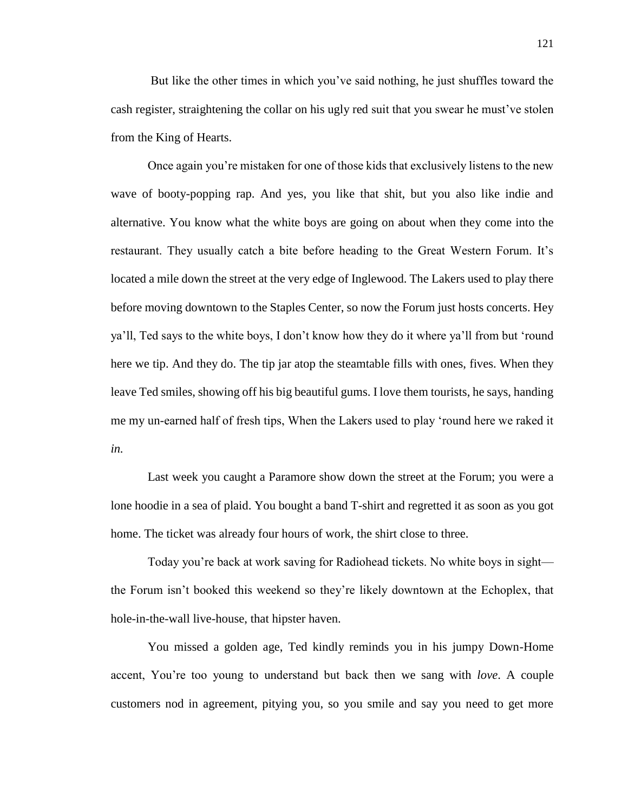But like the other times in which you've said nothing, he just shuffles toward the cash register, straightening the collar on his ugly red suit that you swear he must've stolen from the King of Hearts.

Once again you're mistaken for one of those kids that exclusively listens to the new wave of booty-popping rap. And yes, you like that shit, but you also like indie and alternative. You know what the white boys are going on about when they come into the restaurant. They usually catch a bite before heading to the Great Western Forum. It's located a mile down the street at the very edge of Inglewood. The Lakers used to play there before moving downtown to the Staples Center, so now the Forum just hosts concerts. Hey ya'll, Ted says to the white boys, I don't know how they do it where ya'll from but 'round here we tip. And they do. The tip jar atop the steamtable fills with ones, fives. When they leave Ted smiles, showing off his big beautiful gums. I love them tourists, he says, handing me my un-earned half of fresh tips, When the Lakers used to play 'round here we raked it *in.*

Last week you caught a Paramore show down the street at the Forum; you were a lone hoodie in a sea of plaid. You bought a band T-shirt and regretted it as soon as you got home. The ticket was already four hours of work, the shirt close to three.

Today you're back at work saving for Radiohead tickets. No white boys in sight the Forum isn't booked this weekend so they're likely downtown at the Echoplex, that hole-in-the-wall live-house, that hipster haven.

You missed a golden age, Ted kindly reminds you in his jumpy Down-Home accent, You're too young to understand but back then we sang with *love*. A couple customers nod in agreement, pitying you, so you smile and say you need to get more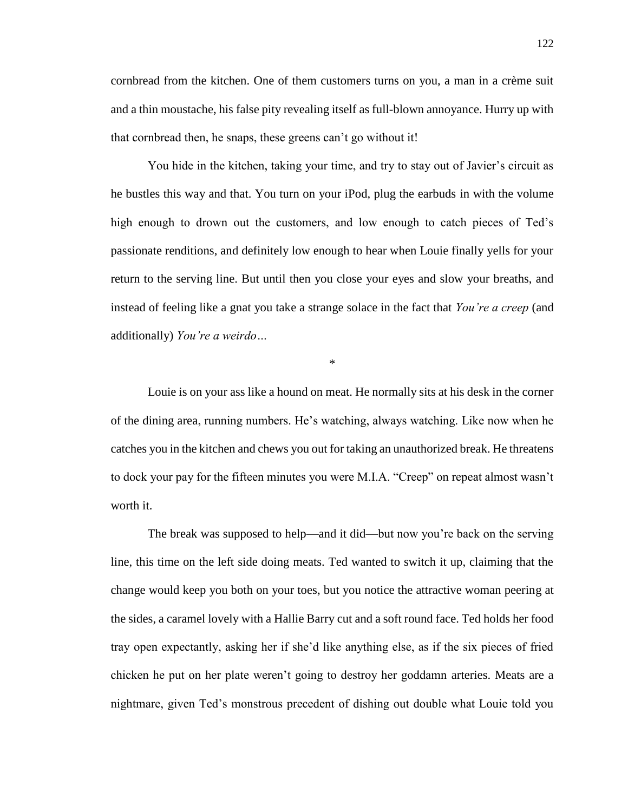cornbread from the kitchen. One of them customers turns on you, a man in a crème suit and a thin moustache, his false pity revealing itself as full-blown annoyance. Hurry up with that cornbread then, he snaps, these greens can't go without it!

You hide in the kitchen, taking your time, and try to stay out of Javier's circuit as he bustles this way and that. You turn on your iPod, plug the earbuds in with the volume high enough to drown out the customers, and low enough to catch pieces of Ted's passionate renditions, and definitely low enough to hear when Louie finally yells for your return to the serving line. But until then you close your eyes and slow your breaths, and instead of feeling like a gnat you take a strange solace in the fact that *You're a creep* (and additionally) *You're a weirdo…*

\*

Louie is on your ass like a hound on meat. He normally sits at his desk in the corner of the dining area, running numbers. He's watching, always watching. Like now when he catches you in the kitchen and chews you out for taking an unauthorized break. He threatens to dock your pay for the fifteen minutes you were M.I.A. "Creep" on repeat almost wasn't worth it.

The break was supposed to help—and it did—but now you're back on the serving line, this time on the left side doing meats. Ted wanted to switch it up, claiming that the change would keep you both on your toes, but you notice the attractive woman peering at the sides, a caramel lovely with a Hallie Barry cut and a soft round face. Ted holds her food tray open expectantly, asking her if she'd like anything else, as if the six pieces of fried chicken he put on her plate weren't going to destroy her goddamn arteries. Meats are a nightmare, given Ted's monstrous precedent of dishing out double what Louie told you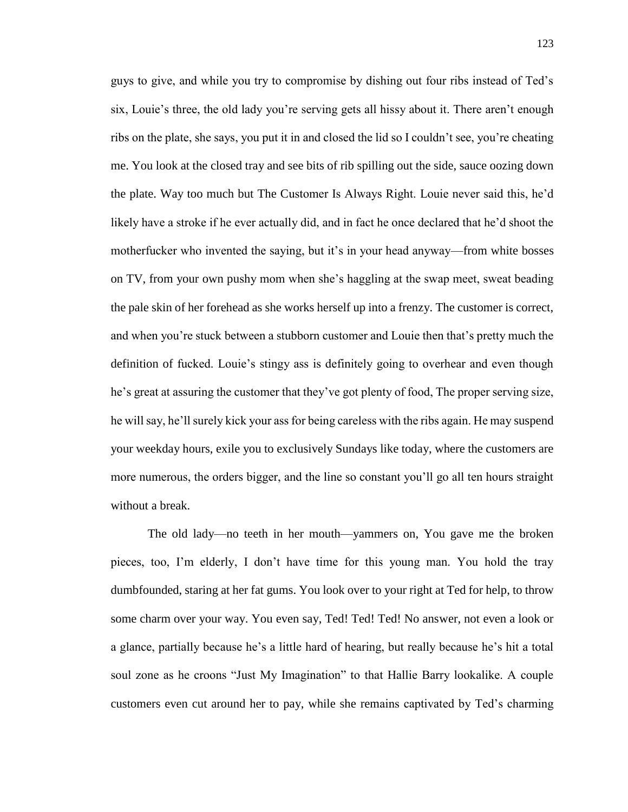guys to give, and while you try to compromise by dishing out four ribs instead of Ted's six, Louie's three, the old lady you're serving gets all hissy about it. There aren't enough ribs on the plate, she says, you put it in and closed the lid so I couldn't see, you're cheating me. You look at the closed tray and see bits of rib spilling out the side, sauce oozing down the plate. Way too much but The Customer Is Always Right. Louie never said this, he'd likely have a stroke if he ever actually did, and in fact he once declared that he'd shoot the motherfucker who invented the saying, but it's in your head anyway—from white bosses on TV, from your own pushy mom when she's haggling at the swap meet, sweat beading the pale skin of her forehead as she works herself up into a frenzy. The customer is correct, and when you're stuck between a stubborn customer and Louie then that's pretty much the definition of fucked. Louie's stingy ass is definitely going to overhear and even though he's great at assuring the customer that they've got plenty of food, The proper serving size, he will say, he'll surely kick your ass for being careless with the ribs again. He may suspend your weekday hours, exile you to exclusively Sundays like today, where the customers are more numerous, the orders bigger, and the line so constant you'll go all ten hours straight without a break.

The old lady—no teeth in her mouth—yammers on, You gave me the broken pieces, too, I'm elderly, I don't have time for this young man. You hold the tray dumbfounded, staring at her fat gums. You look over to your right at Ted for help, to throw some charm over your way. You even say, Ted! Ted! Ted! No answer, not even a look or a glance, partially because he's a little hard of hearing, but really because he's hit a total soul zone as he croons "Just My Imagination" to that Hallie Barry lookalike. A couple customers even cut around her to pay, while she remains captivated by Ted's charming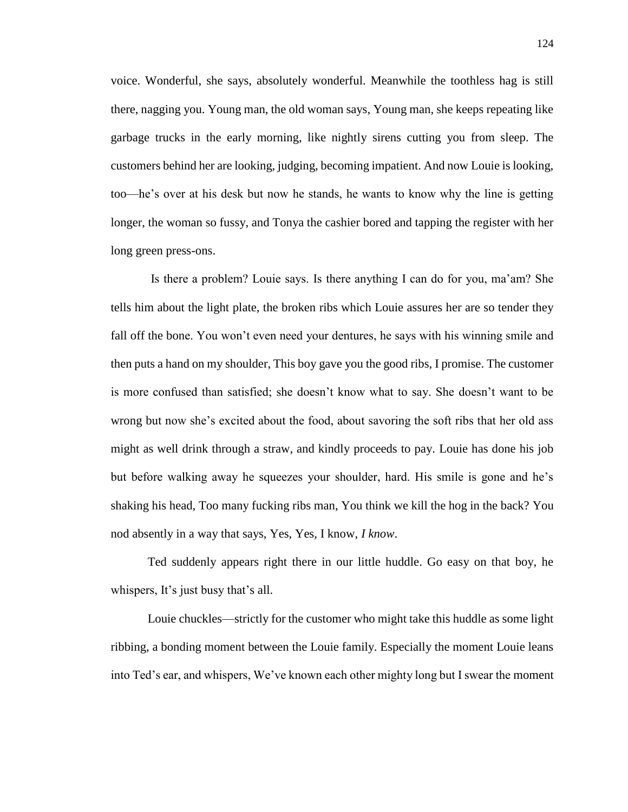voice. Wonderful, she says, absolutely wonderful. Meanwhile the toothless hag is still there, nagging you. Young man, the old woman says, Young man, she keeps repeating like garbage trucks in the early morning, like nightly sirens cutting you from sleep. The customers behind her are looking, judging, becoming impatient. And now Louie is looking, too—he's over at his desk but now he stands, he wants to know why the line is getting longer, the woman so fussy, and Tonya the cashier bored and tapping the register with her long green press-ons.

Is there a problem? Louie says. Is there anything I can do for you, ma'am? She tells him about the light plate, the broken ribs which Louie assures her are so tender they fall off the bone. You won't even need your dentures, he says with his winning smile and then puts a hand on my shoulder, This boy gave you the good ribs, I promise. The customer is more confused than satisfied; she doesn't know what to say. She doesn't want to be wrong but now she's excited about the food, about savoring the soft ribs that her old ass might as well drink through a straw, and kindly proceeds to pay. Louie has done his job but before walking away he squeezes your shoulder, hard. His smile is gone and he's shaking his head, Too many fucking ribs man, You think we kill the hog in the back? You nod absently in a way that says, Yes, Yes, I know, *I know*.

Ted suddenly appears right there in our little huddle. Go easy on that boy, he whispers, It's just busy that's all.

Louie chuckles—strictly for the customer who might take this huddle as some light ribbing, a bonding moment between the Louie family. Especially the moment Louie leans into Ted's ear, and whispers, We've known each other mighty long but I swear the moment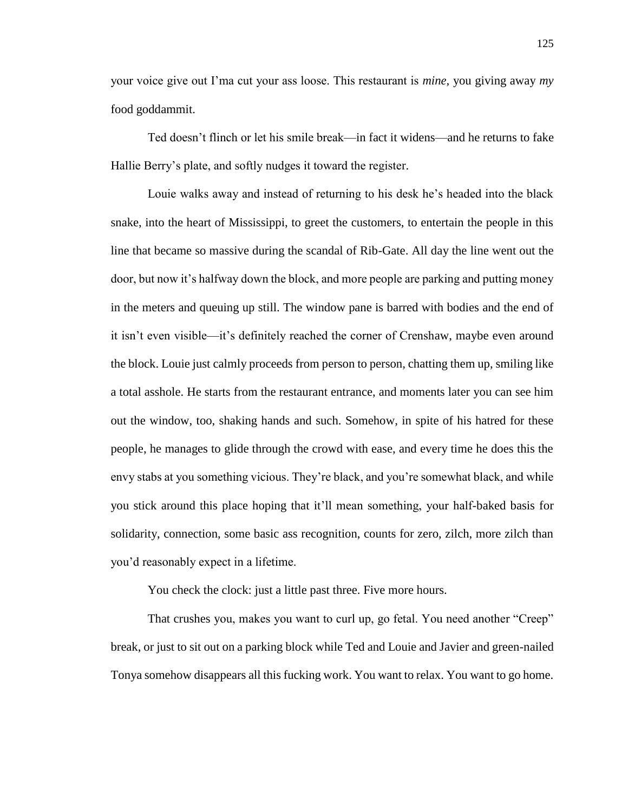your voice give out I'ma cut your ass loose. This restaurant is *mine,* you giving away *my*  food goddammit.

Ted doesn't flinch or let his smile break—in fact it widens—and he returns to fake Hallie Berry's plate, and softly nudges it toward the register.

Louie walks away and instead of returning to his desk he's headed into the black snake, into the heart of Mississippi, to greet the customers, to entertain the people in this line that became so massive during the scandal of Rib-Gate. All day the line went out the door, but now it's halfway down the block, and more people are parking and putting money in the meters and queuing up still. The window pane is barred with bodies and the end of it isn't even visible—it's definitely reached the corner of Crenshaw, maybe even around the block. Louie just calmly proceeds from person to person, chatting them up, smiling like a total asshole. He starts from the restaurant entrance, and moments later you can see him out the window, too, shaking hands and such. Somehow, in spite of his hatred for these people, he manages to glide through the crowd with ease, and every time he does this the envy stabs at you something vicious. They're black, and you're somewhat black, and while you stick around this place hoping that it'll mean something, your half-baked basis for solidarity, connection, some basic ass recognition, counts for zero, zilch, more zilch than you'd reasonably expect in a lifetime.

You check the clock: just a little past three. Five more hours.

That crushes you, makes you want to curl up, go fetal. You need another "Creep" break, or just to sit out on a parking block while Ted and Louie and Javier and green-nailed Tonya somehow disappears all this fucking work. You want to relax. You want to go home.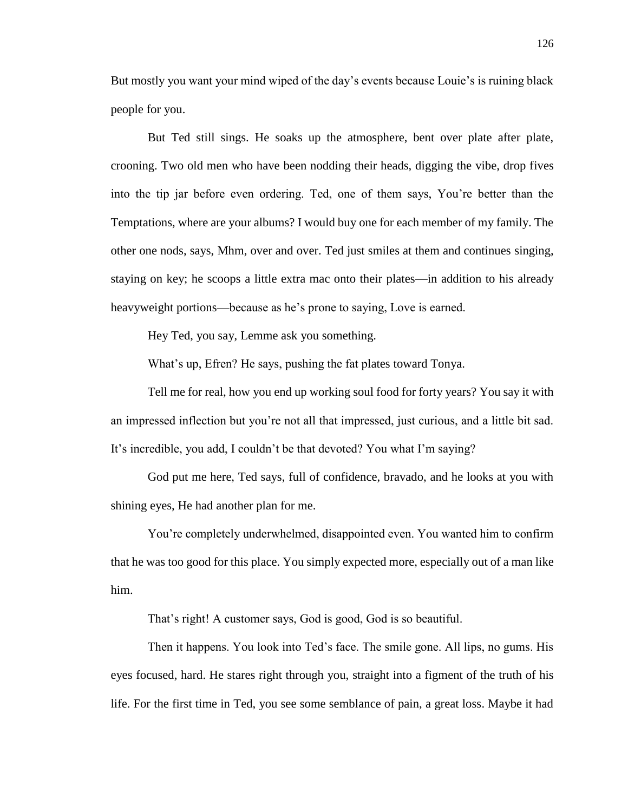But mostly you want your mind wiped of the day's events because Louie's is ruining black people for you.

But Ted still sings. He soaks up the atmosphere, bent over plate after plate, crooning. Two old men who have been nodding their heads, digging the vibe, drop fives into the tip jar before even ordering. Ted, one of them says, You're better than the Temptations, where are your albums? I would buy one for each member of my family. The other one nods, says, Mhm, over and over. Ted just smiles at them and continues singing, staying on key; he scoops a little extra mac onto their plates—in addition to his already heavyweight portions—because as he's prone to saying, Love is earned.

Hey Ted, you say, Lemme ask you something.

What's up, Efren? He says, pushing the fat plates toward Tonya.

Tell me for real, how you end up working soul food for forty years? You say it with an impressed inflection but you're not all that impressed, just curious, and a little bit sad. It's incredible, you add, I couldn't be that devoted? You what I'm saying?

God put me here, Ted says, full of confidence, bravado, and he looks at you with shining eyes, He had another plan for me.

You're completely underwhelmed, disappointed even. You wanted him to confirm that he was too good for this place. You simply expected more, especially out of a man like him.

That's right! A customer says, God is good, God is so beautiful.

Then it happens. You look into Ted's face. The smile gone. All lips, no gums. His eyes focused, hard. He stares right through you, straight into a figment of the truth of his life. For the first time in Ted, you see some semblance of pain, a great loss. Maybe it had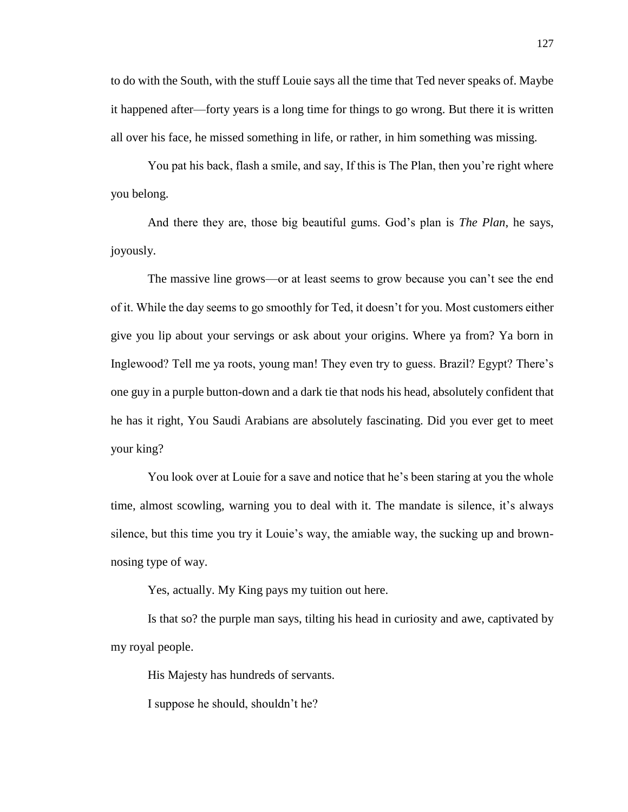to do with the South, with the stuff Louie says all the time that Ted never speaks of. Maybe it happened after—forty years is a long time for things to go wrong. But there it is written all over his face, he missed something in life, or rather, in him something was missing.

You pat his back, flash a smile, and say, If this is The Plan, then you're right where you belong.

And there they are, those big beautiful gums. God's plan is *The Plan*, he says, joyously.

The massive line grows—or at least seems to grow because you can't see the end of it. While the day seems to go smoothly for Ted, it doesn't for you. Most customers either give you lip about your servings or ask about your origins. Where ya from? Ya born in Inglewood? Tell me ya roots, young man! They even try to guess. Brazil? Egypt? There's one guy in a purple button-down and a dark tie that nods his head, absolutely confident that he has it right, You Saudi Arabians are absolutely fascinating. Did you ever get to meet your king?

You look over at Louie for a save and notice that he's been staring at you the whole time, almost scowling, warning you to deal with it. The mandate is silence, it's always silence, but this time you try it Louie's way, the amiable way, the sucking up and brownnosing type of way.

Yes, actually. My King pays my tuition out here.

Is that so? the purple man says, tilting his head in curiosity and awe, captivated by my royal people.

His Majesty has hundreds of servants.

I suppose he should, shouldn't he?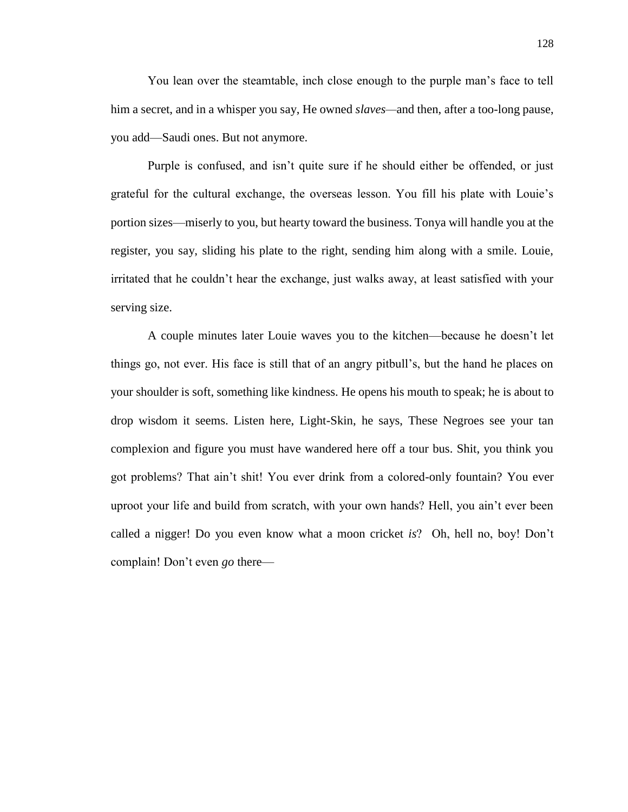You lean over the steamtable, inch close enough to the purple man's face to tell him a secret, and in a whisper you say, He owned *slaves—*and then, after a too-long pause, you add—Saudi ones. But not anymore.

Purple is confused, and isn't quite sure if he should either be offended, or just grateful for the cultural exchange, the overseas lesson. You fill his plate with Louie's portion sizes—miserly to you, but hearty toward the business. Tonya will handle you at the register, you say, sliding his plate to the right, sending him along with a smile. Louie, irritated that he couldn't hear the exchange, just walks away, at least satisfied with your serving size.

A couple minutes later Louie waves you to the kitchen—because he doesn't let things go, not ever. His face is still that of an angry pitbull's, but the hand he places on your shoulder is soft, something like kindness. He opens his mouth to speak; he is about to drop wisdom it seems. Listen here, Light-Skin, he says, These Negroes see your tan complexion and figure you must have wandered here off a tour bus. Shit, you think you got problems? That ain't shit! You ever drink from a colored-only fountain? You ever uproot your life and build from scratch, with your own hands? Hell, you ain't ever been called a nigger! Do you even know what a moon cricket *is*? Oh, hell no, boy! Don't complain! Don't even *go* there—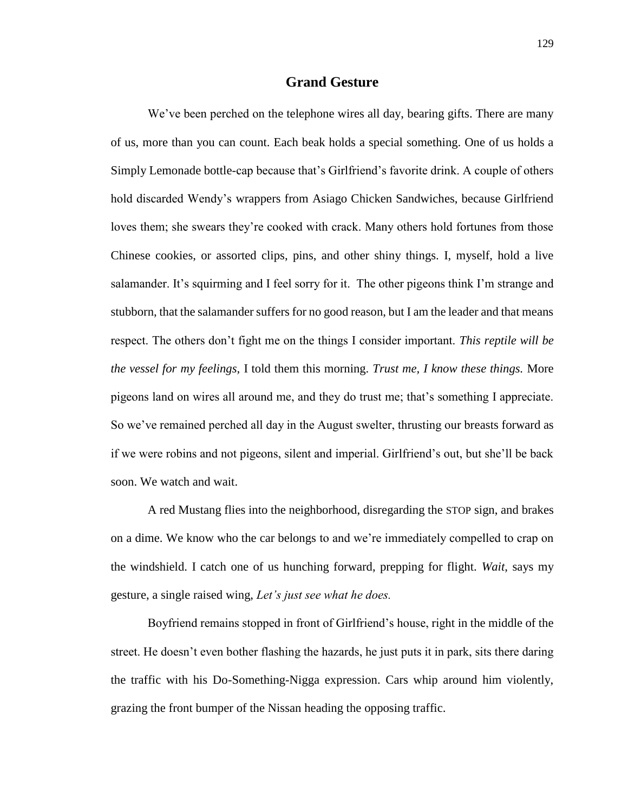## **Grand Gesture**

We've been perched on the telephone wires all day, bearing gifts. There are many of us, more than you can count. Each beak holds a special something. One of us holds a Simply Lemonade bottle-cap because that's Girlfriend's favorite drink. A couple of others hold discarded Wendy's wrappers from Asiago Chicken Sandwiches, because Girlfriend loves them; she swears they're cooked with crack. Many others hold fortunes from those Chinese cookies, or assorted clips, pins, and other shiny things. I, myself, hold a live salamander. It's squirming and I feel sorry for it. The other pigeons think I'm strange and stubborn, that the salamander suffers for no good reason, but I am the leader and that means respect. The others don't fight me on the things I consider important. *This reptile will be the vessel for my feelings,* I told them this morning. *Trust me, I know these things.* More pigeons land on wires all around me, and they do trust me; that's something I appreciate. So we've remained perched all day in the August swelter, thrusting our breasts forward as if we were robins and not pigeons, silent and imperial. Girlfriend's out, but she'll be back soon. We watch and wait.

A red Mustang flies into the neighborhood, disregarding the STOP sign, and brakes on a dime. We know who the car belongs to and we're immediately compelled to crap on the windshield. I catch one of us hunching forward, prepping for flight. *Wait*, says my gesture, a single raised wing, *Let's just see what he does.*

Boyfriend remains stopped in front of Girlfriend's house, right in the middle of the street. He doesn't even bother flashing the hazards, he just puts it in park, sits there daring the traffic with his Do-Something-Nigga expression. Cars whip around him violently, grazing the front bumper of the Nissan heading the opposing traffic.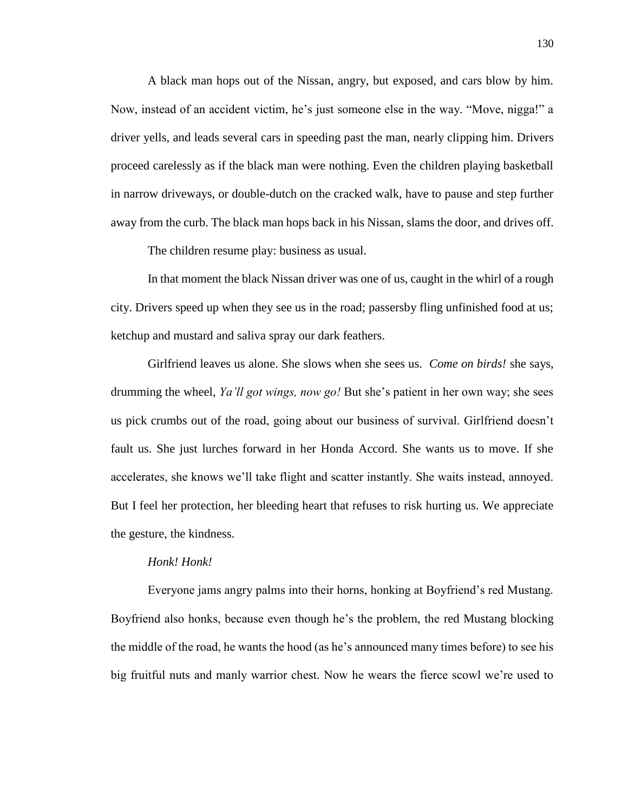A black man hops out of the Nissan, angry, but exposed, and cars blow by him. Now, instead of an accident victim, he's just someone else in the way. "Move, nigga!" a driver yells, and leads several cars in speeding past the man, nearly clipping him. Drivers proceed carelessly as if the black man were nothing. Even the children playing basketball in narrow driveways, or double-dutch on the cracked walk, have to pause and step further away from the curb. The black man hops back in his Nissan, slams the door, and drives off.

The children resume play: business as usual.

In that moment the black Nissan driver was one of us, caught in the whirl of a rough city. Drivers speed up when they see us in the road; passersby fling unfinished food at us; ketchup and mustard and saliva spray our dark feathers.

Girlfriend leaves us alone. She slows when she sees us. *Come on birds!* she says, drumming the wheel, *Ya'll got wings, now go!* But she's patient in her own way; she sees us pick crumbs out of the road, going about our business of survival. Girlfriend doesn't fault us. She just lurches forward in her Honda Accord. She wants us to move. If she accelerates, she knows we'll take flight and scatter instantly. She waits instead, annoyed. But I feel her protection, her bleeding heart that refuses to risk hurting us. We appreciate the gesture, the kindness.

## *Honk! Honk!*

Everyone jams angry palms into their horns, honking at Boyfriend's red Mustang. Boyfriend also honks, because even though he's the problem, the red Mustang blocking the middle of the road, he wants the hood (as he's announced many times before) to see his big fruitful nuts and manly warrior chest. Now he wears the fierce scowl we're used to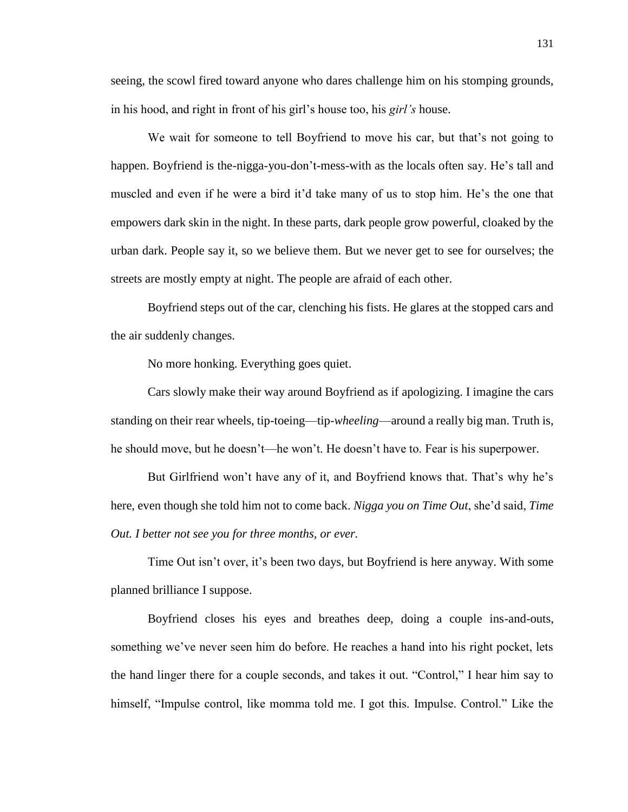seeing, the scowl fired toward anyone who dares challenge him on his stomping grounds, in his hood, and right in front of his girl's house too, his *girl's* house.

We wait for someone to tell Boyfriend to move his car, but that's not going to happen. Boyfriend is the-nigga-you-don't-mess-with as the locals often say. He's tall and muscled and even if he were a bird it'd take many of us to stop him. He's the one that empowers dark skin in the night. In these parts, dark people grow powerful, cloaked by the urban dark. People say it, so we believe them. But we never get to see for ourselves; the streets are mostly empty at night. The people are afraid of each other.

Boyfriend steps out of the car, clenching his fists. He glares at the stopped cars and the air suddenly changes.

No more honking. Everything goes quiet.

Cars slowly make their way around Boyfriend as if apologizing. I imagine the cars standing on their rear wheels, tip-toeing—tip-*wheeling*—around a really big man. Truth is, he should move, but he doesn't—he won't. He doesn't have to. Fear is his superpower.

But Girlfriend won't have any of it, and Boyfriend knows that. That's why he's here, even though she told him not to come back. *Nigga you on Time Out*, she'd said, *Time Out. I better not see you for three months, or ever.*

Time Out isn't over, it's been two days, but Boyfriend is here anyway. With some planned brilliance I suppose.

Boyfriend closes his eyes and breathes deep, doing a couple ins-and-outs, something we've never seen him do before. He reaches a hand into his right pocket, lets the hand linger there for a couple seconds, and takes it out. "Control," I hear him say to himself, "Impulse control, like momma told me. I got this. Impulse. Control." Like the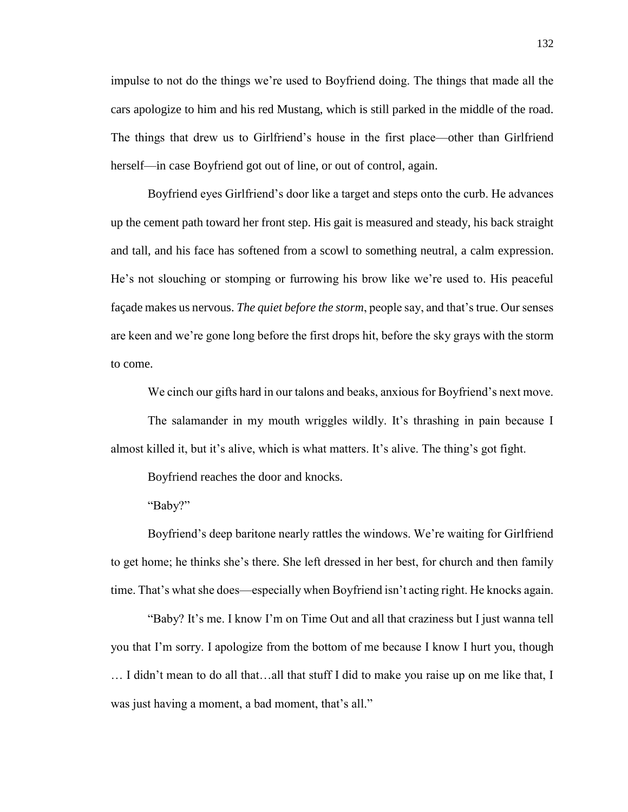impulse to not do the things we're used to Boyfriend doing. The things that made all the cars apologize to him and his red Mustang, which is still parked in the middle of the road. The things that drew us to Girlfriend's house in the first place—other than Girlfriend herself—in case Boyfriend got out of line, or out of control, again.

Boyfriend eyes Girlfriend's door like a target and steps onto the curb. He advances up the cement path toward her front step. His gait is measured and steady, his back straight and tall, and his face has softened from a scowl to something neutral, a calm expression. He's not slouching or stomping or furrowing his brow like we're used to. His peaceful façade makes us nervous. *The quiet before the storm*, people say, and that's true. Our senses are keen and we're gone long before the first drops hit, before the sky grays with the storm to come.

We cinch our gifts hard in our talons and beaks, anxious for Boyfriend's next move.

The salamander in my mouth wriggles wildly. It's thrashing in pain because I almost killed it, but it's alive, which is what matters. It's alive. The thing's got fight.

Boyfriend reaches the door and knocks.

"Baby?"

Boyfriend's deep baritone nearly rattles the windows. We're waiting for Girlfriend to get home; he thinks she's there. She left dressed in her best, for church and then family time. That's what she does—especially when Boyfriend isn't acting right. He knocks again.

"Baby? It's me. I know I'm on Time Out and all that craziness but I just wanna tell you that I'm sorry. I apologize from the bottom of me because I know I hurt you, though … I didn't mean to do all that…all that stuff I did to make you raise up on me like that, I was just having a moment, a bad moment, that's all."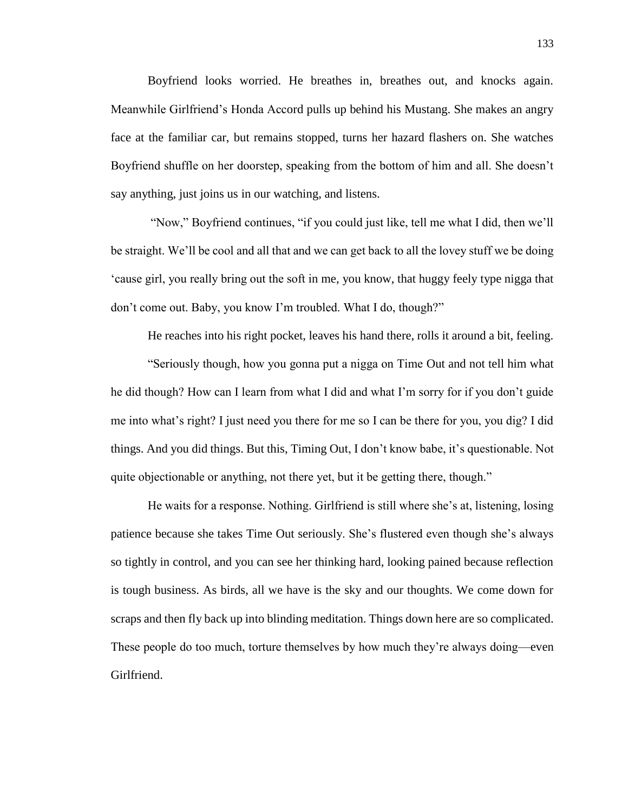Boyfriend looks worried. He breathes in, breathes out, and knocks again. Meanwhile Girlfriend's Honda Accord pulls up behind his Mustang. She makes an angry face at the familiar car, but remains stopped, turns her hazard flashers on. She watches Boyfriend shuffle on her doorstep, speaking from the bottom of him and all. She doesn't say anything, just joins us in our watching, and listens.

"Now," Boyfriend continues, "if you could just like, tell me what I did, then we'll be straight. We'll be cool and all that and we can get back to all the lovey stuff we be doing 'cause girl, you really bring out the soft in me, you know, that huggy feely type nigga that don't come out. Baby, you know I'm troubled. What I do, though?"

He reaches into his right pocket, leaves his hand there, rolls it around a bit, feeling. "Seriously though, how you gonna put a nigga on Time Out and not tell him what he did though? How can I learn from what I did and what I'm sorry for if you don't guide me into what's right? I just need you there for me so I can be there for you, you dig? I did things. And you did things. But this, Timing Out, I don't know babe, it's questionable. Not quite objectionable or anything, not there yet, but it be getting there, though."

He waits for a response. Nothing. Girlfriend is still where she's at, listening, losing patience because she takes Time Out seriously. She's flustered even though she's always so tightly in control, and you can see her thinking hard, looking pained because reflection is tough business. As birds, all we have is the sky and our thoughts. We come down for scraps and then fly back up into blinding meditation. Things down here are so complicated. These people do too much, torture themselves by how much they're always doing—even Girlfriend.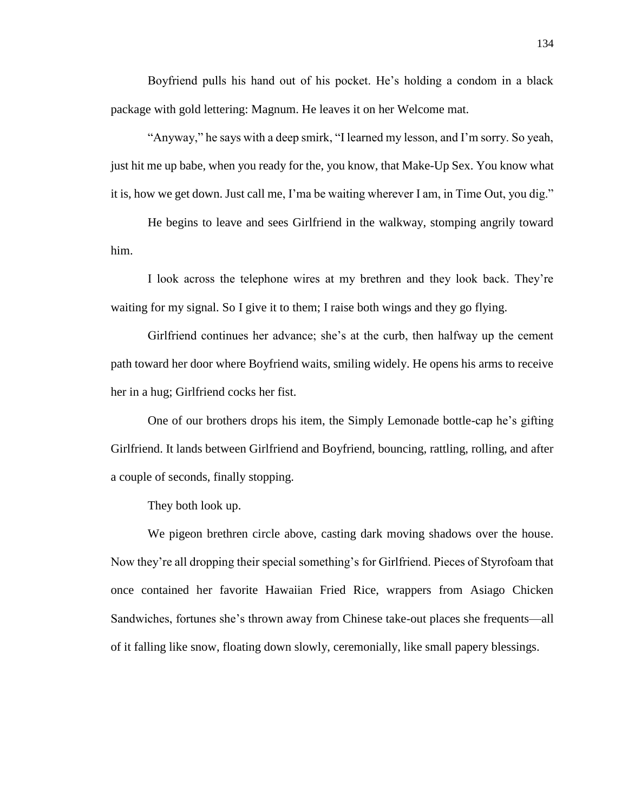Boyfriend pulls his hand out of his pocket. He's holding a condom in a black package with gold lettering: Magnum. He leaves it on her Welcome mat.

"Anyway," he says with a deep smirk, "I learned my lesson, and I'm sorry. So yeah, just hit me up babe, when you ready for the, you know, that Make-Up Sex. You know what it is, how we get down. Just call me, I'ma be waiting wherever I am, in Time Out, you dig."

He begins to leave and sees Girlfriend in the walkway, stomping angrily toward him.

I look across the telephone wires at my brethren and they look back. They're waiting for my signal. So I give it to them; I raise both wings and they go flying.

Girlfriend continues her advance; she's at the curb, then halfway up the cement path toward her door where Boyfriend waits, smiling widely. He opens his arms to receive her in a hug; Girlfriend cocks her fist.

One of our brothers drops his item, the Simply Lemonade bottle-cap he's gifting Girlfriend. It lands between Girlfriend and Boyfriend, bouncing, rattling, rolling, and after a couple of seconds, finally stopping.

They both look up.

We pigeon brethren circle above, casting dark moving shadows over the house. Now they're all dropping their special something's for Girlfriend. Pieces of Styrofoam that once contained her favorite Hawaiian Fried Rice, wrappers from Asiago Chicken Sandwiches, fortunes she's thrown away from Chinese take-out places she frequents—all of it falling like snow, floating down slowly, ceremonially, like small papery blessings.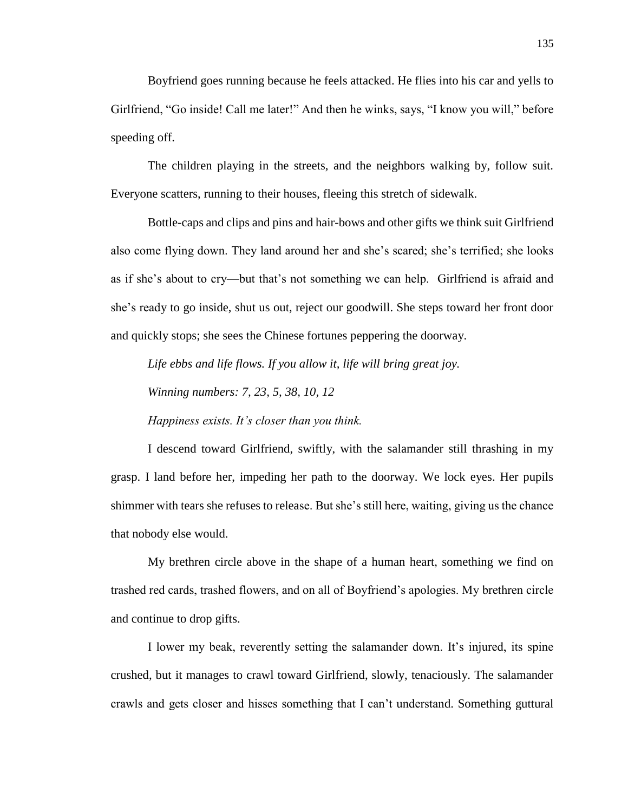Boyfriend goes running because he feels attacked. He flies into his car and yells to Girlfriend, "Go inside! Call me later!" And then he winks, says, "I know you will," before speeding off.

The children playing in the streets, and the neighbors walking by, follow suit. Everyone scatters, running to their houses, fleeing this stretch of sidewalk.

Bottle-caps and clips and pins and hair-bows and other gifts we think suit Girlfriend also come flying down. They land around her and she's scared; she's terrified; she looks as if she's about to cry—but that's not something we can help. Girlfriend is afraid and she's ready to go inside, shut us out, reject our goodwill. She steps toward her front door and quickly stops; she sees the Chinese fortunes peppering the doorway.

*Life ebbs and life flows. If you allow it, life will bring great joy.*

*Winning numbers: 7, 23, 5, 38, 10, 12*

*Happiness exists. It's closer than you think.*

I descend toward Girlfriend, swiftly, with the salamander still thrashing in my grasp. I land before her, impeding her path to the doorway. We lock eyes. Her pupils shimmer with tears she refuses to release. But she's still here, waiting, giving us the chance that nobody else would.

My brethren circle above in the shape of a human heart, something we find on trashed red cards, trashed flowers, and on all of Boyfriend's apologies. My brethren circle and continue to drop gifts.

I lower my beak, reverently setting the salamander down. It's injured, its spine crushed, but it manages to crawl toward Girlfriend, slowly, tenaciously. The salamander crawls and gets closer and hisses something that I can't understand. Something guttural